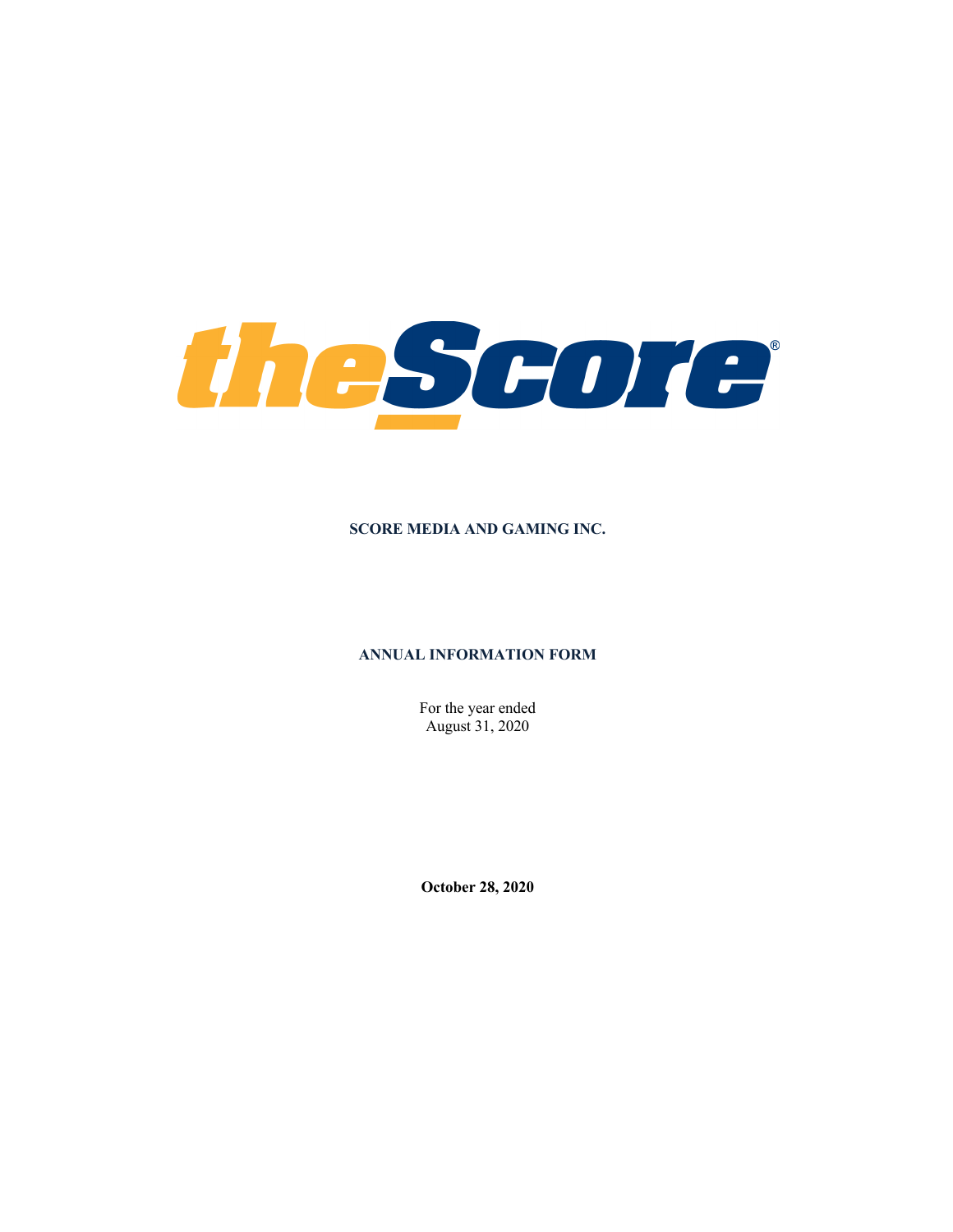

### **SCORE MEDIA AND GAMING INC.**

### **ANNUAL INFORMATION FORM**

For the year ended August 31, 2020

**October 28, 2020**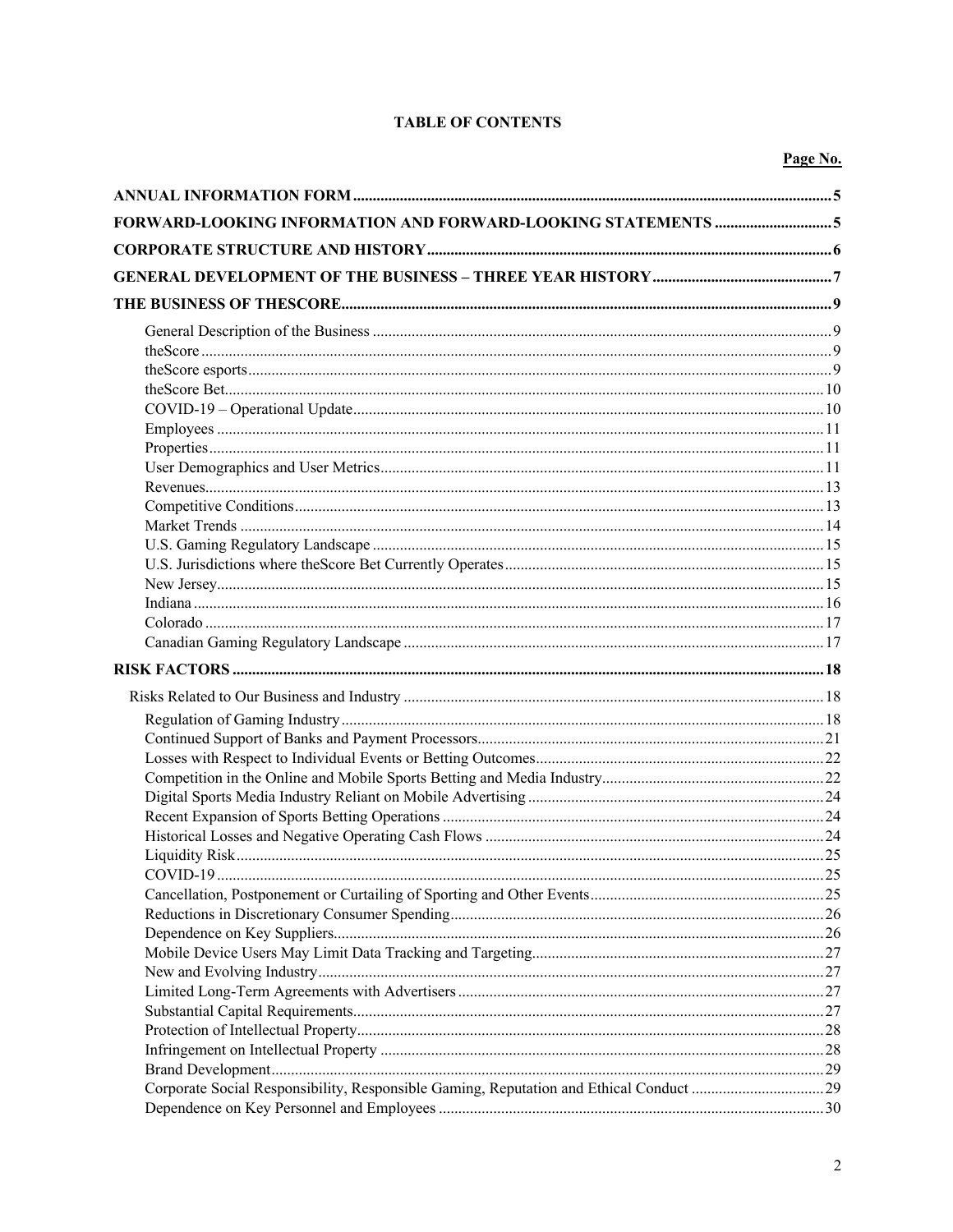# **TABLE OF CONTENTS**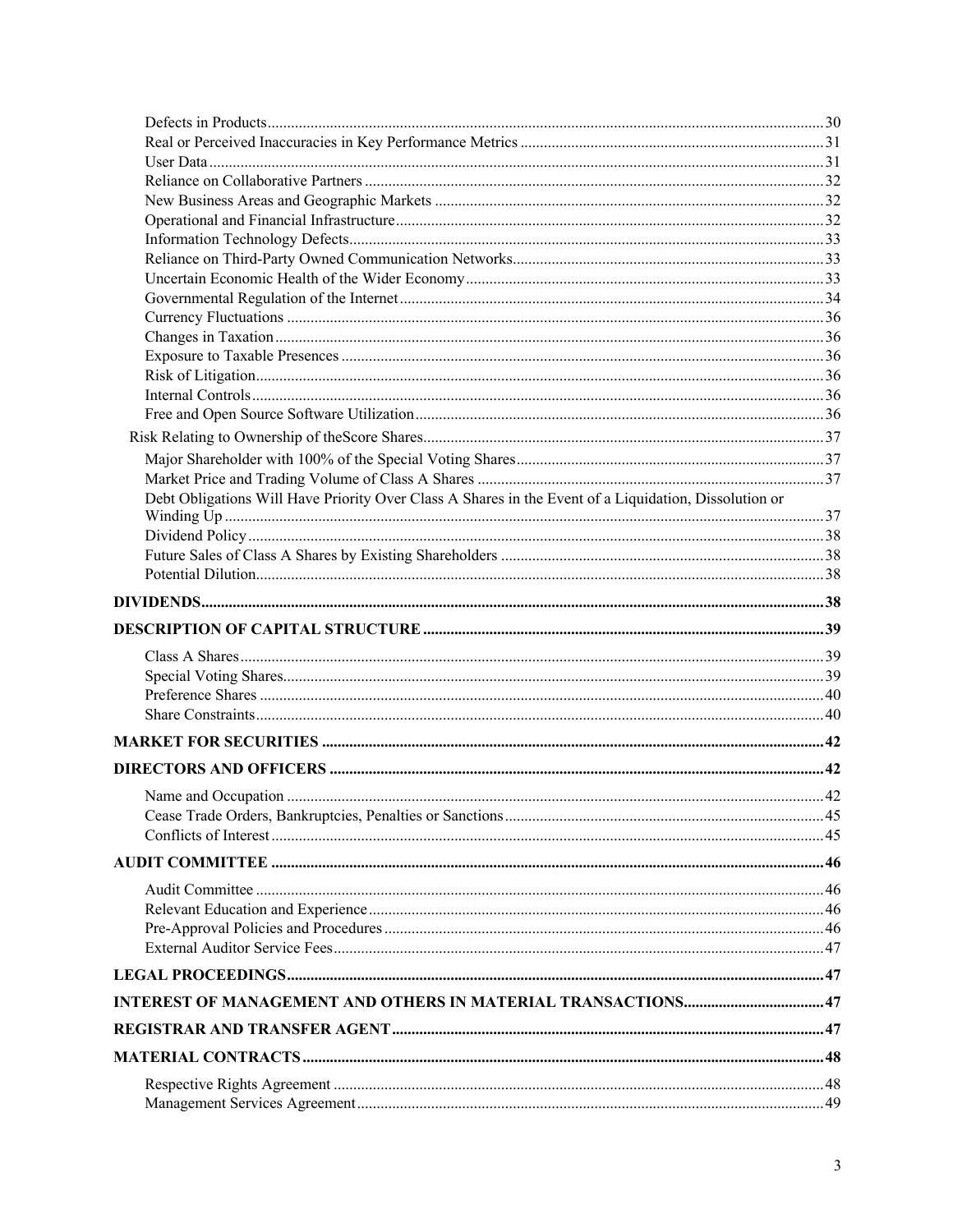| Debt Obligations Will Have Priority Over Class A Shares in the Event of a Liquidation, Dissolution or |  |
|-------------------------------------------------------------------------------------------------------|--|
|                                                                                                       |  |
|                                                                                                       |  |
|                                                                                                       |  |
|                                                                                                       |  |
|                                                                                                       |  |
|                                                                                                       |  |
|                                                                                                       |  |
|                                                                                                       |  |
|                                                                                                       |  |
|                                                                                                       |  |
|                                                                                                       |  |
|                                                                                                       |  |
|                                                                                                       |  |
|                                                                                                       |  |
|                                                                                                       |  |
|                                                                                                       |  |
|                                                                                                       |  |
|                                                                                                       |  |
|                                                                                                       |  |
|                                                                                                       |  |
|                                                                                                       |  |
|                                                                                                       |  |
|                                                                                                       |  |
|                                                                                                       |  |
|                                                                                                       |  |
|                                                                                                       |  |
|                                                                                                       |  |
|                                                                                                       |  |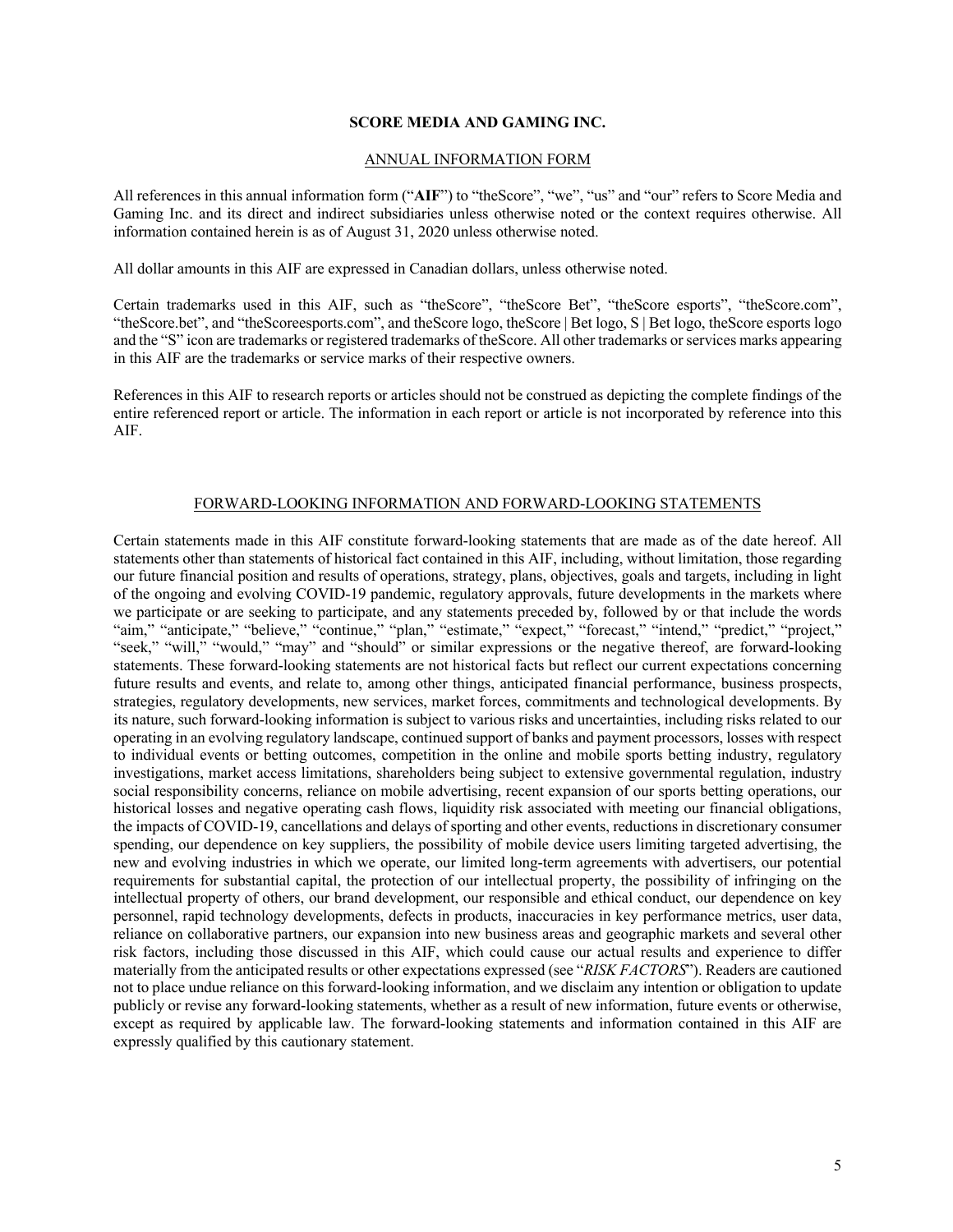### **SCORE MEDIA AND GAMING INC.**

#### ANNUAL INFORMATION FORM

All references in this annual information form ("**AIF**") to "theScore", "we", "us" and "our" refers to Score Media and Gaming Inc. and its direct and indirect subsidiaries unless otherwise noted or the context requires otherwise. All information contained herein is as of August 31, 2020 unless otherwise noted.

All dollar amounts in this AIF are expressed in Canadian dollars, unless otherwise noted.

Certain trademarks used in this AIF, such as "theScore", "theScore Bet", "theScore esports", "theScore.com", "theScore.bet", and "theScoreesports.com", and theScore logo, theScore | Bet logo, S | Bet logo, theScore esports logo and the "S" icon are trademarks or registered trademarks of theScore. All other trademarks or services marks appearing in this AIF are the trademarks or service marks of their respective owners.

References in this AIF to research reports or articles should not be construed as depicting the complete findings of the entire referenced report or article. The information in each report or article is not incorporated by reference into this AIF.

#### FORWARD-LOOKING INFORMATION AND FORWARD-LOOKING STATEMENTS

Certain statements made in this AIF constitute forward-looking statements that are made as of the date hereof. All statements other than statements of historical fact contained in this AIF, including, without limitation, those regarding our future financial position and results of operations, strategy, plans, objectives, goals and targets, including in light of the ongoing and evolving COVID-19 pandemic, regulatory approvals, future developments in the markets where we participate or are seeking to participate, and any statements preceded by, followed by or that include the words "aim," "anticipate," "believe," "continue," "plan," "estimate," "expect," "forecast," "intend," "predict," "project," "seek," "will," "would," "may" and "should" or similar expressions or the negative thereof, are forward-looking statements. These forward-looking statements are not historical facts but reflect our current expectations concerning future results and events, and relate to, among other things, anticipated financial performance, business prospects, strategies, regulatory developments, new services, market forces, commitments and technological developments. By its nature, such forward-looking information is subject to various risks and uncertainties, including risks related to our operating in an evolving regulatory landscape, continued support of banks and payment processors, losses with respect to individual events or betting outcomes, competition in the online and mobile sports betting industry, regulatory investigations, market access limitations, shareholders being subject to extensive governmental regulation, industry social responsibility concerns, reliance on mobile advertising, recent expansion of our sports betting operations, our historical losses and negative operating cash flows, liquidity risk associated with meeting our financial obligations, the impacts of COVID-19, cancellations and delays of sporting and other events, reductions in discretionary consumer spending, our dependence on key suppliers, the possibility of mobile device users limiting targeted advertising, the new and evolving industries in which we operate, our limited long-term agreements with advertisers, our potential requirements for substantial capital, the protection of our intellectual property, the possibility of infringing on the intellectual property of others, our brand development, our responsible and ethical conduct, our dependence on key personnel, rapid technology developments, defects in products, inaccuracies in key performance metrics, user data, reliance on collaborative partners, our expansion into new business areas and geographic markets and several other risk factors, including those discussed in this AIF, which could cause our actual results and experience to differ materially from the anticipated results or other expectations expressed (see "*RISK FACTORS*"). Readers are cautioned not to place undue reliance on this forward-looking information, and we disclaim any intention or obligation to update publicly or revise any forward-looking statements, whether as a result of new information, future events or otherwise, except as required by applicable law. The forward-looking statements and information contained in this AIF are expressly qualified by this cautionary statement.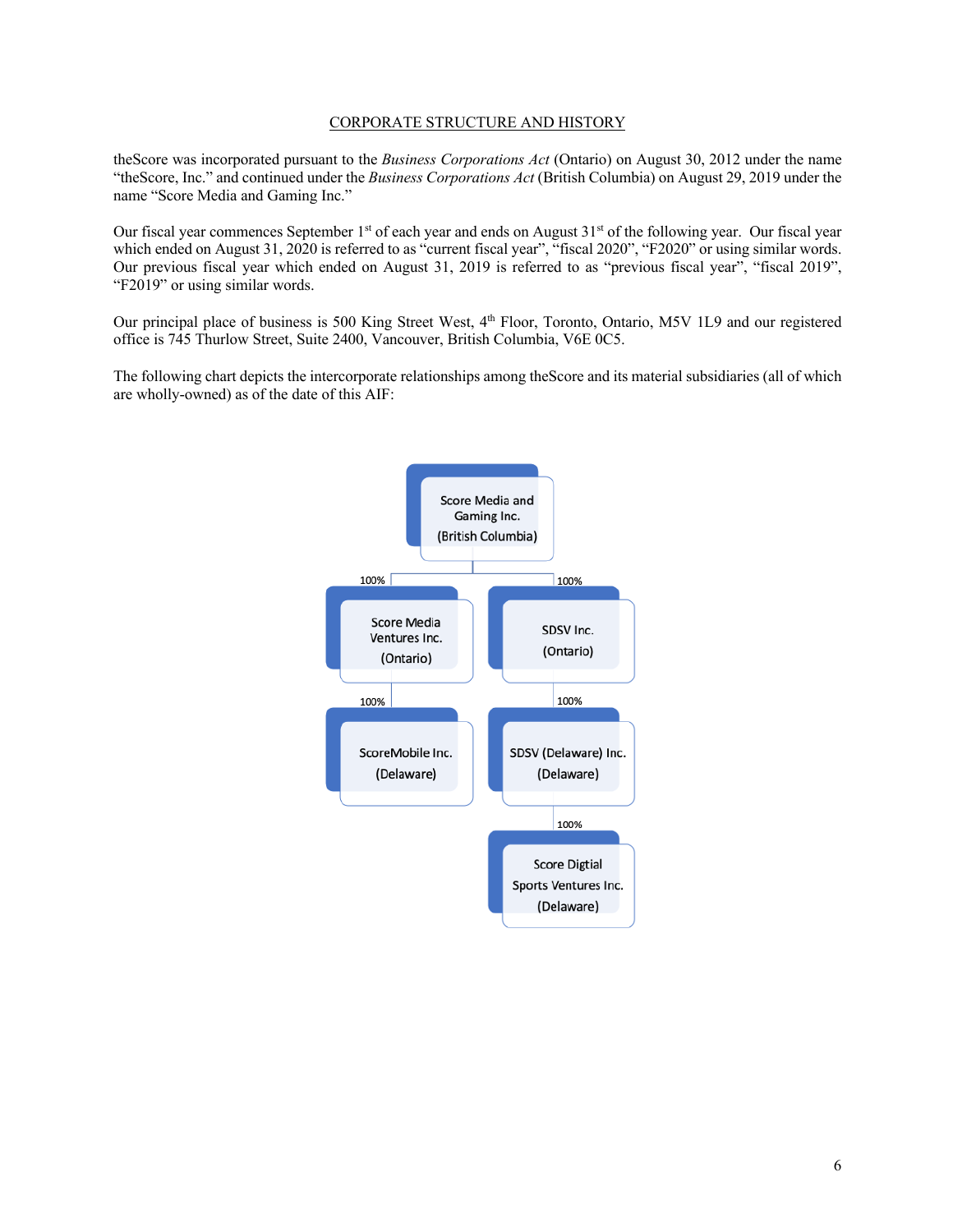### CORPORATE STRUCTURE AND HISTORY

theScore was incorporated pursuant to the *Business Corporations Act* (Ontario) on August 30, 2012 under the name "theScore, Inc." and continued under the *Business Corporations Act* (British Columbia) on August 29, 2019 under the name "Score Media and Gaming Inc."

Our fiscal year commences September 1<sup>st</sup> of each year and ends on August 31<sup>st</sup> of the following year. Our fiscal year which ended on August 31, 2020 is referred to as "current fiscal year", "fiscal 2020", "F2020" or using similar words. Our previous fiscal year which ended on August 31, 2019 is referred to as "previous fiscal year", "fiscal 2019", "F2019" or using similar words.

Our principal place of business is 500 King Street West, 4<sup>th</sup> Floor, Toronto, Ontario, M5V 1L9 and our registered office is 745 Thurlow Street, Suite 2400, Vancouver, British Columbia, V6E 0C5.

The following chart depicts the intercorporate relationships among theScore and its material subsidiaries (all of which are wholly-owned) as of the date of this AIF:

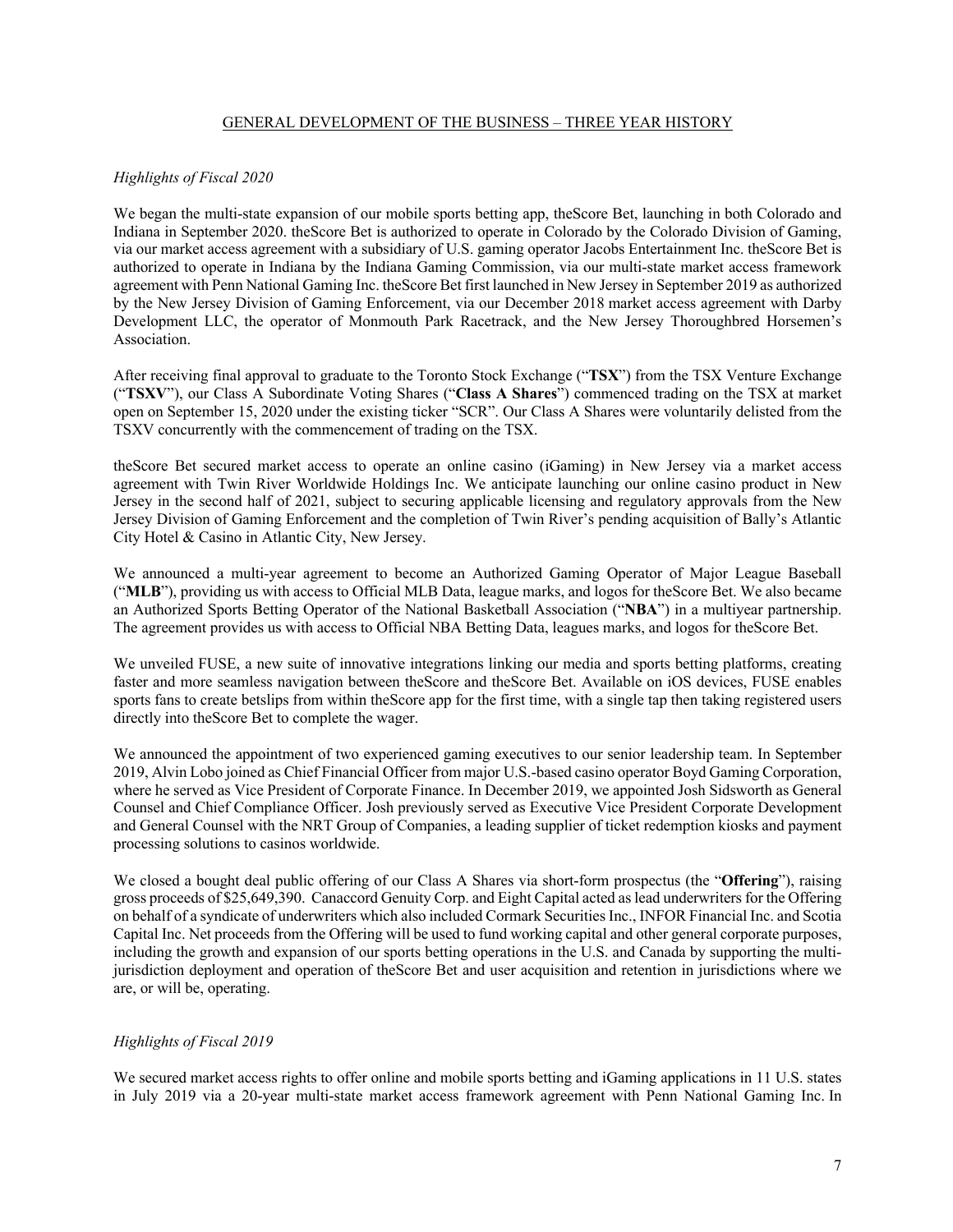## GENERAL DEVELOPMENT OF THE BUSINESS – THREE YEAR HISTORY

# *Highlights of Fiscal 2020*

We began the multi-state expansion of our mobile sports betting app, the Score Bet, launching in both Colorado and Indiana in September 2020. theScore Bet is authorized to operate in Colorado by the Colorado Division of Gaming, via our market access agreement with a subsidiary of U.S. gaming operator Jacobs Entertainment Inc. theScore Bet is authorized to operate in Indiana by the Indiana Gaming Commission, via our multi-state market access framework agreement with Penn National Gaming Inc. theScore Bet first launched in New Jersey in September 2019 as authorized by the New Jersey Division of Gaming Enforcement, via our December 2018 market access agreement with Darby Development LLC, the operator of Monmouth Park Racetrack, and the New Jersey Thoroughbred Horsemen's Association.

After receiving final approval to graduate to the Toronto Stock Exchange ("**TSX**") from the TSX Venture Exchange ("**TSXV**"), our Class A Subordinate Voting Shares ("**Class A Shares**") commenced trading on the TSX at market open on September 15, 2020 under the existing ticker "SCR". Our Class A Shares were voluntarily delisted from the TSXV concurrently with the commencement of trading on the TSX.

theScore Bet secured market access to operate an online casino (iGaming) in New Jersey via a market access agreement with Twin River Worldwide Holdings Inc. We anticipate launching our online casino product in New Jersey in the second half of 2021, subject to securing applicable licensing and regulatory approvals from the New Jersey Division of Gaming Enforcement and the completion of Twin River's pending acquisition of Bally's Atlantic City Hotel & Casino in Atlantic City, New Jersey.

We announced a multi-year agreement to become an Authorized Gaming Operator of Major League Baseball ("**MLB**"), providing us with access to Official MLB Data, league marks, and logos for theScore Bet. We also became an Authorized Sports Betting Operator of the National Basketball Association ("**NBA**") in a multiyear partnership. The agreement provides us with access to Official NBA Betting Data, leagues marks, and logos for theScore Bet.

We unveiled FUSE, a new suite of innovative integrations linking our media and sports betting platforms, creating faster and more seamless navigation between theScore and theScore Bet. Available on iOS devices, FUSE enables sports fans to create betslips from within theScore app for the first time, with a single tap then taking registered users directly into theScore Bet to complete the wager.

We announced the appointment of two experienced gaming executives to our senior leadership team. In September 2019, Alvin Lobo joined as Chief Financial Officer from major U.S.-based casino operator Boyd Gaming Corporation, where he served as Vice President of Corporate Finance. In December 2019, we appointed Josh Sidsworth as General Counsel and Chief Compliance Officer. Josh previously served as Executive Vice President Corporate Development and General Counsel with the NRT Group of Companies, a leading supplier of ticket redemption kiosks and payment processing solutions to casinos worldwide.

We closed a bought deal public offering of our Class A Shares via short-form prospectus (the "**Offering**"), raising gross proceeds of \$25,649,390. Canaccord Genuity Corp. and Eight Capital acted as lead underwriters for the Offering on behalf of a syndicate of underwriters which also included Cormark Securities Inc., INFOR Financial Inc. and Scotia Capital Inc. Net proceeds from the Offering will be used to fund working capital and other general corporate purposes, including the growth and expansion of our sports betting operations in the U.S. and Canada by supporting the multijurisdiction deployment and operation of theScore Bet and user acquisition and retention in jurisdictions where we are, or will be, operating.

## *Highlights of Fiscal 2019*

We secured market access rights to offer online and mobile sports betting and iGaming applications in 11 U.S. states in July 2019 via a 20-year multi-state market access framework agreement with Penn National Gaming Inc. In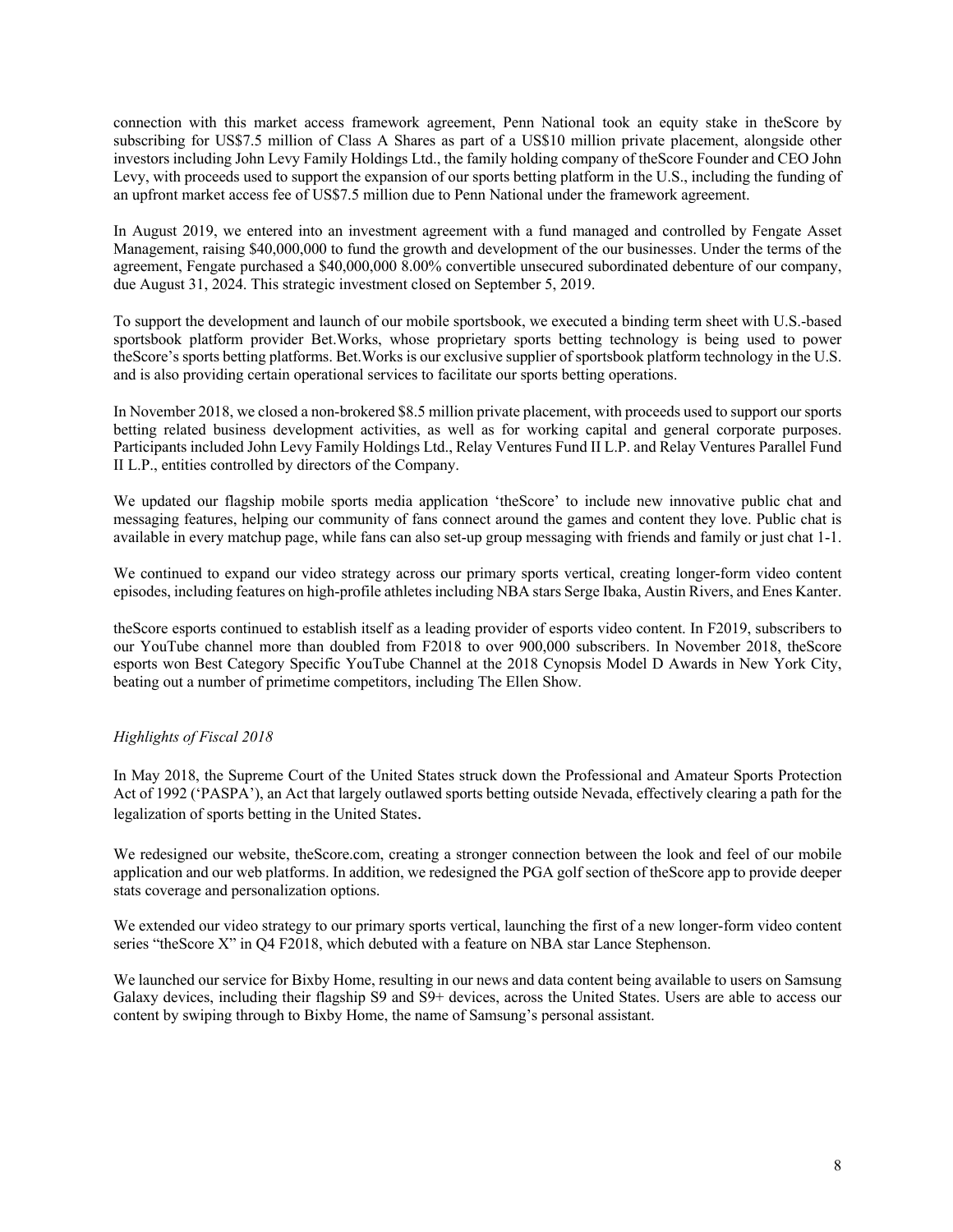connection with this market access framework agreement, Penn National took an equity stake in theScore by subscribing for US\$7.5 million of Class A Shares as part of a US\$10 million private placement, alongside other investors including John Levy Family Holdings Ltd., the family holding company of theScore Founder and CEO John Levy, with proceeds used to support the expansion of our sports betting platform in the U.S., including the funding of an upfront market access fee of US\$7.5 million due to Penn National under the framework agreement.

In August 2019, we entered into an investment agreement with a fund managed and controlled by Fengate Asset Management, raising \$40,000,000 to fund the growth and development of the our businesses. Under the terms of the agreement, Fengate purchased a \$40,000,000 8.00% convertible unsecured subordinated debenture of our company, due August 31, 2024. This strategic investment closed on September 5, 2019.

To support the development and launch of our mobile sportsbook, we executed a binding term sheet with U.S.-based sportsbook platform provider Bet.Works, whose proprietary sports betting technology is being used to power theScore's sports betting platforms. Bet.Works is our exclusive supplier of sportsbook platform technology in the U.S. and is also providing certain operational services to facilitate our sports betting operations.

In November 2018, we closed a non-brokered \$8.5 million private placement, with proceeds used to support our sports betting related business development activities, as well as for working capital and general corporate purposes. Participants included John Levy Family Holdings Ltd., Relay Ventures Fund II L.P. and Relay Ventures Parallel Fund II L.P., entities controlled by directors of the Company.

We updated our flagship mobile sports media application 'theScore' to include new innovative public chat and messaging features, helping our community of fans connect around the games and content they love. Public chat is available in every matchup page, while fans can also set-up group messaging with friends and family or just chat 1-1.

We continued to expand our video strategy across our primary sports vertical, creating longer-form video content episodes, including features on high-profile athletes including NBA stars Serge Ibaka, Austin Rivers, and Enes Kanter.

theScore esports continued to establish itself as a leading provider of esports video content. In F2019, subscribers to our YouTube channel more than doubled from F2018 to over 900,000 subscribers. In November 2018, theScore esports won Best Category Specific YouTube Channel at the 2018 Cynopsis Model D Awards in New York City, beating out a number of primetime competitors, including The Ellen Show.

# *Highlights of Fiscal 2018*

In May 2018, the Supreme Court of the United States struck down the Professional and Amateur Sports Protection Act of 1992 ('PASPA'), an Act that largely outlawed sports betting outside Nevada, effectively clearing a path for the legalization of sports betting in the United States.

We redesigned our website, the Score.com, creating a stronger connection between the look and feel of our mobile application and our web platforms. In addition, we redesigned the PGA golf section of theScore app to provide deeper stats coverage and personalization options.

We extended our video strategy to our primary sports vertical, launching the first of a new longer-form video content series "theScore X" in Q4 F2018, which debuted with a feature on NBA star Lance Stephenson.

We launched our service for Bixby Home, resulting in our news and data content being available to users on Samsung Galaxy devices, including their flagship S9 and S9+ devices, across the United States. Users are able to access our content by swiping through to Bixby Home, the name of Samsung's personal assistant.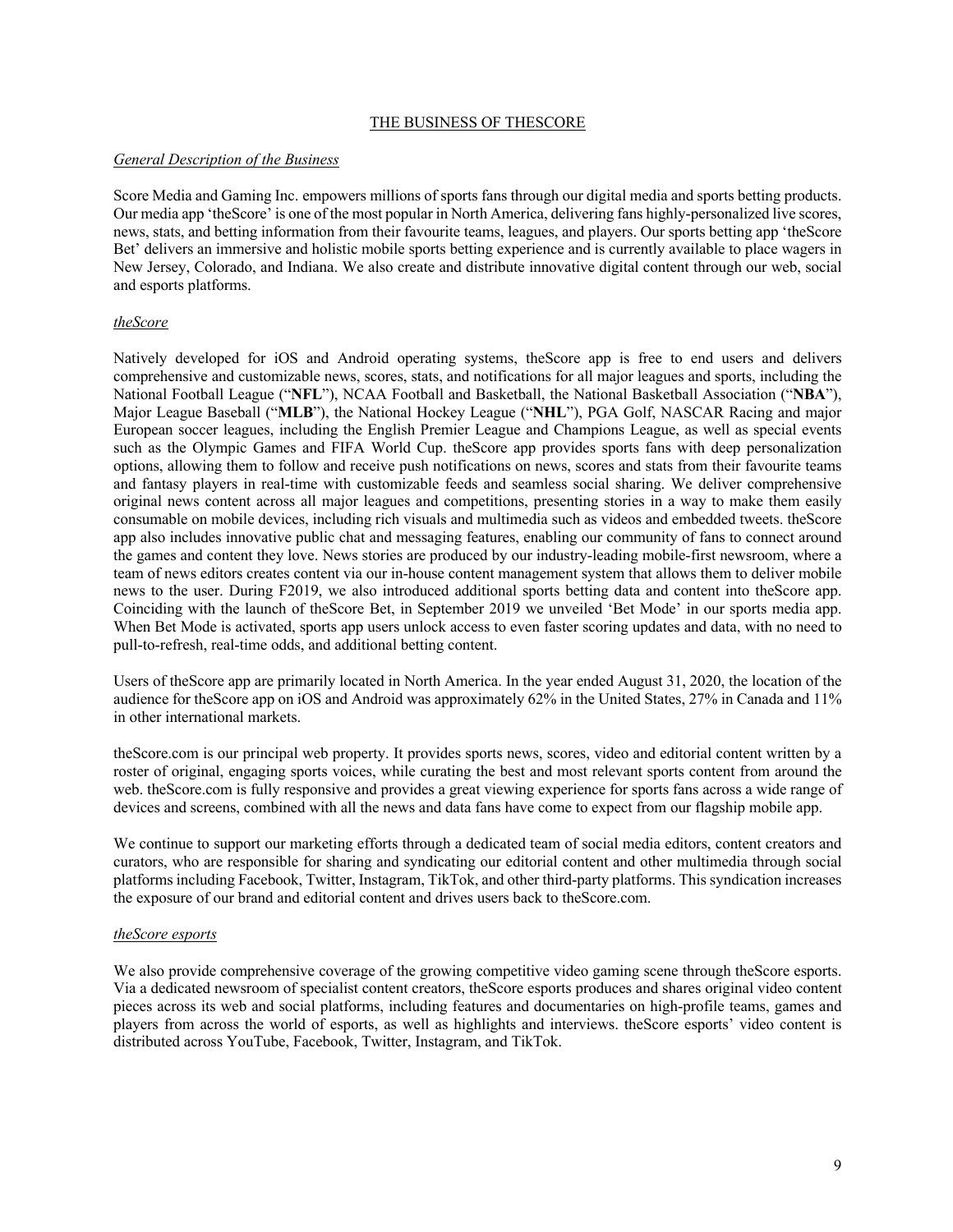### THE BUSINESS OF THESCORE

### *General Description of the Business*

Score Media and Gaming Inc. empowers millions of sports fans through our digital media and sports betting products. Our media app 'theScore' is one of the most popular in North America, delivering fans highly-personalized live scores, news, stats, and betting information from their favourite teams, leagues, and players. Our sports betting app 'theScore Bet' delivers an immersive and holistic mobile sports betting experience and is currently available to place wagers in New Jersey, Colorado, and Indiana. We also create and distribute innovative digital content through our web, social and esports platforms.

## *theScore*

Natively developed for iOS and Android operating systems, theScore app is free to end users and delivers comprehensive and customizable news, scores, stats, and notifications for all major leagues and sports, including the National Football League ("**NFL**"), NCAA Football and Basketball, the National Basketball Association ("**NBA**"), Major League Baseball ("**MLB**"), the National Hockey League ("**NHL**"), PGA Golf, NASCAR Racing and major European soccer leagues, including the English Premier League and Champions League, as well as special events such as the Olympic Games and FIFA World Cup. theScore app provides sports fans with deep personalization options, allowing them to follow and receive push notifications on news, scores and stats from their favourite teams and fantasy players in real-time with customizable feeds and seamless social sharing. We deliver comprehensive original news content across all major leagues and competitions, presenting stories in a way to make them easily consumable on mobile devices, including rich visuals and multimedia such as videos and embedded tweets. theScore app also includes innovative public chat and messaging features, enabling our community of fans to connect around the games and content they love. News stories are produced by our industry-leading mobile-first newsroom, where a team of news editors creates content via our in-house content management system that allows them to deliver mobile news to the user. During F2019, we also introduced additional sports betting data and content into theScore app. Coinciding with the launch of theScore Bet, in September 2019 we unveiled 'Bet Mode' in our sports media app. When Bet Mode is activated, sports app users unlock access to even faster scoring updates and data, with no need to pull-to-refresh, real-time odds, and additional betting content.

Users of theScore app are primarily located in North America. In the year ended August 31, 2020, the location of the audience for theScore app on iOS and Android was approximately 62% in the United States, 27% in Canada and 11% in other international markets.

theScore.com is our principal web property. It provides sports news, scores, video and editorial content written by a roster of original, engaging sports voices, while curating the best and most relevant sports content from around the web. theScore.com is fully responsive and provides a great viewing experience for sports fans across a wide range of devices and screens, combined with all the news and data fans have come to expect from our flagship mobile app.

We continue to support our marketing efforts through a dedicated team of social media editors, content creators and curators, who are responsible for sharing and syndicating our editorial content and other multimedia through social platforms including Facebook, Twitter, Instagram, TikTok, and other third-party platforms. This syndication increases the exposure of our brand and editorial content and drives users back to theScore.com.

#### *theScore esports*

We also provide comprehensive coverage of the growing competitive video gaming scene through the Score esports. Via a dedicated newsroom of specialist content creators, theScore esports produces and shares original video content pieces across its web and social platforms, including features and documentaries on high-profile teams, games and players from across the world of esports, as well as highlights and interviews. theScore esports' video content is distributed across YouTube, Facebook, Twitter, Instagram, and TikTok.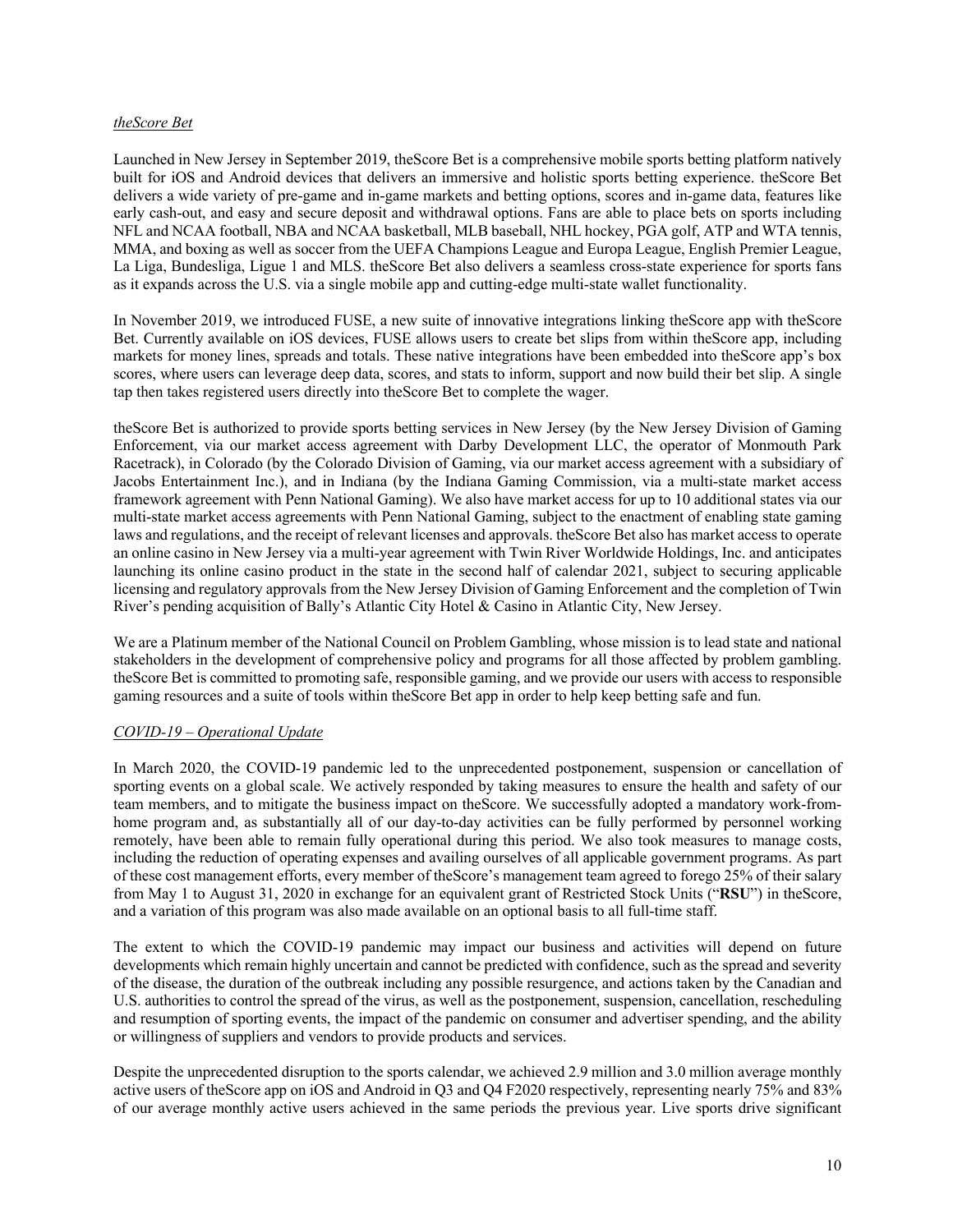### *theScore Bet*

Launched in New Jersey in September 2019, theScore Bet is a comprehensive mobile sports betting platform natively built for iOS and Android devices that delivers an immersive and holistic sports betting experience. theScore Bet delivers a wide variety of pre-game and in-game markets and betting options, scores and in-game data, features like early cash-out, and easy and secure deposit and withdrawal options. Fans are able to place bets on sports including NFL and NCAA football, NBA and NCAA basketball, MLB baseball, NHL hockey, PGA golf, ATP and WTA tennis, MMA, and boxing as well as soccer from the UEFA Champions League and Europa League, English Premier League, La Liga, Bundesliga, Ligue 1 and MLS. theScore Bet also delivers a seamless cross-state experience for sports fans as it expands across the U.S. via a single mobile app and cutting-edge multi-state wallet functionality.

In November 2019, we introduced FUSE, a new suite of innovative integrations linking theScore app with theScore Bet. Currently available on iOS devices, FUSE allows users to create bet slips from within theScore app, including markets for money lines, spreads and totals. These native integrations have been embedded into theScore app's box scores, where users can leverage deep data, scores, and stats to inform, support and now build their bet slip. A single tap then takes registered users directly into theScore Bet to complete the wager.

theScore Bet is authorized to provide sports betting services in New Jersey (by the New Jersey Division of Gaming Enforcement, via our market access agreement with Darby Development LLC, the operator of Monmouth Park Racetrack), in Colorado (by the Colorado Division of Gaming, via our market access agreement with a subsidiary of Jacobs Entertainment Inc.), and in Indiana (by the Indiana Gaming Commission, via a multi-state market access framework agreement with Penn National Gaming). We also have market access for up to 10 additional states via our multi-state market access agreements with Penn National Gaming, subject to the enactment of enabling state gaming laws and regulations, and the receipt of relevant licenses and approvals. theScore Bet also has market access to operate an online casino in New Jersey via a multi-year agreement with Twin River Worldwide Holdings, Inc. and anticipates launching its online casino product in the state in the second half of calendar 2021, subject to securing applicable licensing and regulatory approvals from the New Jersey Division of Gaming Enforcement and the completion of Twin River's pending acquisition of Bally's Atlantic City Hotel & Casino in Atlantic City, New Jersey.

We are a Platinum member of the National Council on Problem Gambling, whose mission is to lead state and national stakeholders in the development of comprehensive policy and programs for all those affected by problem gambling. theScore Bet is committed to promoting safe, responsible gaming, and we provide our users with access to responsible gaming resources and a suite of tools within theScore Bet app in order to help keep betting safe and fun.

## *COVID-19 – Operational Update*

In March 2020, the COVID-19 pandemic led to the unprecedented postponement, suspension or cancellation of sporting events on a global scale. We actively responded by taking measures to ensure the health and safety of our team members, and to mitigate the business impact on theScore. We successfully adopted a mandatory work-fromhome program and, as substantially all of our day-to-day activities can be fully performed by personnel working remotely, have been able to remain fully operational during this period. We also took measures to manage costs, including the reduction of operating expenses and availing ourselves of all applicable government programs. As part of these cost management efforts, every member of theScore's management team agreed to forego 25% of their salary from May 1 to August 31, 2020 in exchange for an equivalent grant of Restricted Stock Units ("**RSU**") in theScore, and a variation of this program was also made available on an optional basis to all full-time staff.

The extent to which the COVID-19 pandemic may impact our business and activities will depend on future developments which remain highly uncertain and cannot be predicted with confidence, such as the spread and severity of the disease, the duration of the outbreak including any possible resurgence, and actions taken by the Canadian and U.S. authorities to control the spread of the virus, as well as the postponement, suspension, cancellation, rescheduling and resumption of sporting events, the impact of the pandemic on consumer and advertiser spending, and the ability or willingness of suppliers and vendors to provide products and services.

Despite the unprecedented disruption to the sports calendar, we achieved 2.9 million and 3.0 million average monthly active users of theScore app on iOS and Android in Q3 and Q4 F2020 respectively, representing nearly 75% and 83% of our average monthly active users achieved in the same periods the previous year. Live sports drive significant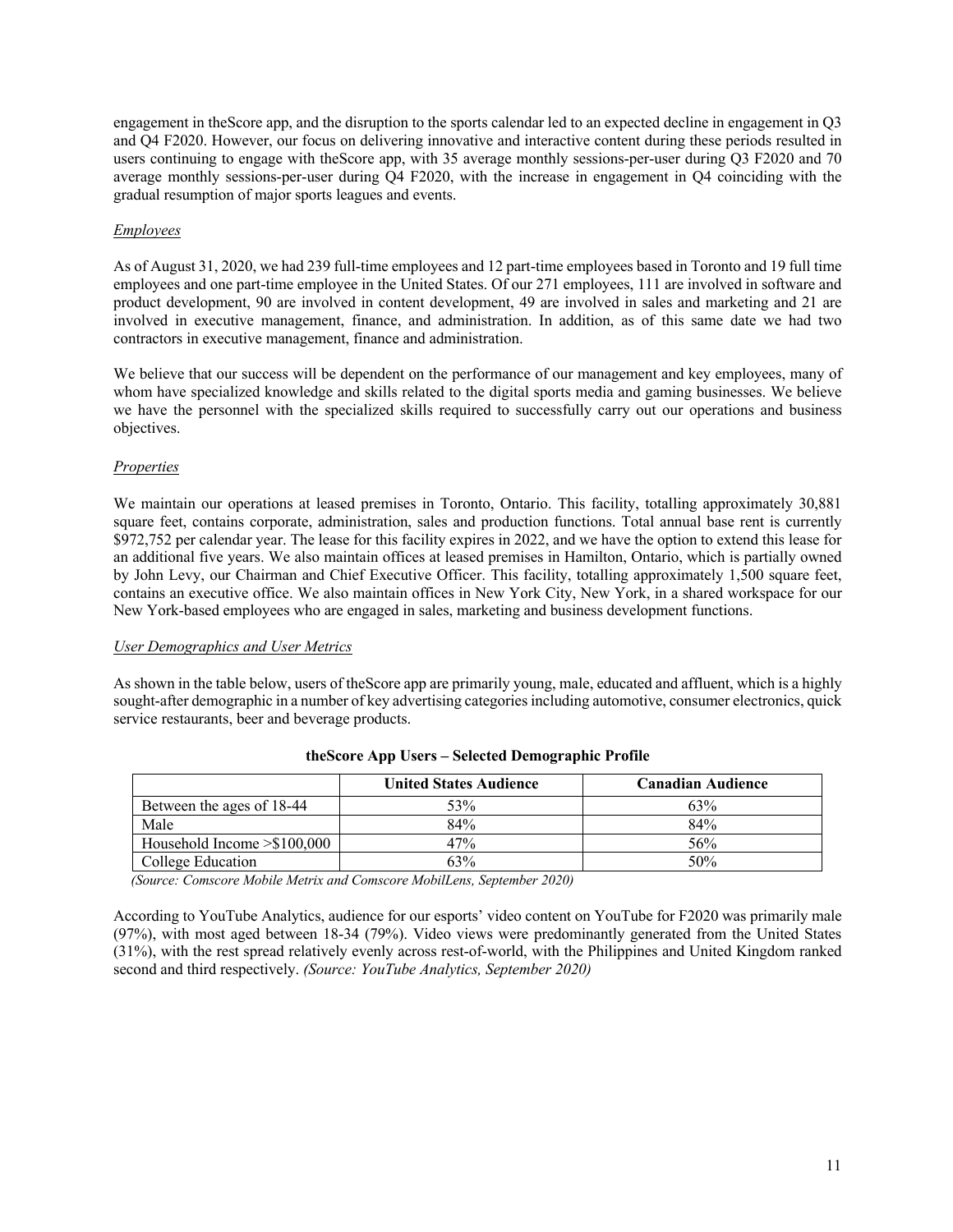engagement in theScore app, and the disruption to the sports calendar led to an expected decline in engagement in Q3 and Q4 F2020. However, our focus on delivering innovative and interactive content during these periods resulted in users continuing to engage with theScore app, with 35 average monthly sessions-per-user during Q3 F2020 and 70 average monthly sessions-per-user during Q4 F2020, with the increase in engagement in Q4 coinciding with the gradual resumption of major sports leagues and events.

### *Employees*

As of August 31, 2020, we had 239 full-time employees and 12 part-time employees based in Toronto and 19 full time employees and one part-time employee in the United States. Of our 271 employees, 111 are involved in software and product development, 90 are involved in content development, 49 are involved in sales and marketing and 21 are involved in executive management, finance, and administration. In addition, as of this same date we had two contractors in executive management, finance and administration.

We believe that our success will be dependent on the performance of our management and key employees, many of whom have specialized knowledge and skills related to the digital sports media and gaming businesses. We believe we have the personnel with the specialized skills required to successfully carry out our operations and business objectives.

### *Properties*

We maintain our operations at leased premises in Toronto, Ontario. This facility, totalling approximately 30,881 square feet, contains corporate, administration, sales and production functions. Total annual base rent is currently \$972,752 per calendar year. The lease for this facility expires in 2022, and we have the option to extend this lease for an additional five years. We also maintain offices at leased premises in Hamilton, Ontario, which is partially owned by John Levy, our Chairman and Chief Executive Officer. This facility, totalling approximately 1,500 square feet, contains an executive office. We also maintain offices in New York City, New York, in a shared workspace for our New York-based employees who are engaged in sales, marketing and business development functions.

#### *User Demographics and User Metrics*

As shown in the table below, users of theScore app are primarily young, male, educated and affluent, which is a highly sought-after demographic in a number of key advertising categories including automotive, consumer electronics, quick service restaurants, beer and beverage products.

|                                   | <b>United States Audience</b> | <b>Canadian Audience</b> |
|-----------------------------------|-------------------------------|--------------------------|
| Between the ages of 18-44         | 53%                           | 63%                      |
| Male                              | 84%                           | 84%                      |
| Household Income $\geq$ \$100,000 | 47%                           | 56%                      |
| College Education                 | 63%                           | 50%                      |

#### **theScore App Users – Selected Demographic Profile**

*(Source: Comscore Mobile Metrix and Comscore MobilLens, September 2020)*

According to YouTube Analytics, audience for our esports' video content on YouTube for F2020 was primarily male (97%), with most aged between 18-34 (79%). Video views were predominantly generated from the United States (31%), with the rest spread relatively evenly across rest-of-world, with the Philippines and United Kingdom ranked second and third respectively. *(Source: YouTube Analytics, September 2020)*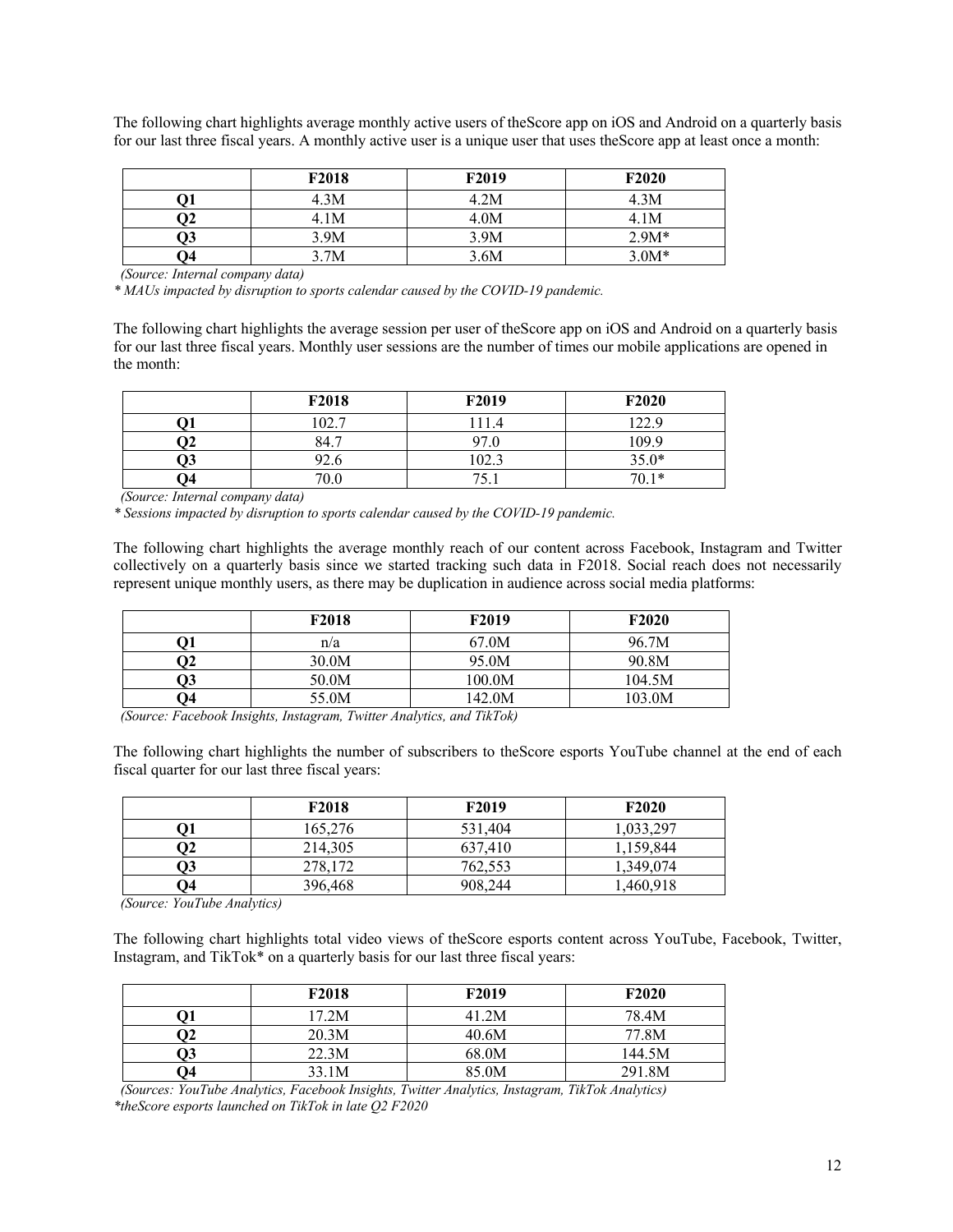The following chart highlights average monthly active users of theScore app on iOS and Android on a quarterly basis for our last three fiscal years. A monthly active user is a unique user that uses theScore app at least once a month:

|                 | F2018 | F2019 | F <sub>2020</sub> |
|-----------------|-------|-------|-------------------|
|                 | 4.3M  | 4.2M  | 4.3M              |
| $\mathfrak{D}2$ | 4.1M  | 4.0M  | 4.1M              |
| Э3              | 3.9M  | 3.9M  | $2.9M*$           |
| Q4              | 3.7M  | 3.6M  | $3.0M*$           |

 *(Source: Internal company data)*

*\* MAUs impacted by disruption to sports calendar caused by the COVID-19 pandemic.*

The following chart highlights the average session per user of theScore app on iOS and Android on a quarterly basis for our last three fiscal years. Monthly user sessions are the number of times our mobile applications are opened in the month:

|    | F2018 | F2019 | F2020   |
|----|-------|-------|---------|
|    | 102.7 | 111.4 | 122.9   |
|    | 84.7  | 97.0  | 109.9   |
| Э3 | 92.6  | 102.3 | $35.0*$ |
| 74 | 70.0  | 75    | $70.1*$ |

 *(Source: Internal company data)*

*\* Sessions impacted by disruption to sports calendar caused by the COVID-19 pandemic.*

The following chart highlights the average monthly reach of our content across Facebook, Instagram and Twitter collectively on a quarterly basis since we started tracking such data in F2018. Social reach does not necessarily represent unique monthly users, as there may be duplication in audience across social media platforms:

|    | F <sub>2018</sub> | F2019  | F2020  |
|----|-------------------|--------|--------|
|    | n/a               | 67.0M  | 96.7M  |
| Э2 | 30.0M             | 95.0M  | 90.8M  |
| Э3 | 50.0M             | 100.0M | 104.5M |
| Э4 | 55.0M             | 142.0M | 103.0M |

 *(Source: Facebook Insights, Instagram, Twitter Analytics, and TikTok)*

The following chart highlights the number of subscribers to theScore esports YouTube channel at the end of each fiscal quarter for our last three fiscal years:

|    | F2018   | F2019   | F <sub>2020</sub> |
|----|---------|---------|-------------------|
|    | 165,276 | 531,404 | 1,033,297         |
| О2 | 214,305 | 637,410 | 1,159,844         |
| Q3 | 278,172 | 762,553 | 1,349,074         |
| Э4 | 396,468 | 908,244 | 1,460,918         |

 *(Source: YouTube Analytics)*

The following chart highlights total video views of theScore esports content across YouTube, Facebook, Twitter, Instagram, and TikTok\* on a quarterly basis for our last three fiscal years:

|    | F <sub>2018</sub> | F <sub>2019</sub> | F <sub>2</sub> 0 <sub>20</sub> |
|----|-------------------|-------------------|--------------------------------|
|    | 17.2M             | 41.2M             | 78.4M                          |
| О2 | 20.3M             | 40.6M             | 77.8M                          |
| Q3 | 22.3M             | 68.0M             | 144.5M                         |
| Э4 | 33.1M             | 85.0M             | 291.8M                         |

 *(Sources: YouTube Analytics, Facebook Insights, Twitter Analytics, Instagram, TikTok Analytics) \*theScore esports launched on TikTok in late Q2 F2020*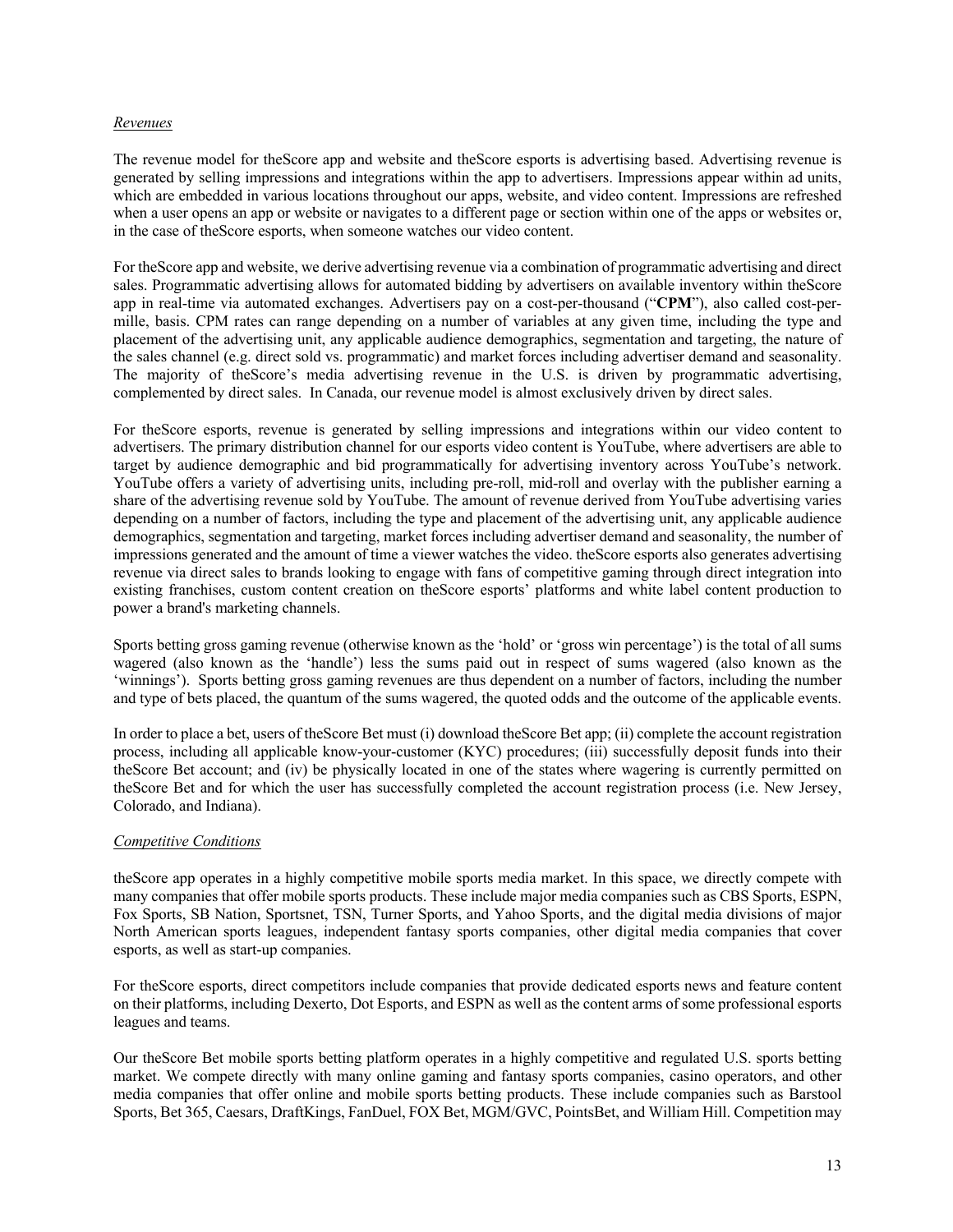### *Revenues*

The revenue model for theScore app and website and theScore esports is advertising based. Advertising revenue is generated by selling impressions and integrations within the app to advertisers. Impressions appear within ad units, which are embedded in various locations throughout our apps, website, and video content. Impressions are refreshed when a user opens an app or website or navigates to a different page or section within one of the apps or websites or, in the case of theScore esports, when someone watches our video content.

For theScore app and website, we derive advertising revenue via a combination of programmatic advertising and direct sales. Programmatic advertising allows for automated bidding by advertisers on available inventory within theScore app in real-time via automated exchanges. Advertisers pay on a cost-per-thousand ("**CPM**"), also called cost-permille, basis. CPM rates can range depending on a number of variables at any given time, including the type and placement of the advertising unit, any applicable audience demographics, segmentation and targeting, the nature of the sales channel (e.g. direct sold vs. programmatic) and market forces including advertiser demand and seasonality. The majority of theScore's media advertising revenue in the U.S. is driven by programmatic advertising, complemented by direct sales. In Canada, our revenue model is almost exclusively driven by direct sales.

For theScore esports, revenue is generated by selling impressions and integrations within our video content to advertisers. The primary distribution channel for our esports video content is YouTube, where advertisers are able to target by audience demographic and bid programmatically for advertising inventory across YouTube's network. YouTube offers a variety of advertising units, including pre-roll, mid-roll and overlay with the publisher earning a share of the advertising revenue sold by YouTube. The amount of revenue derived from YouTube advertising varies depending on a number of factors, including the type and placement of the advertising unit, any applicable audience demographics, segmentation and targeting, market forces including advertiser demand and seasonality, the number of impressions generated and the amount of time a viewer watches the video. theScore esports also generates advertising revenue via direct sales to brands looking to engage with fans of competitive gaming through direct integration into existing franchises, custom content creation on theScore esports' platforms and white label content production to power a brand's marketing channels.

Sports betting gross gaming revenue (otherwise known as the 'hold' or 'gross win percentage') is the total of all sums wagered (also known as the 'handle') less the sums paid out in respect of sums wagered (also known as the 'winnings'). Sports betting gross gaming revenues are thus dependent on a number of factors, including the number and type of bets placed, the quantum of the sums wagered, the quoted odds and the outcome of the applicable events.

In order to place a bet, users of theScore Bet must (i) download theScore Bet app; (ii) complete the account registration process, including all applicable know-your-customer (KYC) procedures; (iii) successfully deposit funds into their theScore Bet account; and (iv) be physically located in one of the states where wagering is currently permitted on theScore Bet and for which the user has successfully completed the account registration process (i.e. New Jersey, Colorado, and Indiana).

## *Competitive Conditions*

theScore app operates in a highly competitive mobile sports media market. In this space, we directly compete with many companies that offer mobile sports products. These include major media companies such as CBS Sports, ESPN, Fox Sports, SB Nation, Sportsnet, TSN, Turner Sports, and Yahoo Sports, and the digital media divisions of major North American sports leagues, independent fantasy sports companies, other digital media companies that cover esports, as well as start-up companies.

For theScore esports, direct competitors include companies that provide dedicated esports news and feature content on their platforms, including Dexerto, Dot Esports, and ESPN as well as the content arms of some professional esports leagues and teams.

Our theScore Bet mobile sports betting platform operates in a highly competitive and regulated U.S. sports betting market. We compete directly with many online gaming and fantasy sports companies, casino operators, and other media companies that offer online and mobile sports betting products. These include companies such as Barstool Sports, Bet 365, Caesars, DraftKings, FanDuel, FOX Bet, MGM/GVC, PointsBet, and William Hill. Competition may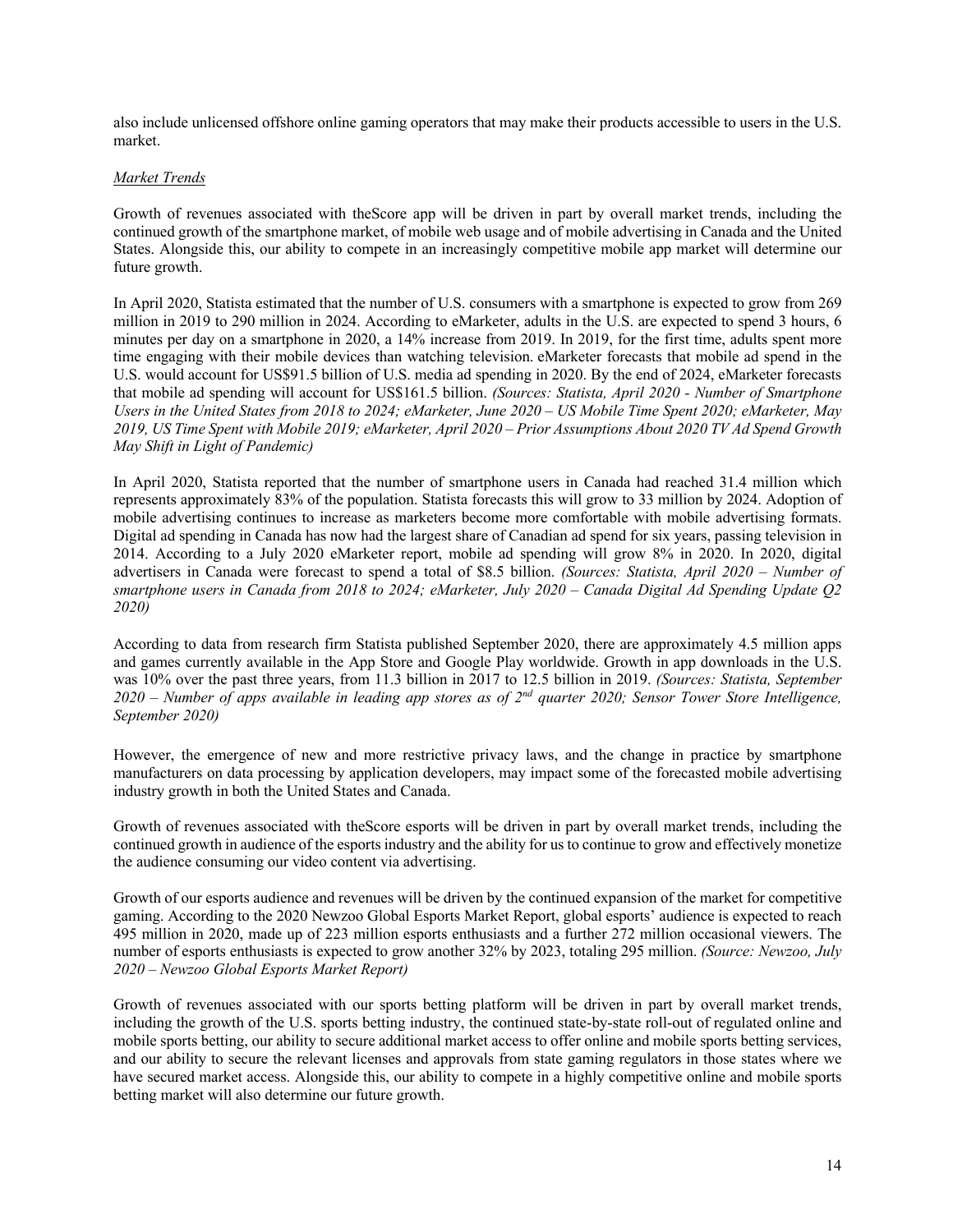also include unlicensed offshore online gaming operators that may make their products accessible to users in the U.S. market.

### *Market Trends*

Growth of revenues associated with theScore app will be driven in part by overall market trends, including the continued growth of the smartphone market, of mobile web usage and of mobile advertising in Canada and the United States. Alongside this, our ability to compete in an increasingly competitive mobile app market will determine our future growth.

In April 2020, Statista estimated that the number of U.S. consumers with a smartphone is expected to grow from 269 million in 2019 to 290 million in 2024. According to eMarketer, adults in the U.S. are expected to spend 3 hours, 6 minutes per day on a smartphone in 2020, a 14% increase from 2019. In 2019, for the first time, adults spent more time engaging with their mobile devices than watching television. eMarketer forecasts that mobile ad spend in the U.S. would account for US\$91.5 billion of U.S. media ad spending in 2020. By the end of 2024, eMarketer forecasts that mobile ad spending will account for US\$161.5 billion. *(Sources: Statista, April 2020 - Number of Smartphone Users in the United States from 2018 to 2024; eMarketer, June 2020 – US Mobile Time Spent 2020; eMarketer, May 2019, US Time Spent with Mobile 2019; eMarketer, April 2020 – Prior Assumptions About 2020 TV Ad Spend Growth May Shift in Light of Pandemic)* 

In April 2020, Statista reported that the number of smartphone users in Canada had reached 31.4 million which represents approximately 83% of the population. Statista forecasts this will grow to 33 million by 2024. Adoption of mobile advertising continues to increase as marketers become more comfortable with mobile advertising formats. Digital ad spending in Canada has now had the largest share of Canadian ad spend for six years, passing television in 2014. According to a July 2020 eMarketer report, mobile ad spending will grow 8% in 2020. In 2020, digital advertisers in Canada were forecast to spend a total of \$8.5 billion. *(Sources: Statista, April 2020 – Number of smartphone users in Canada from 2018 to 2024; eMarketer, July 2020 – Canada Digital Ad Spending Update Q2 2020)*

According to data from research firm Statista published September 2020, there are approximately 4.5 million apps and games currently available in the App Store and Google Play worldwide. Growth in app downloads in the U.S. was 10% over the past three years, from 11.3 billion in 2017 to 12.5 billion in 2019. *(Sources: Statista, September 2020 – Number of apps available in leading app stores as of 2nd quarter 2020; Sensor Tower Store Intelligence, September 2020)*

However, the emergence of new and more restrictive privacy laws, and the change in practice by smartphone manufacturers on data processing by application developers, may impact some of the forecasted mobile advertising industry growth in both the United States and Canada.

Growth of revenues associated with theScore esports will be driven in part by overall market trends, including the continued growth in audience of the esports industry and the ability for us to continue to grow and effectively monetize the audience consuming our video content via advertising.

Growth of our esports audience and revenues will be driven by the continued expansion of the market for competitive gaming. According to the 2020 Newzoo Global Esports Market Report, global esports' audience is expected to reach 495 million in 2020, made up of 223 million esports enthusiasts and a further 272 million occasional viewers. The number of esports enthusiasts is expected to grow another 32% by 2023, totaling 295 million. *(Source: Newzoo, July 2020 – Newzoo Global Esports Market Report)*

Growth of revenues associated with our sports betting platform will be driven in part by overall market trends, including the growth of the U.S. sports betting industry, the continued state-by-state roll-out of regulated online and mobile sports betting, our ability to secure additional market access to offer online and mobile sports betting services, and our ability to secure the relevant licenses and approvals from state gaming regulators in those states where we have secured market access. Alongside this, our ability to compete in a highly competitive online and mobile sports betting market will also determine our future growth.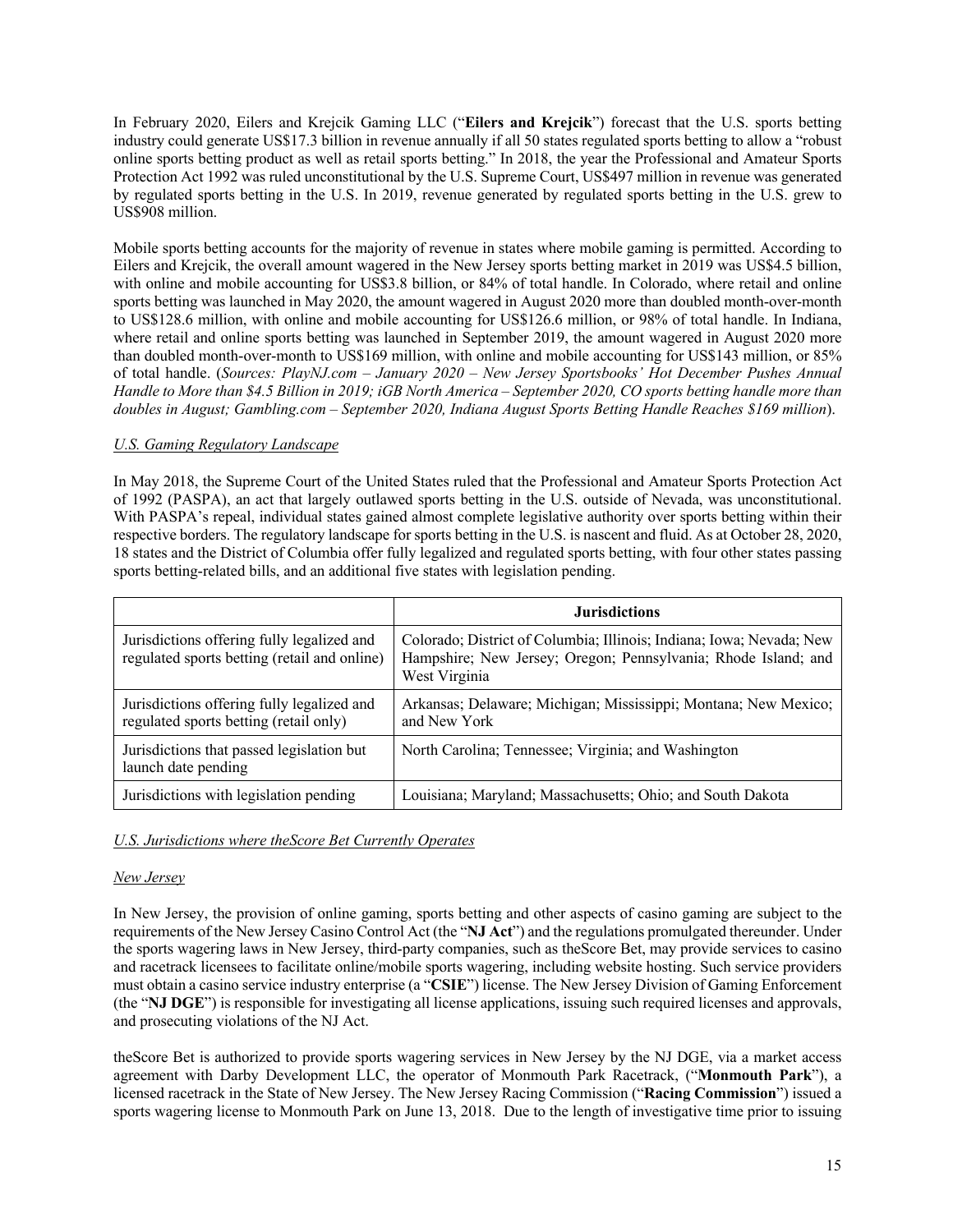In February 2020, Eilers and Krejcik Gaming LLC ("**Eilers and Krejcik**") forecast that the U.S. sports betting industry could generate US\$17.3 billion in revenue annually if all 50 states regulated sports betting to allow a "robust online sports betting product as well as retail sports betting." In 2018, the year the Professional and Amateur Sports Protection Act 1992 was ruled unconstitutional by the U.S. Supreme Court, US\$497 million in revenue was generated by regulated sports betting in the U.S. In 2019, revenue generated by regulated sports betting in the U.S. grew to US\$908 million.

Mobile sports betting accounts for the majority of revenue in states where mobile gaming is permitted. According to Eilers and Krejcik, the overall amount wagered in the New Jersey sports betting market in 2019 was US\$4.5 billion, with online and mobile accounting for US\$3.8 billion, or 84% of total handle. In Colorado, where retail and online sports betting was launched in May 2020, the amount wagered in August 2020 more than doubled month-over-month to US\$128.6 million, with online and mobile accounting for US\$126.6 million, or 98% of total handle. In Indiana, where retail and online sports betting was launched in September 2019, the amount wagered in August 2020 more than doubled month-over-month to US\$169 million, with online and mobile accounting for US\$143 million, or 85% of total handle. (*Sources: PlayNJ.com – January 2020 – New Jersey Sportsbooks' Hot December Pushes Annual Handle to More than \$4.5 Billion in 2019; iGB North America – September 2020, CO sports betting handle more than doubles in August; Gambling.com – September 2020, Indiana August Sports Betting Handle Reaches \$169 million*).

# *U.S. Gaming Regulatory Landscape*

In May 2018, the Supreme Court of the United States ruled that the Professional and Amateur Sports Protection Act of 1992 (PASPA), an act that largely outlawed sports betting in the U.S. outside of Nevada, was unconstitutional. With PASPA's repeal, individual states gained almost complete legislative authority over sports betting within their respective borders. The regulatory landscape for sports betting in the U.S. is nascent and fluid. As at October 28, 2020, 18 states and the District of Columbia offer fully legalized and regulated sports betting, with four other states passing sports betting-related bills, and an additional five states with legislation pending.

|                                                                                            | <b>Jurisdictions</b>                                                                                                                                    |
|--------------------------------------------------------------------------------------------|---------------------------------------------------------------------------------------------------------------------------------------------------------|
| Jurisdictions offering fully legalized and<br>regulated sports betting (retail and online) | Colorado; District of Columbia; Illinois; Indiana; Iowa; Nevada; New<br>Hampshire; New Jersey; Oregon; Pennsylvania; Rhode Island; and<br>West Virginia |
| Jurisdictions offering fully legalized and<br>regulated sports betting (retail only)       | Arkansas; Delaware; Michigan; Mississippi; Montana; New Mexico;<br>and New York                                                                         |
| Jurisdictions that passed legislation but<br>launch date pending                           | North Carolina; Tennessee; Virginia; and Washington                                                                                                     |
| Jurisdictions with legislation pending                                                     | Louisiana; Maryland; Massachusetts; Ohio; and South Dakota                                                                                              |

## *U.S. Jurisdictions where theScore Bet Currently Operates*

## *New Jersey*

In New Jersey, the provision of online gaming, sports betting and other aspects of casino gaming are subject to the requirements of the New Jersey Casino Control Act (the "**NJ Act**") and the regulations promulgated thereunder. Under the sports wagering laws in New Jersey, third-party companies, such as theScore Bet, may provide services to casino and racetrack licensees to facilitate online/mobile sports wagering, including website hosting. Such service providers must obtain a casino service industry enterprise (a "**CSIE**") license. The New Jersey Division of Gaming Enforcement (the "**NJ DGE**") is responsible for investigating all license applications, issuing such required licenses and approvals, and prosecuting violations of the NJ Act.

theScore Bet is authorized to provide sports wagering services in New Jersey by the NJ DGE, via a market access agreement with Darby Development LLC, the operator of Monmouth Park Racetrack, ("**Monmouth Park**"), a licensed racetrack in the State of New Jersey. The New Jersey Racing Commission ("**Racing Commission**") issued a sports wagering license to Monmouth Park on June 13, 2018. Due to the length of investigative time prior to issuing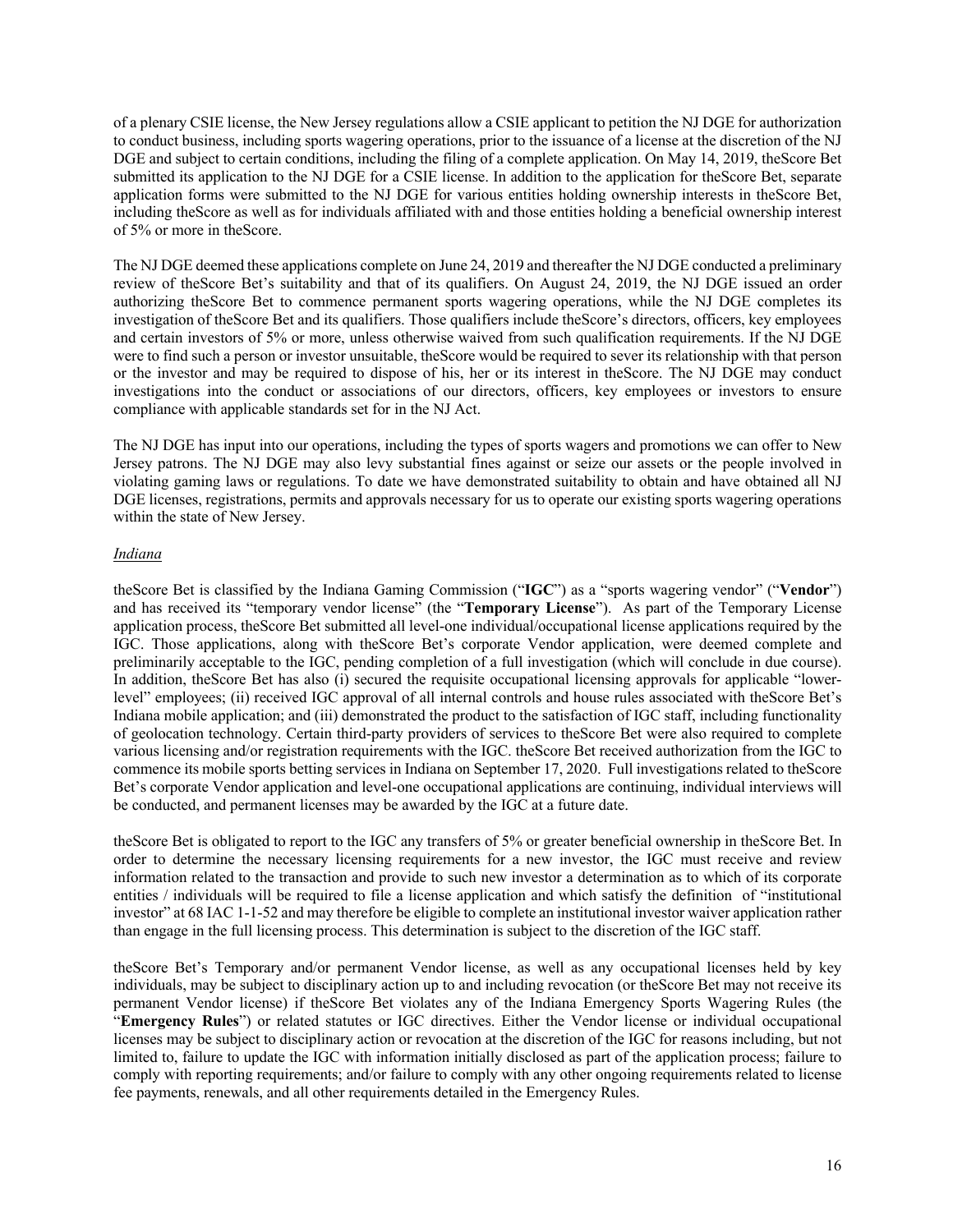of a plenary CSIE license, the New Jersey regulations allow a CSIE applicant to petition the NJ DGE for authorization to conduct business, including sports wagering operations, prior to the issuance of a license at the discretion of the NJ DGE and subject to certain conditions, including the filing of a complete application. On May 14, 2019, theScore Bet submitted its application to the NJ DGE for a CSIE license. In addition to the application for the Score Bet, separate application forms were submitted to the NJ DGE for various entities holding ownership interests in theScore Bet, including theScore as well as for individuals affiliated with and those entities holding a beneficial ownership interest of 5% or more in theScore.

The NJ DGE deemed these applications complete on June 24, 2019 and thereafter the NJ DGE conducted a preliminary review of theScore Bet's suitability and that of its qualifiers. On August 24, 2019, the NJ DGE issued an order authorizing theScore Bet to commence permanent sports wagering operations, while the NJ DGE completes its investigation of theScore Bet and its qualifiers. Those qualifiers include theScore's directors, officers, key employees and certain investors of 5% or more, unless otherwise waived from such qualification requirements. If the NJ DGE were to find such a person or investor unsuitable, theScore would be required to sever its relationship with that person or the investor and may be required to dispose of his, her or its interest in theScore. The NJ DGE may conduct investigations into the conduct or associations of our directors, officers, key employees or investors to ensure compliance with applicable standards set for in the NJ Act.

The NJ DGE has input into our operations, including the types of sports wagers and promotions we can offer to New Jersey patrons. The NJ DGE may also levy substantial fines against or seize our assets or the people involved in violating gaming laws or regulations. To date we have demonstrated suitability to obtain and have obtained all NJ DGE licenses, registrations, permits and approvals necessary for us to operate our existing sports wagering operations within the state of New Jersey.

## *Indiana*

theScore Bet is classified by the Indiana Gaming Commission ("**IGC**") as a "sports wagering vendor" ("**Vendor**") and has received its "temporary vendor license" (the "**Temporary License**"). As part of the Temporary License application process, theScore Bet submitted all level-one individual/occupational license applications required by the IGC. Those applications, along with theScore Bet's corporate Vendor application, were deemed complete and preliminarily acceptable to the IGC, pending completion of a full investigation (which will conclude in due course). In addition, theScore Bet has also (i) secured the requisite occupational licensing approvals for applicable "lowerlevel" employees; (ii) received IGC approval of all internal controls and house rules associated with theScore Bet's Indiana mobile application; and (iii) demonstrated the product to the satisfaction of IGC staff, including functionality of geolocation technology. Certain third-party providers of services to theScore Bet were also required to complete various licensing and/or registration requirements with the IGC. theScore Bet received authorization from the IGC to commence its mobile sports betting services in Indiana on September 17, 2020. Full investigations related to theScore Bet's corporate Vendor application and level-one occupational applications are continuing, individual interviews will be conducted, and permanent licenses may be awarded by the IGC at a future date.

theScore Bet is obligated to report to the IGC any transfers of 5% or greater beneficial ownership in theScore Bet. In order to determine the necessary licensing requirements for a new investor, the IGC must receive and review information related to the transaction and provide to such new investor a determination as to which of its corporate entities / individuals will be required to file a license application and which satisfy the definition of "institutional investor" at 68 IAC 1-1-52 and may therefore be eligible to complete an institutional investor waiver application rather than engage in the full licensing process. This determination is subject to the discretion of the IGC staff.

theScore Bet's Temporary and/or permanent Vendor license, as well as any occupational licenses held by key individuals, may be subject to disciplinary action up to and including revocation (or theScore Bet may not receive its permanent Vendor license) if theScore Bet violates any of the Indiana Emergency Sports Wagering Rules (the "**Emergency Rules**") or related statutes or IGC directives. Either the Vendor license or individual occupational licenses may be subject to disciplinary action or revocation at the discretion of the IGC for reasons including, but not limited to, failure to update the IGC with information initially disclosed as part of the application process; failure to comply with reporting requirements; and/or failure to comply with any other ongoing requirements related to license fee payments, renewals, and all other requirements detailed in the Emergency Rules.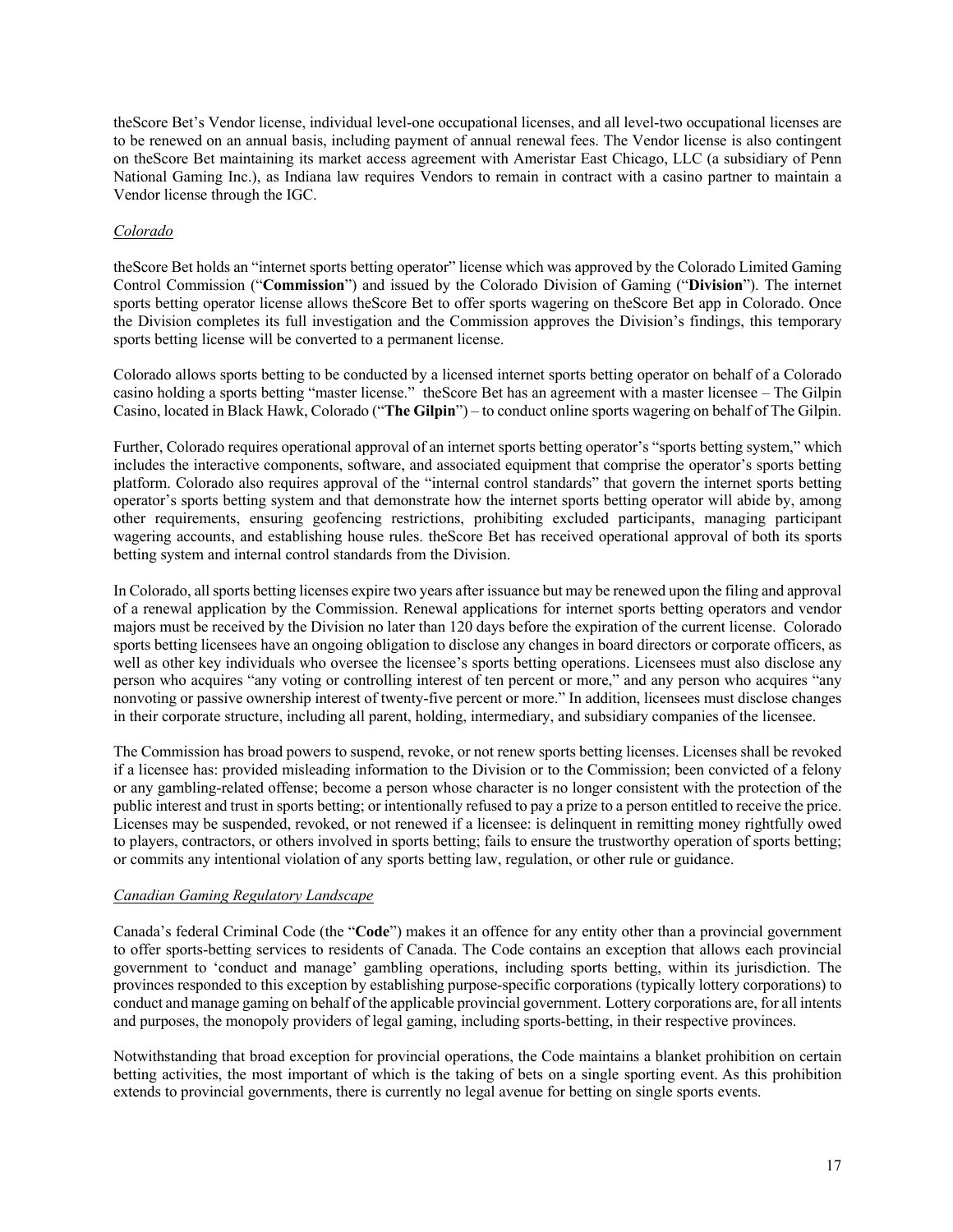theScore Bet's Vendor license, individual level-one occupational licenses, and all level-two occupational licenses are to be renewed on an annual basis, including payment of annual renewal fees. The Vendor license is also contingent on theScore Bet maintaining its market access agreement with Ameristar East Chicago, LLC (a subsidiary of Penn National Gaming Inc.), as Indiana law requires Vendors to remain in contract with a casino partner to maintain a Vendor license through the IGC.

## *Colorado*

theScore Bet holds an "internet sports betting operator" license which was approved by the Colorado Limited Gaming Control Commission ("**Commission**") and issued by the Colorado Division of Gaming ("**Division**"). The internet sports betting operator license allows theScore Bet to offer sports wagering on theScore Bet app in Colorado. Once the Division completes its full investigation and the Commission approves the Division's findings, this temporary sports betting license will be converted to a permanent license.

Colorado allows sports betting to be conducted by a licensed internet sports betting operator on behalf of a Colorado casino holding a sports betting "master license." theScore Bet has an agreement with a master licensee – The Gilpin Casino, located in Black Hawk, Colorado ("**The Gilpin**") – to conduct online sports wagering on behalf of The Gilpin.

Further, Colorado requires operational approval of an internet sports betting operator's "sports betting system," which includes the interactive components, software, and associated equipment that comprise the operator's sports betting platform. Colorado also requires approval of the "internal control standards" that govern the internet sports betting operator's sports betting system and that demonstrate how the internet sports betting operator will abide by, among other requirements, ensuring geofencing restrictions, prohibiting excluded participants, managing participant wagering accounts, and establishing house rules. theScore Bet has received operational approval of both its sports betting system and internal control standards from the Division.

In Colorado, all sports betting licenses expire two years after issuance but may be renewed upon the filing and approval of a renewal application by the Commission. Renewal applications for internet sports betting operators and vendor majors must be received by the Division no later than 120 days before the expiration of the current license. Colorado sports betting licensees have an ongoing obligation to disclose any changes in board directors or corporate officers, as well as other key individuals who oversee the licensee's sports betting operations. Licensees must also disclose any person who acquires "any voting or controlling interest of ten percent or more," and any person who acquires "any nonvoting or passive ownership interest of twenty-five percent or more." In addition, licensees must disclose changes in their corporate structure, including all parent, holding, intermediary, and subsidiary companies of the licensee.

The Commission has broad powers to suspend, revoke, or not renew sports betting licenses. Licenses shall be revoked if a licensee has: provided misleading information to the Division or to the Commission; been convicted of a felony or any gambling-related offense; become a person whose character is no longer consistent with the protection of the public interest and trust in sports betting; or intentionally refused to pay a prize to a person entitled to receive the price. Licenses may be suspended, revoked, or not renewed if a licensee: is delinquent in remitting money rightfully owed to players, contractors, or others involved in sports betting; fails to ensure the trustworthy operation of sports betting; or commits any intentional violation of any sports betting law, regulation, or other rule or guidance.

## *Canadian Gaming Regulatory Landscape*

Canada's federal Criminal Code (the "**Code**") makes it an offence for any entity other than a provincial government to offer sports-betting services to residents of Canada. The Code contains an exception that allows each provincial government to 'conduct and manage' gambling operations, including sports betting, within its jurisdiction. The provinces responded to this exception by establishing purpose-specific corporations (typically lottery corporations) to conduct and manage gaming on behalf of the applicable provincial government. Lottery corporations are, for all intents and purposes, the monopoly providers of legal gaming, including sports-betting, in their respective provinces.

Notwithstanding that broad exception for provincial operations, the Code maintains a blanket prohibition on certain betting activities, the most important of which is the taking of bets on a single sporting event. As this prohibition extends to provincial governments, there is currently no legal avenue for betting on single sports events.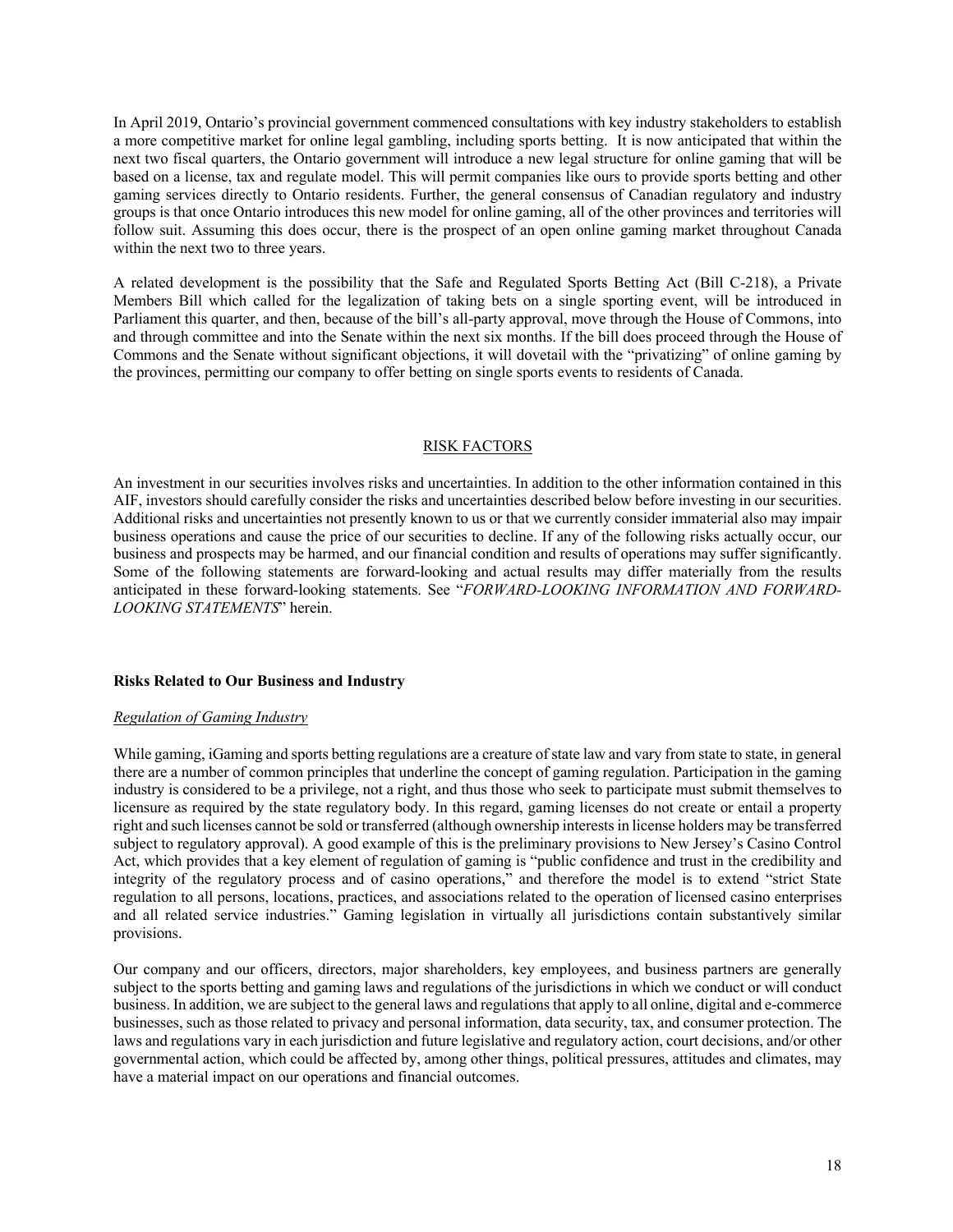In April 2019, Ontario's provincial government commenced consultations with key industry stakeholders to establish a more competitive market for online legal gambling, including sports betting. It is now anticipated that within the next two fiscal quarters, the Ontario government will introduce a new legal structure for online gaming that will be based on a license, tax and regulate model. This will permit companies like ours to provide sports betting and other gaming services directly to Ontario residents. Further, the general consensus of Canadian regulatory and industry groups is that once Ontario introduces this new model for online gaming, all of the other provinces and territories will follow suit. Assuming this does occur, there is the prospect of an open online gaming market throughout Canada within the next two to three years.

A related development is the possibility that the Safe and Regulated Sports Betting Act (Bill C-218), a Private Members Bill which called for the legalization of taking bets on a single sporting event, will be introduced in Parliament this quarter, and then, because of the bill's all-party approval, move through the House of Commons, into and through committee and into the Senate within the next six months. If the bill does proceed through the House of Commons and the Senate without significant objections, it will dovetail with the "privatizing" of online gaming by the provinces, permitting our company to offer betting on single sports events to residents of Canada.

#### RISK FACTORS

An investment in our securities involves risks and uncertainties. In addition to the other information contained in this AIF, investors should carefully consider the risks and uncertainties described below before investing in our securities. Additional risks and uncertainties not presently known to us or that we currently consider immaterial also may impair business operations and cause the price of our securities to decline. If any of the following risks actually occur, our business and prospects may be harmed, and our financial condition and results of operations may suffer significantly. Some of the following statements are forward-looking and actual results may differ materially from the results anticipated in these forward-looking statements. See "*FORWARD-LOOKING INFORMATION AND FORWARD-LOOKING STATEMENTS*" herein.

#### **Risks Related to Our Business and Industry**

## *Regulation of Gaming Industry*

While gaming, iGaming and sports betting regulations are a creature of state law and vary from state to state, in general there are a number of common principles that underline the concept of gaming regulation. Participation in the gaming industry is considered to be a privilege, not a right, and thus those who seek to participate must submit themselves to licensure as required by the state regulatory body. In this regard, gaming licenses do not create or entail a property right and such licenses cannot be sold or transferred (although ownership interests in license holders may be transferred subject to regulatory approval). A good example of this is the preliminary provisions to New Jersey's Casino Control Act, which provides that a key element of regulation of gaming is "public confidence and trust in the credibility and integrity of the regulatory process and of casino operations," and therefore the model is to extend "strict State regulation to all persons, locations, practices, and associations related to the operation of licensed casino enterprises and all related service industries." Gaming legislation in virtually all jurisdictions contain substantively similar provisions.

Our company and our officers, directors, major shareholders, key employees, and business partners are generally subject to the sports betting and gaming laws and regulations of the jurisdictions in which we conduct or will conduct business. In addition, we are subject to the general laws and regulations that apply to all online, digital and e-commerce businesses, such as those related to privacy and personal information, data security, tax, and consumer protection. The laws and regulations vary in each jurisdiction and future legislative and regulatory action, court decisions, and/or other governmental action, which could be affected by, among other things, political pressures, attitudes and climates, may have a material impact on our operations and financial outcomes.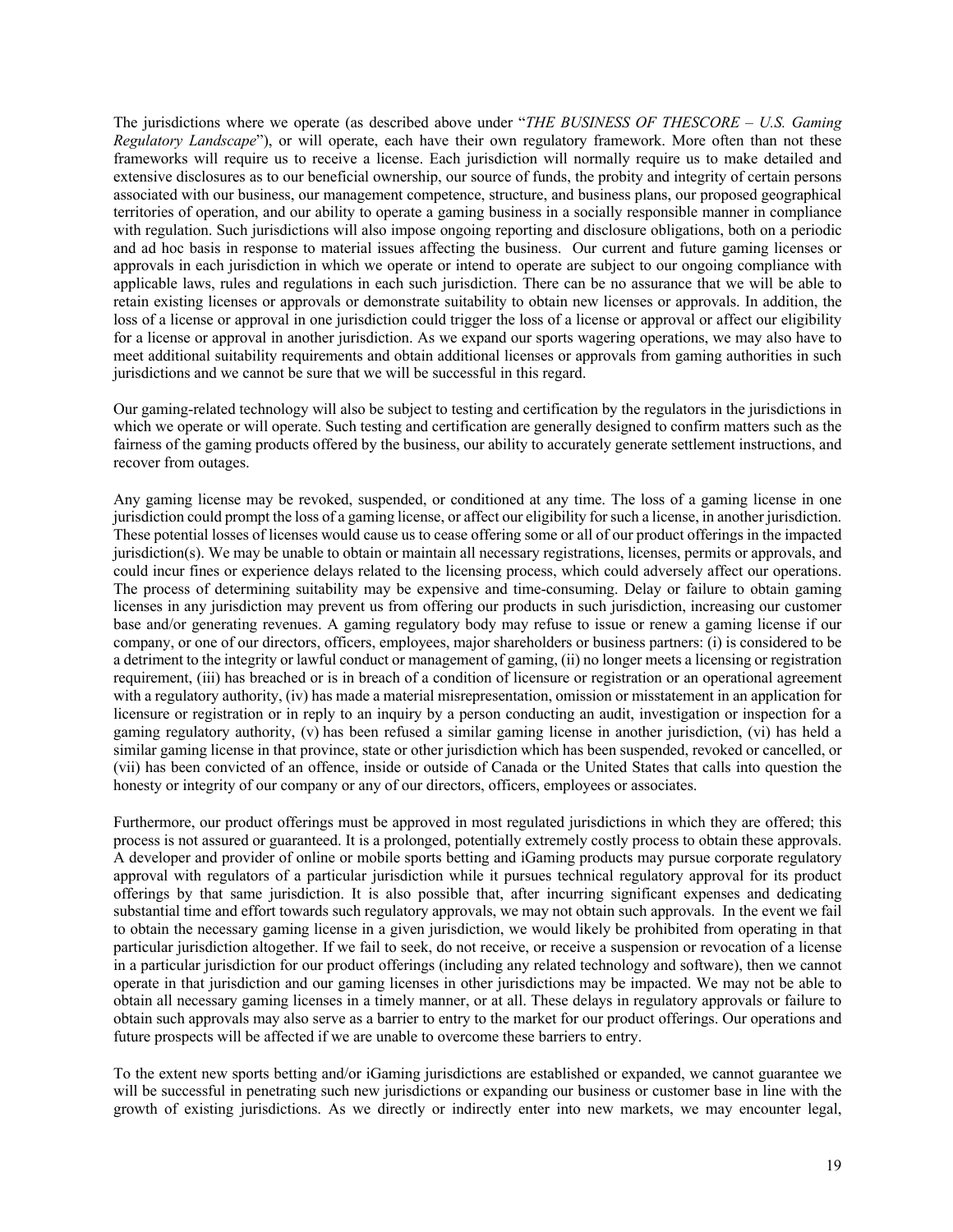The jurisdictions where we operate (as described above under "*THE BUSINESS OF THESCORE – U.S. Gaming Regulatory Landscape*"), or will operate, each have their own regulatory framework. More often than not these frameworks will require us to receive a license. Each jurisdiction will normally require us to make detailed and extensive disclosures as to our beneficial ownership, our source of funds, the probity and integrity of certain persons associated with our business, our management competence, structure, and business plans, our proposed geographical territories of operation, and our ability to operate a gaming business in a socially responsible manner in compliance with regulation. Such jurisdictions will also impose ongoing reporting and disclosure obligations, both on a periodic and ad hoc basis in response to material issues affecting the business. Our current and future gaming licenses or approvals in each jurisdiction in which we operate or intend to operate are subject to our ongoing compliance with applicable laws, rules and regulations in each such jurisdiction. There can be no assurance that we will be able to retain existing licenses or approvals or demonstrate suitability to obtain new licenses or approvals. In addition, the loss of a license or approval in one jurisdiction could trigger the loss of a license or approval or affect our eligibility for a license or approval in another jurisdiction. As we expand our sports wagering operations, we may also have to meet additional suitability requirements and obtain additional licenses or approvals from gaming authorities in such jurisdictions and we cannot be sure that we will be successful in this regard.

Our gaming-related technology will also be subject to testing and certification by the regulators in the jurisdictions in which we operate or will operate. Such testing and certification are generally designed to confirm matters such as the fairness of the gaming products offered by the business, our ability to accurately generate settlement instructions, and recover from outages.

Any gaming license may be revoked, suspended, or conditioned at any time. The loss of a gaming license in one jurisdiction could prompt the loss of a gaming license, or affect our eligibility for such a license, in another jurisdiction. These potential losses of licenses would cause us to cease offering some or all of our product offerings in the impacted jurisdiction(s). We may be unable to obtain or maintain all necessary registrations, licenses, permits or approvals, and could incur fines or experience delays related to the licensing process, which could adversely affect our operations. The process of determining suitability may be expensive and time-consuming. Delay or failure to obtain gaming licenses in any jurisdiction may prevent us from offering our products in such jurisdiction, increasing our customer base and/or generating revenues. A gaming regulatory body may refuse to issue or renew a gaming license if our company, or one of our directors, officers, employees, major shareholders or business partners: (i) is considered to be a detriment to the integrity or lawful conduct or management of gaming, (ii) no longer meets a licensing or registration requirement, (iii) has breached or is in breach of a condition of licensure or registration or an operational agreement with a regulatory authority, (iv) has made a material misrepresentation, omission or misstatement in an application for licensure or registration or in reply to an inquiry by a person conducting an audit, investigation or inspection for a gaming regulatory authority, (v) has been refused a similar gaming license in another jurisdiction, (vi) has held a similar gaming license in that province, state or other jurisdiction which has been suspended, revoked or cancelled, or (vii) has been convicted of an offence, inside or outside of Canada or the United States that calls into question the honesty or integrity of our company or any of our directors, officers, employees or associates.

Furthermore, our product offerings must be approved in most regulated jurisdictions in which they are offered; this process is not assured or guaranteed. It is a prolonged, potentially extremely costly process to obtain these approvals. A developer and provider of online or mobile sports betting and iGaming products may pursue corporate regulatory approval with regulators of a particular jurisdiction while it pursues technical regulatory approval for its product offerings by that same jurisdiction. It is also possible that, after incurring significant expenses and dedicating substantial time and effort towards such regulatory approvals, we may not obtain such approvals. In the event we fail to obtain the necessary gaming license in a given jurisdiction, we would likely be prohibited from operating in that particular jurisdiction altogether. If we fail to seek, do not receive, or receive a suspension or revocation of a license in a particular jurisdiction for our product offerings (including any related technology and software), then we cannot operate in that jurisdiction and our gaming licenses in other jurisdictions may be impacted. We may not be able to obtain all necessary gaming licenses in a timely manner, or at all. These delays in regulatory approvals or failure to obtain such approvals may also serve as a barrier to entry to the market for our product offerings. Our operations and future prospects will be affected if we are unable to overcome these barriers to entry.

To the extent new sports betting and/or iGaming jurisdictions are established or expanded, we cannot guarantee we will be successful in penetrating such new jurisdictions or expanding our business or customer base in line with the growth of existing jurisdictions. As we directly or indirectly enter into new markets, we may encounter legal,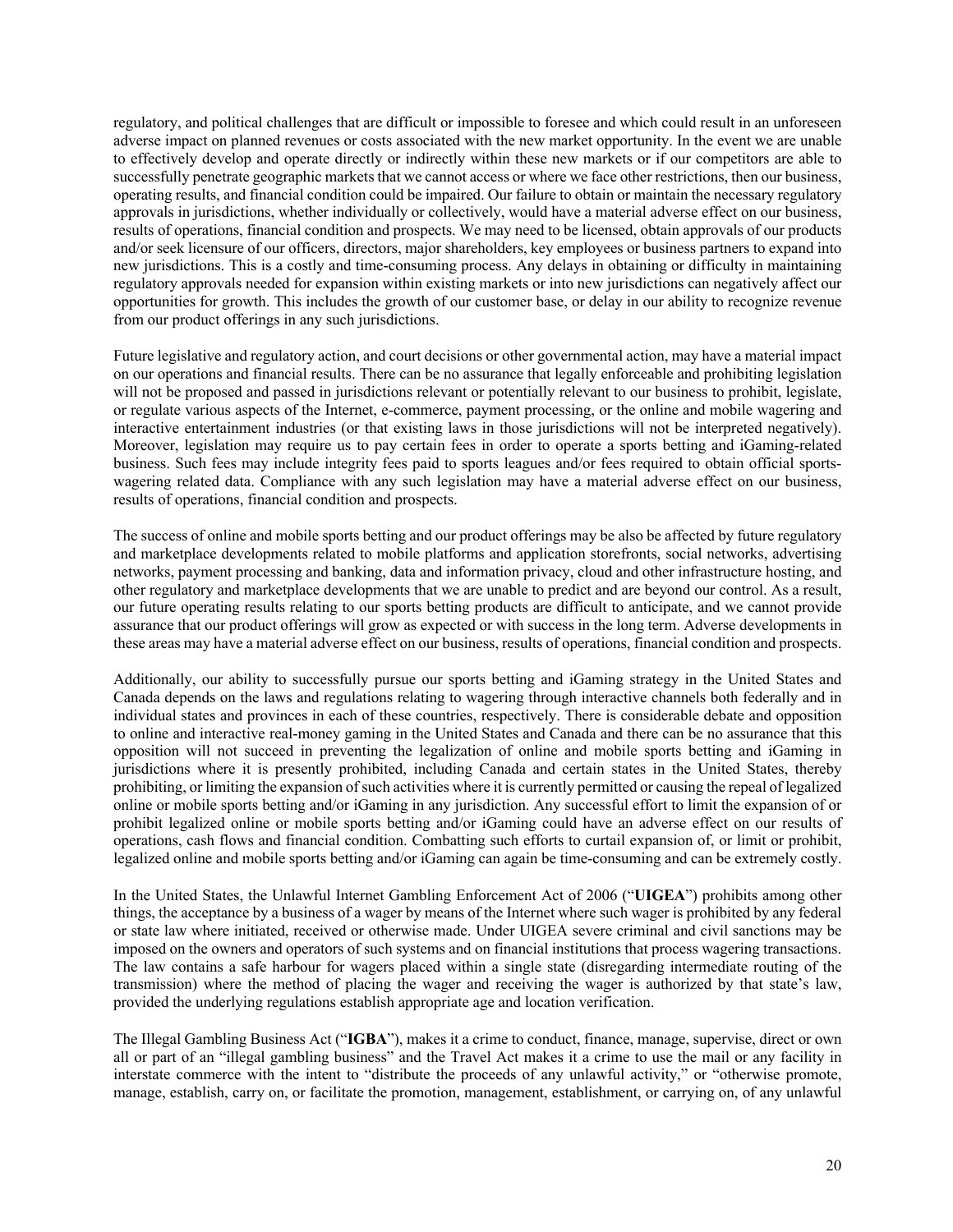regulatory, and political challenges that are difficult or impossible to foresee and which could result in an unforeseen adverse impact on planned revenues or costs associated with the new market opportunity. In the event we are unable to effectively develop and operate directly or indirectly within these new markets or if our competitors are able to successfully penetrate geographic markets that we cannot access or where we face other restrictions, then our business, operating results, and financial condition could be impaired. Our failure to obtain or maintain the necessary regulatory approvals in jurisdictions, whether individually or collectively, would have a material adverse effect on our business, results of operations, financial condition and prospects. We may need to be licensed, obtain approvals of our products and/or seek licensure of our officers, directors, major shareholders, key employees or business partners to expand into new jurisdictions. This is a costly and time-consuming process. Any delays in obtaining or difficulty in maintaining regulatory approvals needed for expansion within existing markets or into new jurisdictions can negatively affect our opportunities for growth. This includes the growth of our customer base, or delay in our ability to recognize revenue from our product offerings in any such jurisdictions.

Future legislative and regulatory action, and court decisions or other governmental action, may have a material impact on our operations and financial results. There can be no assurance that legally enforceable and prohibiting legislation will not be proposed and passed in jurisdictions relevant or potentially relevant to our business to prohibit, legislate, or regulate various aspects of the Internet, e-commerce, payment processing, or the online and mobile wagering and interactive entertainment industries (or that existing laws in those jurisdictions will not be interpreted negatively). Moreover, legislation may require us to pay certain fees in order to operate a sports betting and iGaming-related business. Such fees may include integrity fees paid to sports leagues and/or fees required to obtain official sportswagering related data. Compliance with any such legislation may have a material adverse effect on our business, results of operations, financial condition and prospects.

The success of online and mobile sports betting and our product offerings may be also be affected by future regulatory and marketplace developments related to mobile platforms and application storefronts, social networks, advertising networks, payment processing and banking, data and information privacy, cloud and other infrastructure hosting, and other regulatory and marketplace developments that we are unable to predict and are beyond our control. As a result, our future operating results relating to our sports betting products are difficult to anticipate, and we cannot provide assurance that our product offerings will grow as expected or with success in the long term. Adverse developments in these areas may have a material adverse effect on our business, results of operations, financial condition and prospects.

Additionally, our ability to successfully pursue our sports betting and iGaming strategy in the United States and Canada depends on the laws and regulations relating to wagering through interactive channels both federally and in individual states and provinces in each of these countries, respectively. There is considerable debate and opposition to online and interactive real-money gaming in the United States and Canada and there can be no assurance that this opposition will not succeed in preventing the legalization of online and mobile sports betting and iGaming in jurisdictions where it is presently prohibited, including Canada and certain states in the United States, thereby prohibiting, or limiting the expansion of such activities where it is currently permitted or causing the repeal of legalized online or mobile sports betting and/or iGaming in any jurisdiction. Any successful effort to limit the expansion of or prohibit legalized online or mobile sports betting and/or iGaming could have an adverse effect on our results of operations, cash flows and financial condition. Combatting such efforts to curtail expansion of, or limit or prohibit, legalized online and mobile sports betting and/or iGaming can again be time-consuming and can be extremely costly.

In the United States, the Unlawful Internet Gambling Enforcement Act of 2006 ("**UIGEA**") prohibits among other things, the acceptance by a business of a wager by means of the Internet where such wager is prohibited by any federal or state law where initiated, received or otherwise made. Under UIGEA severe criminal and civil sanctions may be imposed on the owners and operators of such systems and on financial institutions that process wagering transactions. The law contains a safe harbour for wagers placed within a single state (disregarding intermediate routing of the transmission) where the method of placing the wager and receiving the wager is authorized by that state's law, provided the underlying regulations establish appropriate age and location verification.

The Illegal Gambling Business Act ("**IGBA**"), makes it a crime to conduct, finance, manage, supervise, direct or own all or part of an "illegal gambling business" and the Travel Act makes it a crime to use the mail or any facility in interstate commerce with the intent to "distribute the proceeds of any unlawful activity," or "otherwise promote, manage, establish, carry on, or facilitate the promotion, management, establishment, or carrying on, of any unlawful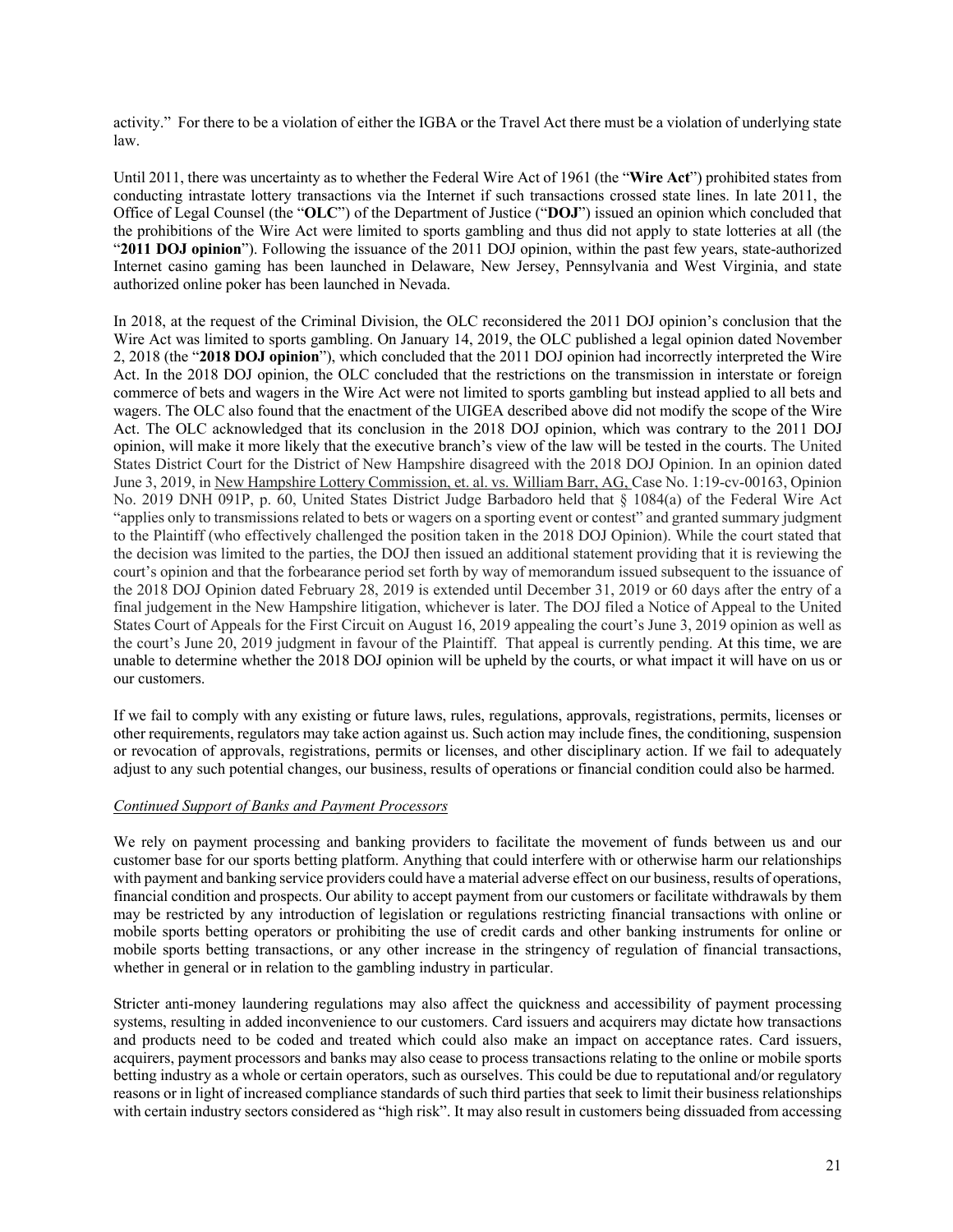activity." For there to be a violation of either the IGBA or the Travel Act there must be a violation of underlying state law.

Until 2011, there was uncertainty as to whether the Federal Wire Act of 1961 (the "**Wire Act**") prohibited states from conducting intrastate lottery transactions via the Internet if such transactions crossed state lines. In late 2011, the Office of Legal Counsel (the "**OLC**") of the Department of Justice ("**DOJ**") issued an opinion which concluded that the prohibitions of the Wire Act were limited to sports gambling and thus did not apply to state lotteries at all (the "2011 DOJ opinion"). Following the issuance of the 2011 DOJ opinion, within the past few years, state-authorized Internet casino gaming has been launched in Delaware, New Jersey, Pennsylvania and West Virginia, and state authorized online poker has been launched in Nevada.

In 2018, at the request of the Criminal Division, the OLC reconsidered the 2011 DOJ opinion's conclusion that the Wire Act was limited to sports gambling. On January 14, 2019, the OLC published a legal opinion dated November 2, 2018 (the "**2018 DOJ opinion**"), which concluded that the 2011 DOJ opinion had incorrectly interpreted the Wire Act. In the 2018 DOJ opinion, the OLC concluded that the restrictions on the transmission in interstate or foreign commerce of bets and wagers in the Wire Act were not limited to sports gambling but instead applied to all bets and wagers. The OLC also found that the enactment of the UIGEA described above did not modify the scope of the Wire Act. The OLC acknowledged that its conclusion in the 2018 DOJ opinion, which was contrary to the 2011 DOJ opinion, will make it more likely that the executive branch's view of the law will be tested in the courts. The United States District Court for the District of New Hampshire disagreed with the 2018 DOJ Opinion. In an opinion dated June 3, 2019, in New Hampshire Lottery Commission, et. al. vs. William Barr, AG, Case No. 1:19-cv-00163, Opinion No. 2019 DNH 091P, p. 60, United States District Judge Barbadoro held that § 1084(a) of the Federal Wire Act "applies only to transmissions related to bets or wagers on a sporting event or contest" and granted summary judgment to the Plaintiff (who effectively challenged the position taken in the 2018 DOJ Opinion). While the court stated that the decision was limited to the parties, the DOJ then issued an additional statement providing that it is reviewing the court's opinion and that the forbearance period set forth by way of memorandum issued subsequent to the issuance of the 2018 DOJ Opinion dated February 28, 2019 is extended until December 31, 2019 or 60 days after the entry of a final judgement in the New Hampshire litigation, whichever is later. The DOJ filed a Notice of Appeal to the United States Court of Appeals for the First Circuit on August 16, 2019 appealing the court's June 3, 2019 opinion as well as the court's June 20, 2019 judgment in favour of the Plaintiff. That appeal is currently pending. At this time, we are unable to determine whether the 2018 DOJ opinion will be upheld by the courts, or what impact it will have on us or our customers.

If we fail to comply with any existing or future laws, rules, regulations, approvals, registrations, permits, licenses or other requirements, regulators may take action against us. Such action may include fines, the conditioning, suspension or revocation of approvals, registrations, permits or licenses, and other disciplinary action. If we fail to adequately adjust to any such potential changes, our business, results of operations or financial condition could also be harmed.

# *Continued Support of Banks and Payment Processors*

We rely on payment processing and banking providers to facilitate the movement of funds between us and our customer base for our sports betting platform. Anything that could interfere with or otherwise harm our relationships with payment and banking service providers could have a material adverse effect on our business, results of operations, financial condition and prospects. Our ability to accept payment from our customers or facilitate withdrawals by them may be restricted by any introduction of legislation or regulations restricting financial transactions with online or mobile sports betting operators or prohibiting the use of credit cards and other banking instruments for online or mobile sports betting transactions, or any other increase in the stringency of regulation of financial transactions, whether in general or in relation to the gambling industry in particular.

Stricter anti-money laundering regulations may also affect the quickness and accessibility of payment processing systems, resulting in added inconvenience to our customers. Card issuers and acquirers may dictate how transactions and products need to be coded and treated which could also make an impact on acceptance rates. Card issuers, acquirers, payment processors and banks may also cease to process transactions relating to the online or mobile sports betting industry as a whole or certain operators, such as ourselves. This could be due to reputational and/or regulatory reasons or in light of increased compliance standards of such third parties that seek to limit their business relationships with certain industry sectors considered as "high risk". It may also result in customers being dissuaded from accessing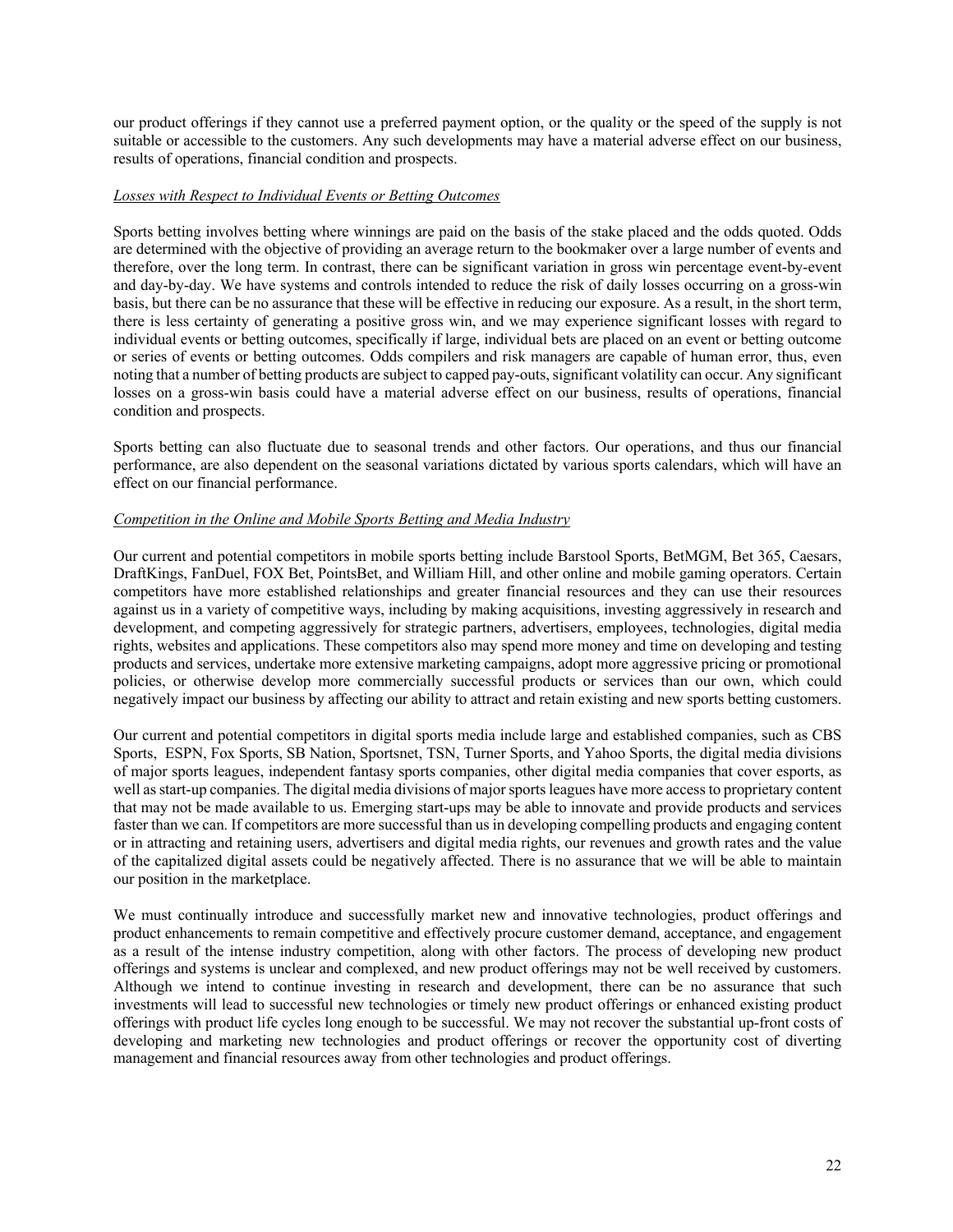our product offerings if they cannot use a preferred payment option, or the quality or the speed of the supply is not suitable or accessible to the customers. Any such developments may have a material adverse effect on our business, results of operations, financial condition and prospects.

### *Losses with Respect to Individual Events or Betting Outcomes*

Sports betting involves betting where winnings are paid on the basis of the stake placed and the odds quoted. Odds are determined with the objective of providing an average return to the bookmaker over a large number of events and therefore, over the long term. In contrast, there can be significant variation in gross win percentage event-by-event and day-by-day. We have systems and controls intended to reduce the risk of daily losses occurring on a gross-win basis, but there can be no assurance that these will be effective in reducing our exposure. As a result, in the short term, there is less certainty of generating a positive gross win, and we may experience significant losses with regard to individual events or betting outcomes, specifically if large, individual bets are placed on an event or betting outcome or series of events or betting outcomes. Odds compilers and risk managers are capable of human error, thus, even noting that a number of betting products are subject to capped pay-outs, significant volatility can occur. Any significant losses on a gross-win basis could have a material adverse effect on our business, results of operations, financial condition and prospects.

Sports betting can also fluctuate due to seasonal trends and other factors. Our operations, and thus our financial performance, are also dependent on the seasonal variations dictated by various sports calendars, which will have an effect on our financial performance.

### *Competition in the Online and Mobile Sports Betting and Media Industry*

Our current and potential competitors in mobile sports betting include Barstool Sports, BetMGM, Bet 365, Caesars, DraftKings, FanDuel, FOX Bet, PointsBet, and William Hill, and other online and mobile gaming operators. Certain competitors have more established relationships and greater financial resources and they can use their resources against us in a variety of competitive ways, including by making acquisitions, investing aggressively in research and development, and competing aggressively for strategic partners, advertisers, employees, technologies, digital media rights, websites and applications. These competitors also may spend more money and time on developing and testing products and services, undertake more extensive marketing campaigns, adopt more aggressive pricing or promotional policies, or otherwise develop more commercially successful products or services than our own, which could negatively impact our business by affecting our ability to attract and retain existing and new sports betting customers.

Our current and potential competitors in digital sports media include large and established companies, such as CBS Sports, ESPN, Fox Sports, SB Nation, Sportsnet, TSN, Turner Sports, and Yahoo Sports, the digital media divisions of major sports leagues, independent fantasy sports companies, other digital media companies that cover esports, as well as start-up companies. The digital media divisions of major sports leagues have more access to proprietary content that may not be made available to us. Emerging start-ups may be able to innovate and provide products and services faster than we can. If competitors are more successful than us in developing compelling products and engaging content or in attracting and retaining users, advertisers and digital media rights, our revenues and growth rates and the value of the capitalized digital assets could be negatively affected. There is no assurance that we will be able to maintain our position in the marketplace.

We must continually introduce and successfully market new and innovative technologies, product offerings and product enhancements to remain competitive and effectively procure customer demand, acceptance, and engagement as a result of the intense industry competition, along with other factors. The process of developing new product offerings and systems is unclear and complexed, and new product offerings may not be well received by customers. Although we intend to continue investing in research and development, there can be no assurance that such investments will lead to successful new technologies or timely new product offerings or enhanced existing product offerings with product life cycles long enough to be successful. We may not recover the substantial up-front costs of developing and marketing new technologies and product offerings or recover the opportunity cost of diverting management and financial resources away from other technologies and product offerings.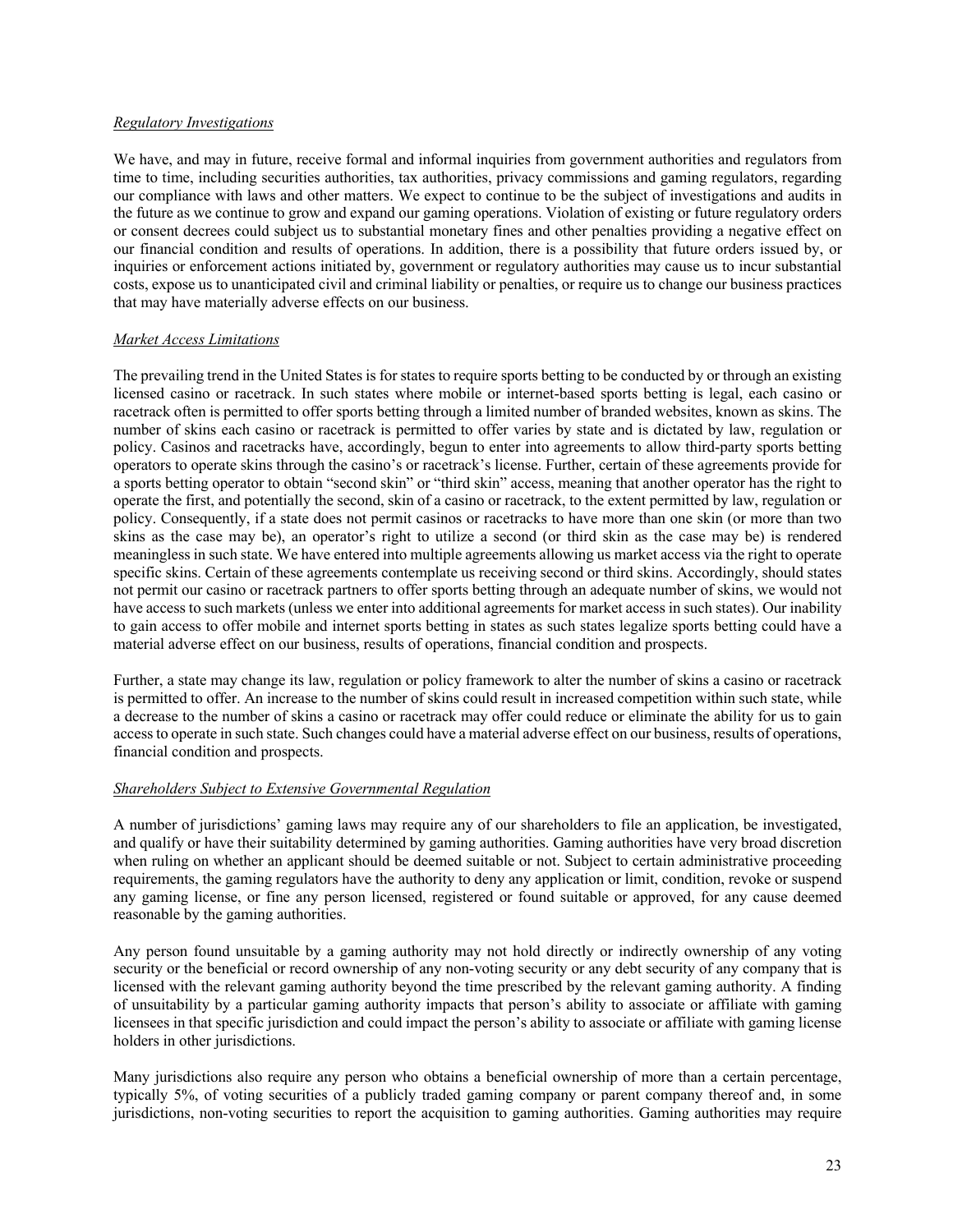### *Regulatory Investigations*

We have, and may in future, receive formal and informal inquiries from government authorities and regulators from time to time, including securities authorities, tax authorities, privacy commissions and gaming regulators, regarding our compliance with laws and other matters. We expect to continue to be the subject of investigations and audits in the future as we continue to grow and expand our gaming operations. Violation of existing or future regulatory orders or consent decrees could subject us to substantial monetary fines and other penalties providing a negative effect on our financial condition and results of operations. In addition, there is a possibility that future orders issued by, or inquiries or enforcement actions initiated by, government or regulatory authorities may cause us to incur substantial costs, expose us to unanticipated civil and criminal liability or penalties, or require us to change our business practices that may have materially adverse effects on our business.

### *Market Access Limitations*

The prevailing trend in the United States is for states to require sports betting to be conducted by or through an existing licensed casino or racetrack. In such states where mobile or internet-based sports betting is legal, each casino or racetrack often is permitted to offer sports betting through a limited number of branded websites, known as skins. The number of skins each casino or racetrack is permitted to offer varies by state and is dictated by law, regulation or policy. Casinos and racetracks have, accordingly, begun to enter into agreements to allow third-party sports betting operators to operate skins through the casino's or racetrack's license. Further, certain of these agreements provide for a sports betting operator to obtain "second skin" or "third skin" access, meaning that another operator has the right to operate the first, and potentially the second, skin of a casino or racetrack, to the extent permitted by law, regulation or policy. Consequently, if a state does not permit casinos or racetracks to have more than one skin (or more than two skins as the case may be), an operator's right to utilize a second (or third skin as the case may be) is rendered meaningless in such state. We have entered into multiple agreements allowing us market access via the right to operate specific skins. Certain of these agreements contemplate us receiving second or third skins. Accordingly, should states not permit our casino or racetrack partners to offer sports betting through an adequate number of skins, we would not have access to such markets (unless we enter into additional agreements for market access in such states). Our inability to gain access to offer mobile and internet sports betting in states as such states legalize sports betting could have a material adverse effect on our business, results of operations, financial condition and prospects.

Further, a state may change its law, regulation or policy framework to alter the number of skins a casino or racetrack is permitted to offer. An increase to the number of skins could result in increased competition within such state, while a decrease to the number of skins a casino or racetrack may offer could reduce or eliminate the ability for us to gain access to operate in such state. Such changes could have a material adverse effect on our business, results of operations, financial condition and prospects.

## *Shareholders Subject to Extensive Governmental Regulation*

A number of jurisdictions' gaming laws may require any of our shareholders to file an application, be investigated, and qualify or have their suitability determined by gaming authorities. Gaming authorities have very broad discretion when ruling on whether an applicant should be deemed suitable or not. Subject to certain administrative proceeding requirements, the gaming regulators have the authority to deny any application or limit, condition, revoke or suspend any gaming license, or fine any person licensed, registered or found suitable or approved, for any cause deemed reasonable by the gaming authorities.

Any person found unsuitable by a gaming authority may not hold directly or indirectly ownership of any voting security or the beneficial or record ownership of any non-voting security or any debt security of any company that is licensed with the relevant gaming authority beyond the time prescribed by the relevant gaming authority. A finding of unsuitability by a particular gaming authority impacts that person's ability to associate or affiliate with gaming licensees in that specific jurisdiction and could impact the person's ability to associate or affiliate with gaming license holders in other jurisdictions.

Many jurisdictions also require any person who obtains a beneficial ownership of more than a certain percentage, typically 5%, of voting securities of a publicly traded gaming company or parent company thereof and, in some jurisdictions, non-voting securities to report the acquisition to gaming authorities. Gaming authorities may require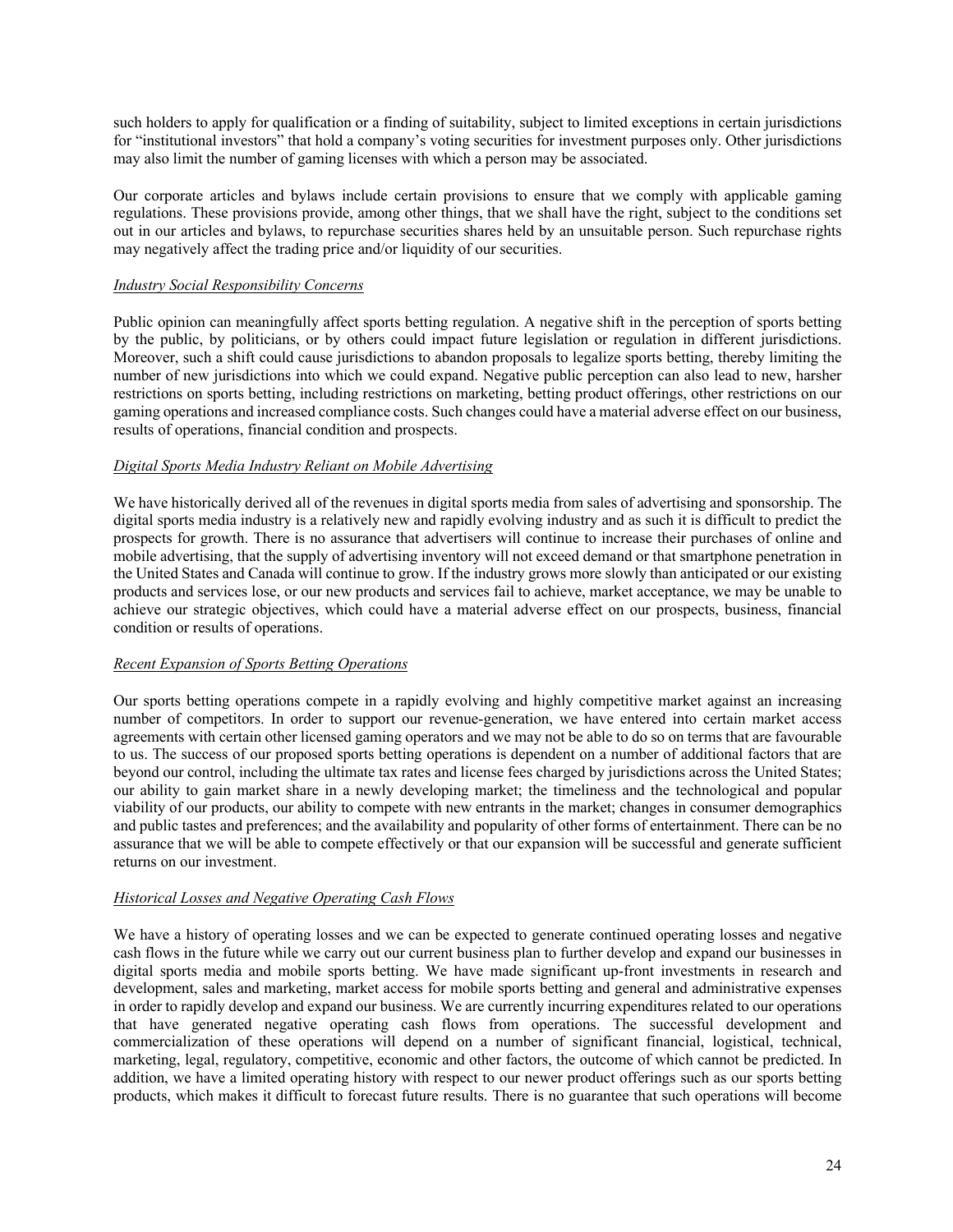such holders to apply for qualification or a finding of suitability, subject to limited exceptions in certain jurisdictions for "institutional investors" that hold a company's voting securities for investment purposes only. Other jurisdictions may also limit the number of gaming licenses with which a person may be associated.

Our corporate articles and bylaws include certain provisions to ensure that we comply with applicable gaming regulations. These provisions provide, among other things, that we shall have the right, subject to the conditions set out in our articles and bylaws, to repurchase securities shares held by an unsuitable person. Such repurchase rights may negatively affect the trading price and/or liquidity of our securities.

## *Industry Social Responsibility Concerns*

Public opinion can meaningfully affect sports betting regulation. A negative shift in the perception of sports betting by the public, by politicians, or by others could impact future legislation or regulation in different jurisdictions. Moreover, such a shift could cause jurisdictions to abandon proposals to legalize sports betting, thereby limiting the number of new jurisdictions into which we could expand. Negative public perception can also lead to new, harsher restrictions on sports betting, including restrictions on marketing, betting product offerings, other restrictions on our gaming operations and increased compliance costs. Such changes could have a material adverse effect on our business, results of operations, financial condition and prospects.

# *Digital Sports Media Industry Reliant on Mobile Advertising*

We have historically derived all of the revenues in digital sports media from sales of advertising and sponsorship. The digital sports media industry is a relatively new and rapidly evolving industry and as such it is difficult to predict the prospects for growth. There is no assurance that advertisers will continue to increase their purchases of online and mobile advertising, that the supply of advertising inventory will not exceed demand or that smartphone penetration in the United States and Canada will continue to grow. If the industry grows more slowly than anticipated or our existing products and services lose, or our new products and services fail to achieve, market acceptance, we may be unable to achieve our strategic objectives, which could have a material adverse effect on our prospects, business, financial condition or results of operations.

## *Recent Expansion of Sports Betting Operations*

Our sports betting operations compete in a rapidly evolving and highly competitive market against an increasing number of competitors. In order to support our revenue-generation, we have entered into certain market access agreements with certain other licensed gaming operators and we may not be able to do so on terms that are favourable to us. The success of our proposed sports betting operations is dependent on a number of additional factors that are beyond our control, including the ultimate tax rates and license fees charged by jurisdictions across the United States; our ability to gain market share in a newly developing market; the timeliness and the technological and popular viability of our products, our ability to compete with new entrants in the market; changes in consumer demographics and public tastes and preferences; and the availability and popularity of other forms of entertainment. There can be no assurance that we will be able to compete effectively or that our expansion will be successful and generate sufficient returns on our investment.

## *Historical Losses and Negative Operating Cash Flows*

We have a history of operating losses and we can be expected to generate continued operating losses and negative cash flows in the future while we carry out our current business plan to further develop and expand our businesses in digital sports media and mobile sports betting. We have made significant up-front investments in research and development, sales and marketing, market access for mobile sports betting and general and administrative expenses in order to rapidly develop and expand our business. We are currently incurring expenditures related to our operations that have generated negative operating cash flows from operations. The successful development and commercialization of these operations will depend on a number of significant financial, logistical, technical, marketing, legal, regulatory, competitive, economic and other factors, the outcome of which cannot be predicted. In addition, we have a limited operating history with respect to our newer product offerings such as our sports betting products, which makes it difficult to forecast future results. There is no guarantee that such operations will become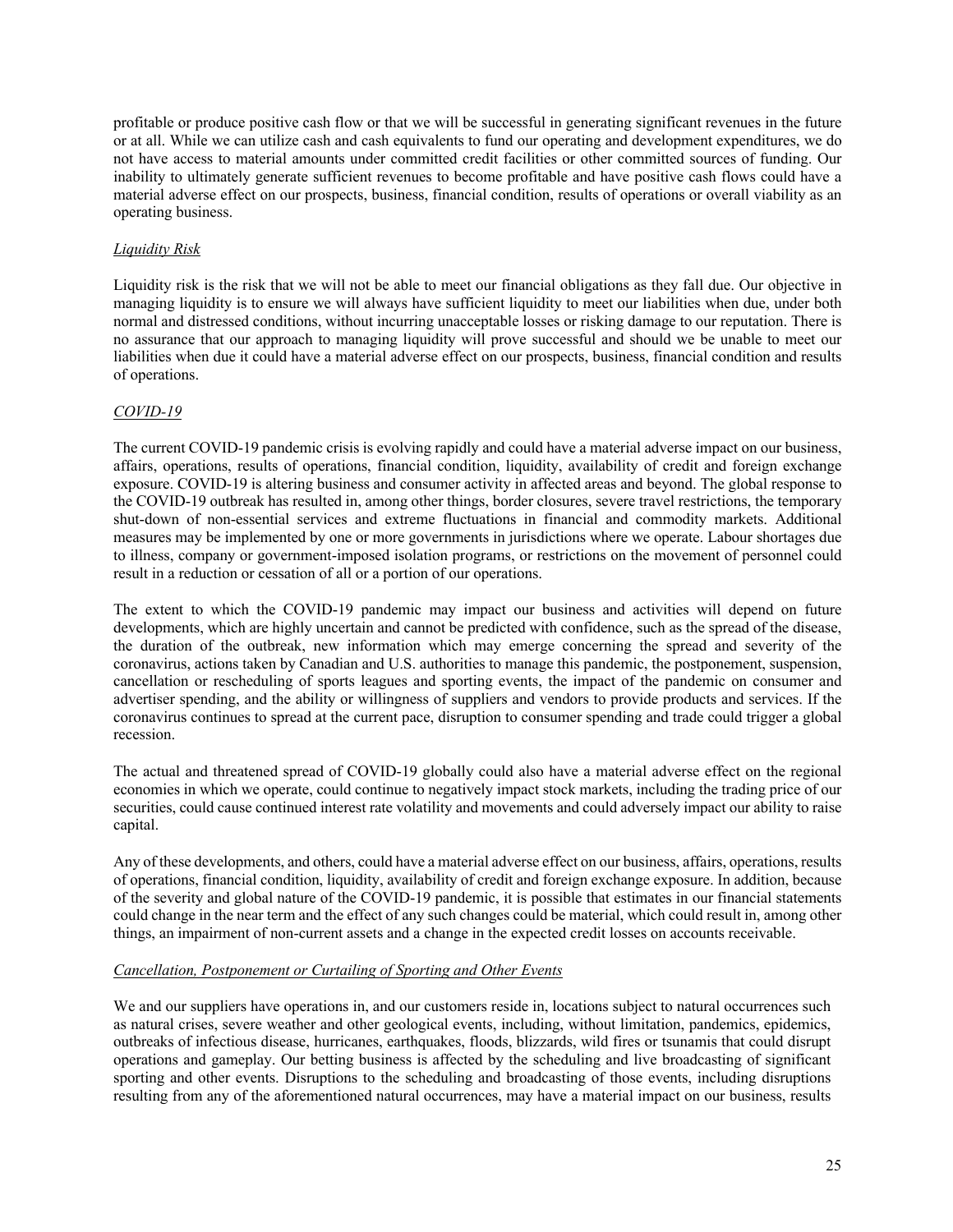profitable or produce positive cash flow or that we will be successful in generating significant revenues in the future or at all. While we can utilize cash and cash equivalents to fund our operating and development expenditures, we do not have access to material amounts under committed credit facilities or other committed sources of funding. Our inability to ultimately generate sufficient revenues to become profitable and have positive cash flows could have a material adverse effect on our prospects, business, financial condition, results of operations or overall viability as an operating business.

# *Liquidity Risk*

Liquidity risk is the risk that we will not be able to meet our financial obligations as they fall due. Our objective in managing liquidity is to ensure we will always have sufficient liquidity to meet our liabilities when due, under both normal and distressed conditions, without incurring unacceptable losses or risking damage to our reputation. There is no assurance that our approach to managing liquidity will prove successful and should we be unable to meet our liabilities when due it could have a material adverse effect on our prospects, business, financial condition and results of operations.

# *COVID-19*

The current COVID-19 pandemic crisis is evolving rapidly and could have a material adverse impact on our business, affairs, operations, results of operations, financial condition, liquidity, availability of credit and foreign exchange exposure. COVID-19 is altering business and consumer activity in affected areas and beyond. The global response to the COVID-19 outbreak has resulted in, among other things, border closures, severe travel restrictions, the temporary shut-down of non-essential services and extreme fluctuations in financial and commodity markets. Additional measures may be implemented by one or more governments in jurisdictions where we operate. Labour shortages due to illness, company or government-imposed isolation programs, or restrictions on the movement of personnel could result in a reduction or cessation of all or a portion of our operations.

The extent to which the COVID-19 pandemic may impact our business and activities will depend on future developments, which are highly uncertain and cannot be predicted with confidence, such as the spread of the disease, the duration of the outbreak, new information which may emerge concerning the spread and severity of the coronavirus, actions taken by Canadian and U.S. authorities to manage this pandemic, the postponement, suspension, cancellation or rescheduling of sports leagues and sporting events, the impact of the pandemic on consumer and advertiser spending, and the ability or willingness of suppliers and vendors to provide products and services. If the coronavirus continues to spread at the current pace, disruption to consumer spending and trade could trigger a global recession.

The actual and threatened spread of COVID-19 globally could also have a material adverse effect on the regional economies in which we operate, could continue to negatively impact stock markets, including the trading price of our securities, could cause continued interest rate volatility and movements and could adversely impact our ability to raise capital.

Any of these developments, and others, could have a material adverse effect on our business, affairs, operations, results of operations, financial condition, liquidity, availability of credit and foreign exchange exposure. In addition, because of the severity and global nature of the COVID-19 pandemic, it is possible that estimates in our financial statements could change in the near term and the effect of any such changes could be material, which could result in, among other things, an impairment of non-current assets and a change in the expected credit losses on accounts receivable.

## *Cancellation, Postponement or Curtailing of Sporting and Other Events*

We and our suppliers have operations in, and our customers reside in, locations subject to natural occurrences such as natural crises, severe weather and other geological events, including, without limitation, pandemics, epidemics, outbreaks of infectious disease, hurricanes, earthquakes, floods, blizzards, wild fires or tsunamis that could disrupt operations and gameplay. Our betting business is affected by the scheduling and live broadcasting of significant sporting and other events. Disruptions to the scheduling and broadcasting of those events, including disruptions resulting from any of the aforementioned natural occurrences, may have a material impact on our business, results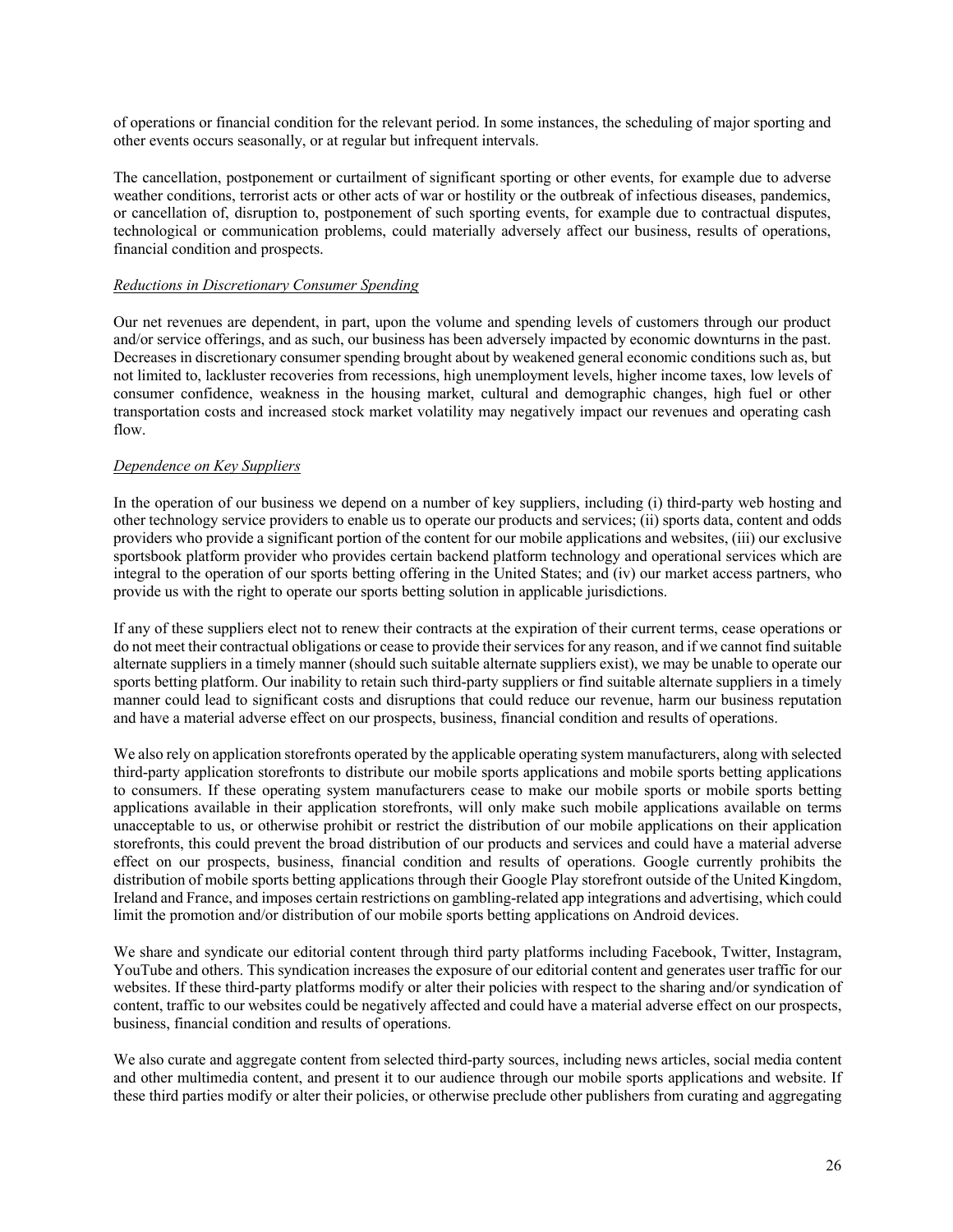of operations or financial condition for the relevant period. In some instances, the scheduling of major sporting and other events occurs seasonally, or at regular but infrequent intervals.

The cancellation, postponement or curtailment of significant sporting or other events, for example due to adverse weather conditions, terrorist acts or other acts of war or hostility or the outbreak of infectious diseases, pandemics, or cancellation of, disruption to, postponement of such sporting events, for example due to contractual disputes, technological or communication problems, could materially adversely affect our business, results of operations, financial condition and prospects.

### *Reductions in Discretionary Consumer Spending*

Our net revenues are dependent, in part, upon the volume and spending levels of customers through our product and/or service offerings, and as such, our business has been adversely impacted by economic downturns in the past. Decreases in discretionary consumer spending brought about by weakened general economic conditions such as, but not limited to, lackluster recoveries from recessions, high unemployment levels, higher income taxes, low levels of consumer confidence, weakness in the housing market, cultural and demographic changes, high fuel or other transportation costs and increased stock market volatility may negatively impact our revenues and operating cash flow.

## *Dependence on Key Suppliers*

In the operation of our business we depend on a number of key suppliers, including (i) third-party web hosting and other technology service providers to enable us to operate our products and services; (ii) sports data, content and odds providers who provide a significant portion of the content for our mobile applications and websites, (iii) our exclusive sportsbook platform provider who provides certain backend platform technology and operational services which are integral to the operation of our sports betting offering in the United States; and (iv) our market access partners, who provide us with the right to operate our sports betting solution in applicable jurisdictions.

If any of these suppliers elect not to renew their contracts at the expiration of their current terms, cease operations or do not meet their contractual obligations or cease to provide their services for any reason, and if we cannot find suitable alternate suppliers in a timely manner (should such suitable alternate suppliers exist), we may be unable to operate our sports betting platform. Our inability to retain such third-party suppliers or find suitable alternate suppliers in a timely manner could lead to significant costs and disruptions that could reduce our revenue, harm our business reputation and have a material adverse effect on our prospects, business, financial condition and results of operations.

We also rely on application storefronts operated by the applicable operating system manufacturers, along with selected third-party application storefronts to distribute our mobile sports applications and mobile sports betting applications to consumers. If these operating system manufacturers cease to make our mobile sports or mobile sports betting applications available in their application storefronts, will only make such mobile applications available on terms unacceptable to us, or otherwise prohibit or restrict the distribution of our mobile applications on their application storefronts, this could prevent the broad distribution of our products and services and could have a material adverse effect on our prospects, business, financial condition and results of operations. Google currently prohibits the distribution of mobile sports betting applications through their Google Play storefront outside of the United Kingdom, Ireland and France, and imposes certain restrictions on gambling-related app integrations and advertising, which could limit the promotion and/or distribution of our mobile sports betting applications on Android devices.

We share and syndicate our editorial content through third party platforms including Facebook, Twitter, Instagram, YouTube and others. This syndication increases the exposure of our editorial content and generates user traffic for our websites. If these third-party platforms modify or alter their policies with respect to the sharing and/or syndication of content, traffic to our websites could be negatively affected and could have a material adverse effect on our prospects, business, financial condition and results of operations.

We also curate and aggregate content from selected third-party sources, including news articles, social media content and other multimedia content, and present it to our audience through our mobile sports applications and website. If these third parties modify or alter their policies, or otherwise preclude other publishers from curating and aggregating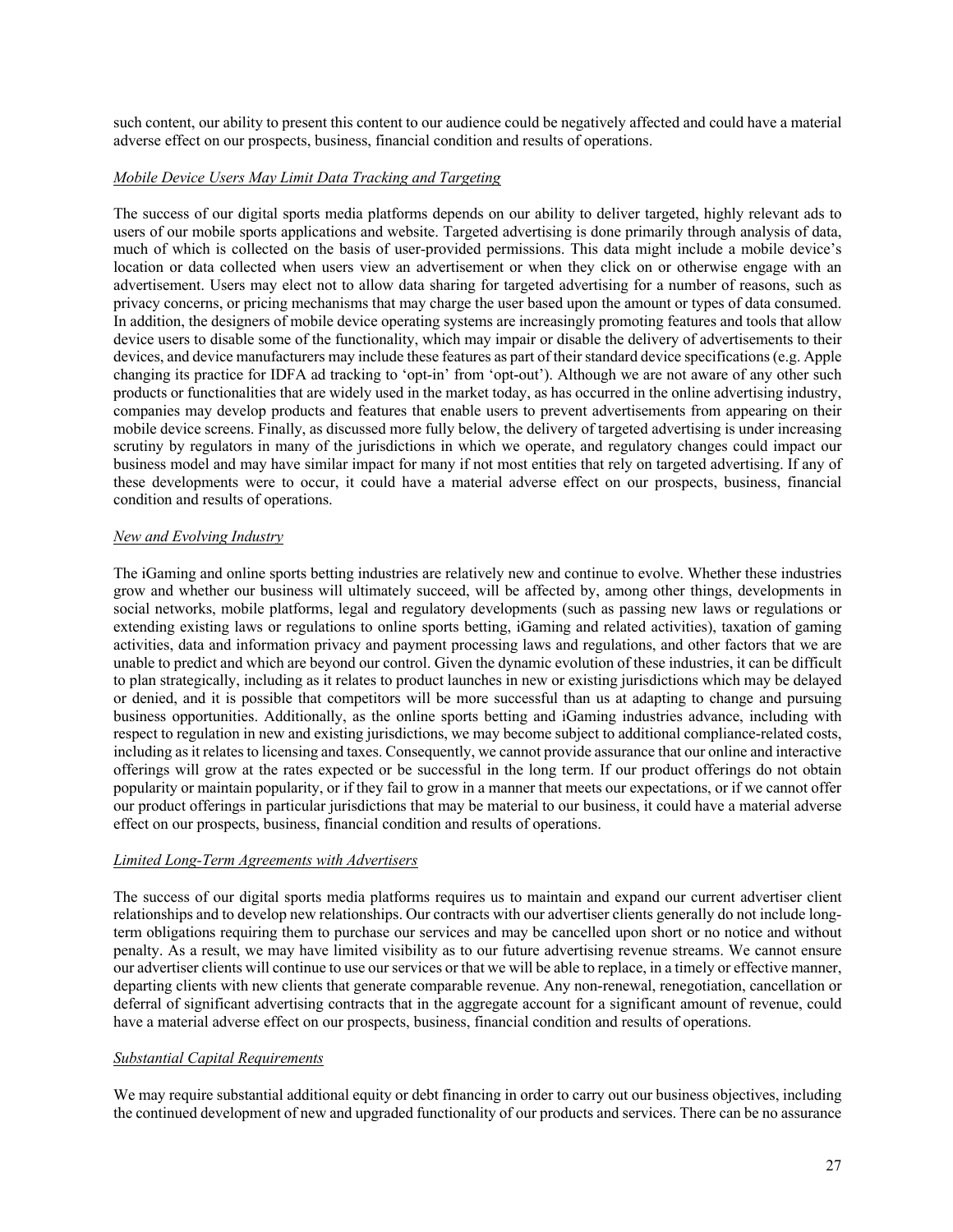such content, our ability to present this content to our audience could be negatively affected and could have a material adverse effect on our prospects, business, financial condition and results of operations.

### *Mobile Device Users May Limit Data Tracking and Targeting*

The success of our digital sports media platforms depends on our ability to deliver targeted, highly relevant ads to users of our mobile sports applications and website. Targeted advertising is done primarily through analysis of data, much of which is collected on the basis of user-provided permissions. This data might include a mobile device's location or data collected when users view an advertisement or when they click on or otherwise engage with an advertisement. Users may elect not to allow data sharing for targeted advertising for a number of reasons, such as privacy concerns, or pricing mechanisms that may charge the user based upon the amount or types of data consumed. In addition, the designers of mobile device operating systems are increasingly promoting features and tools that allow device users to disable some of the functionality, which may impair or disable the delivery of advertisements to their devices, and device manufacturers may include these features as part of their standard device specifications(e.g. Apple changing its practice for IDFA ad tracking to 'opt-in' from 'opt-out'). Although we are not aware of any other such products or functionalities that are widely used in the market today, as has occurred in the online advertising industry, companies may develop products and features that enable users to prevent advertisements from appearing on their mobile device screens. Finally, as discussed more fully below, the delivery of targeted advertising is under increasing scrutiny by regulators in many of the jurisdictions in which we operate, and regulatory changes could impact our business model and may have similar impact for many if not most entities that rely on targeted advertising. If any of these developments were to occur, it could have a material adverse effect on our prospects, business, financial condition and results of operations.

### *New and Evolving Industry*

The iGaming and online sports betting industries are relatively new and continue to evolve. Whether these industries grow and whether our business will ultimately succeed, will be affected by, among other things, developments in social networks, mobile platforms, legal and regulatory developments (such as passing new laws or regulations or extending existing laws or regulations to online sports betting, iGaming and related activities), taxation of gaming activities, data and information privacy and payment processing laws and regulations, and other factors that we are unable to predict and which are beyond our control. Given the dynamic evolution of these industries, it can be difficult to plan strategically, including as it relates to product launches in new or existing jurisdictions which may be delayed or denied, and it is possible that competitors will be more successful than us at adapting to change and pursuing business opportunities. Additionally, as the online sports betting and iGaming industries advance, including with respect to regulation in new and existing jurisdictions, we may become subject to additional compliance-related costs, including as it relates to licensing and taxes. Consequently, we cannot provide assurance that our online and interactive offerings will grow at the rates expected or be successful in the long term. If our product offerings do not obtain popularity or maintain popularity, or if they fail to grow in a manner that meets our expectations, or if we cannot offer our product offerings in particular jurisdictions that may be material to our business, it could have a material adverse effect on our prospects, business, financial condition and results of operations.

#### *Limited Long-Term Agreements with Advertisers*

The success of our digital sports media platforms requires us to maintain and expand our current advertiser client relationships and to develop new relationships. Our contracts with our advertiser clients generally do not include longterm obligations requiring them to purchase our services and may be cancelled upon short or no notice and without penalty. As a result, we may have limited visibility as to our future advertising revenue streams. We cannot ensure our advertiser clients will continue to use our services or that we will be able to replace, in a timely or effective manner, departing clients with new clients that generate comparable revenue. Any non-renewal, renegotiation, cancellation or deferral of significant advertising contracts that in the aggregate account for a significant amount of revenue, could have a material adverse effect on our prospects, business, financial condition and results of operations.

### *Substantial Capital Requirements*

We may require substantial additional equity or debt financing in order to carry out our business objectives, including the continued development of new and upgraded functionality of our products and services. There can be no assurance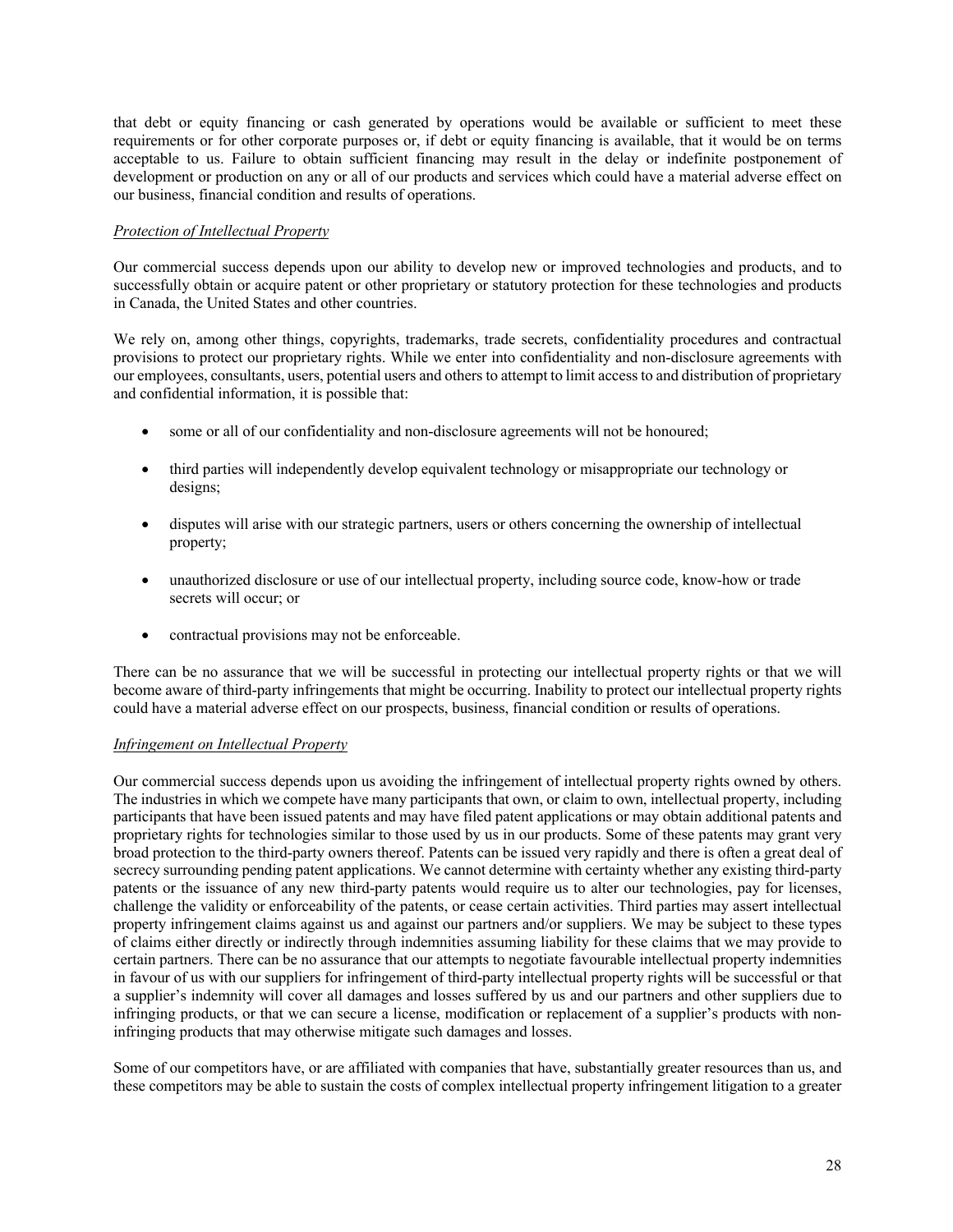that debt or equity financing or cash generated by operations would be available or sufficient to meet these requirements or for other corporate purposes or, if debt or equity financing is available, that it would be on terms acceptable to us. Failure to obtain sufficient financing may result in the delay or indefinite postponement of development or production on any or all of our products and services which could have a material adverse effect on our business, financial condition and results of operations.

## *Protection of Intellectual Property*

Our commercial success depends upon our ability to develop new or improved technologies and products, and to successfully obtain or acquire patent or other proprietary or statutory protection for these technologies and products in Canada, the United States and other countries.

We rely on, among other things, copyrights, trademarks, trade secrets, confidentiality procedures and contractual provisions to protect our proprietary rights. While we enter into confidentiality and non-disclosure agreements with our employees, consultants, users, potential users and others to attempt to limit access to and distribution of proprietary and confidential information, it is possible that:

- some or all of our confidentiality and non-disclosure agreements will not be honoured;
- third parties will independently develop equivalent technology or misappropriate our technology or designs;
- disputes will arise with our strategic partners, users or others concerning the ownership of intellectual property;
- unauthorized disclosure or use of our intellectual property, including source code, know-how or trade secrets will occur; or
- contractual provisions may not be enforceable.

There can be no assurance that we will be successful in protecting our intellectual property rights or that we will become aware of third-party infringements that might be occurring. Inability to protect our intellectual property rights could have a material adverse effect on our prospects, business, financial condition or results of operations.

## *Infringement on Intellectual Property*

Our commercial success depends upon us avoiding the infringement of intellectual property rights owned by others. The industries in which we compete have many participants that own, or claim to own, intellectual property, including participants that have been issued patents and may have filed patent applications or may obtain additional patents and proprietary rights for technologies similar to those used by us in our products. Some of these patents may grant very broad protection to the third-party owners thereof. Patents can be issued very rapidly and there is often a great deal of secrecy surrounding pending patent applications. We cannot determine with certainty whether any existing third-party patents or the issuance of any new third-party patents would require us to alter our technologies, pay for licenses, challenge the validity or enforceability of the patents, or cease certain activities. Third parties may assert intellectual property infringement claims against us and against our partners and/or suppliers. We may be subject to these types of claims either directly or indirectly through indemnities assuming liability for these claims that we may provide to certain partners. There can be no assurance that our attempts to negotiate favourable intellectual property indemnities in favour of us with our suppliers for infringement of third-party intellectual property rights will be successful or that a supplier's indemnity will cover all damages and losses suffered by us and our partners and other suppliers due to infringing products, or that we can secure a license, modification or replacement of a supplier's products with noninfringing products that may otherwise mitigate such damages and losses.

Some of our competitors have, or are affiliated with companies that have, substantially greater resources than us, and these competitors may be able to sustain the costs of complex intellectual property infringement litigation to a greater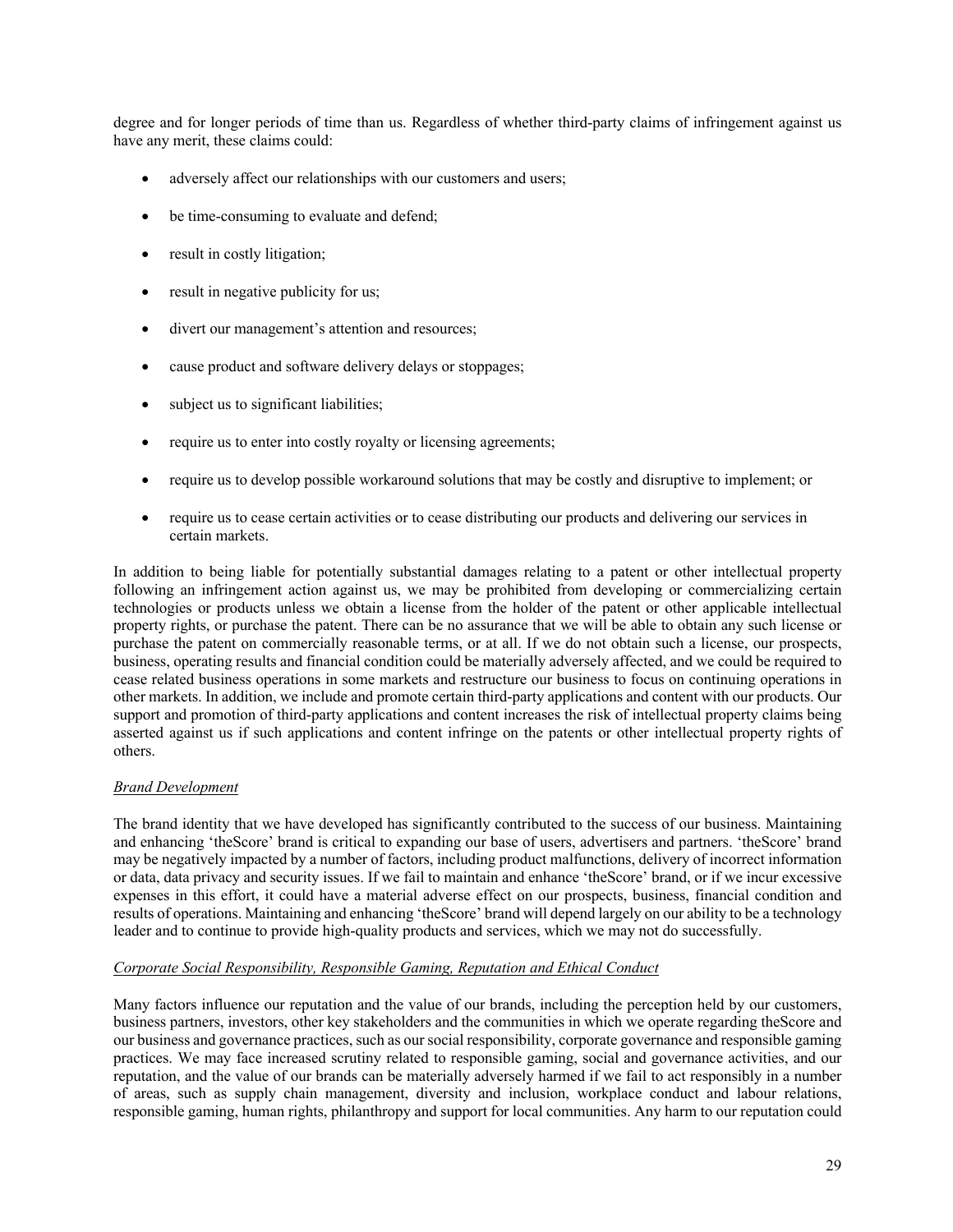degree and for longer periods of time than us. Regardless of whether third-party claims of infringement against us have any merit, these claims could:

- adversely affect our relationships with our customers and users;
- be time-consuming to evaluate and defend;
- result in costly litigation;
- result in negative publicity for us;
- divert our management's attention and resources;
- cause product and software delivery delays or stoppages;
- subject us to significant liabilities;
- require us to enter into costly royalty or licensing agreements;
- require us to develop possible workaround solutions that may be costly and disruptive to implement; or
- require us to cease certain activities or to cease distributing our products and delivering our services in certain markets.

In addition to being liable for potentially substantial damages relating to a patent or other intellectual property following an infringement action against us, we may be prohibited from developing or commercializing certain technologies or products unless we obtain a license from the holder of the patent or other applicable intellectual property rights, or purchase the patent. There can be no assurance that we will be able to obtain any such license or purchase the patent on commercially reasonable terms, or at all. If we do not obtain such a license, our prospects, business, operating results and financial condition could be materially adversely affected, and we could be required to cease related business operations in some markets and restructure our business to focus on continuing operations in other markets. In addition, we include and promote certain third-party applications and content with our products. Our support and promotion of third-party applications and content increases the risk of intellectual property claims being asserted against us if such applications and content infringe on the patents or other intellectual property rights of others.

#### *Brand Development*

The brand identity that we have developed has significantly contributed to the success of our business. Maintaining and enhancing 'theScore' brand is critical to expanding our base of users, advertisers and partners. 'theScore' brand may be negatively impacted by a number of factors, including product malfunctions, delivery of incorrect information or data, data privacy and security issues. If we fail to maintain and enhance 'theScore' brand, or if we incur excessive expenses in this effort, it could have a material adverse effect on our prospects, business, financial condition and results of operations. Maintaining and enhancing 'theScore' brand will depend largely on our ability to be a technology leader and to continue to provide high-quality products and services, which we may not do successfully.

#### *Corporate Social Responsibility, Responsible Gaming, Reputation and Ethical Conduct*

Many factors influence our reputation and the value of our brands, including the perception held by our customers, business partners, investors, other key stakeholders and the communities in which we operate regarding theScore and our business and governance practices, such as our social responsibility, corporate governance and responsible gaming practices. We may face increased scrutiny related to responsible gaming, social and governance activities, and our reputation, and the value of our brands can be materially adversely harmed if we fail to act responsibly in a number of areas, such as supply chain management, diversity and inclusion, workplace conduct and labour relations, responsible gaming, human rights, philanthropy and support for local communities. Any harm to our reputation could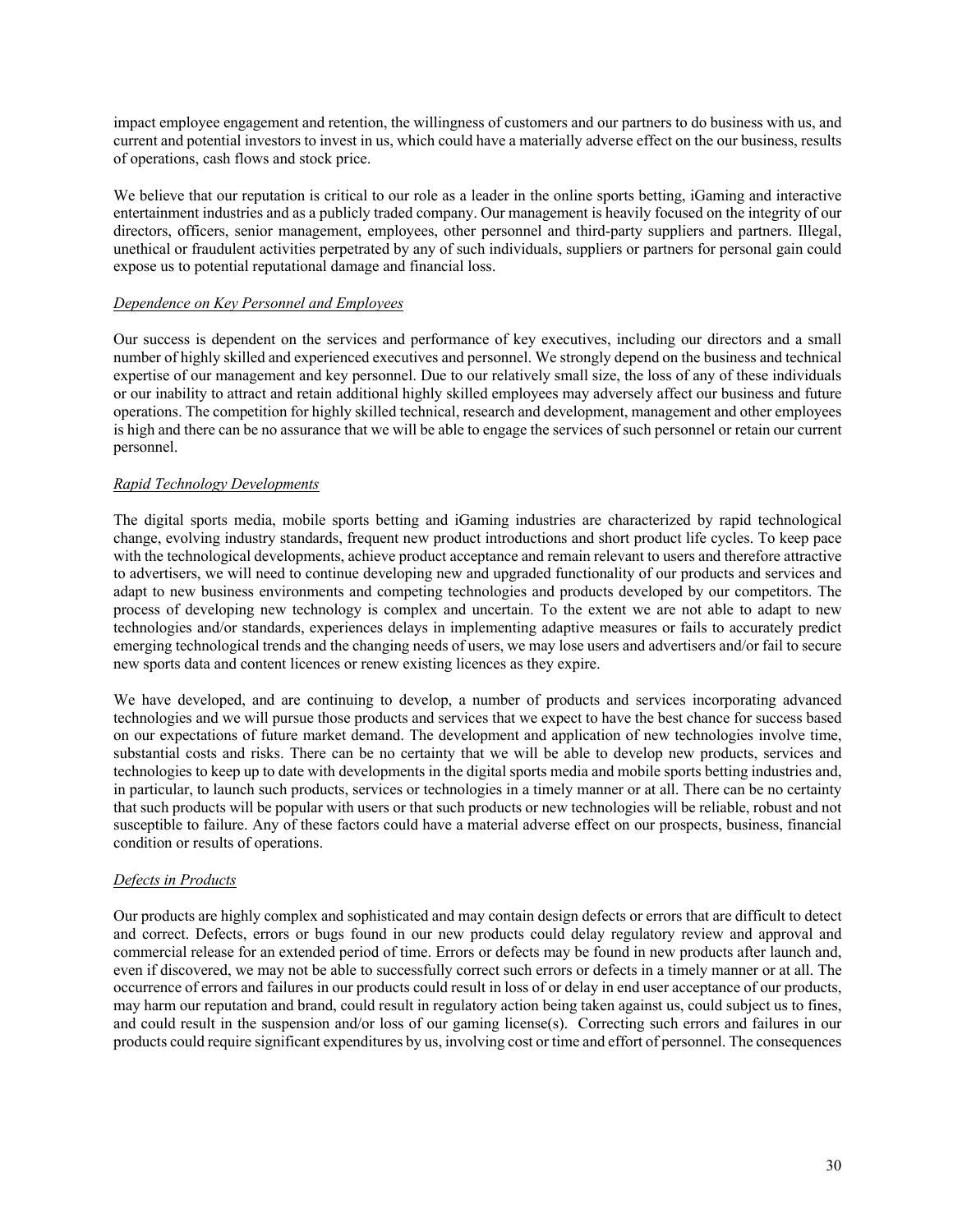impact employee engagement and retention, the willingness of customers and our partners to do business with us, and current and potential investors to invest in us, which could have a materially adverse effect on the our business, results of operations, cash flows and stock price.

We believe that our reputation is critical to our role as a leader in the online sports betting, iGaming and interactive entertainment industries and as a publicly traded company. Our management is heavily focused on the integrity of our directors, officers, senior management, employees, other personnel and third-party suppliers and partners. Illegal, unethical or fraudulent activities perpetrated by any of such individuals, suppliers or partners for personal gain could expose us to potential reputational damage and financial loss.

### *Dependence on Key Personnel and Employees*

Our success is dependent on the services and performance of key executives, including our directors and a small number of highly skilled and experienced executives and personnel. We strongly depend on the business and technical expertise of our management and key personnel. Due to our relatively small size, the loss of any of these individuals or our inability to attract and retain additional highly skilled employees may adversely affect our business and future operations. The competition for highly skilled technical, research and development, management and other employees is high and there can be no assurance that we will be able to engage the services of such personnel or retain our current personnel.

### *Rapid Technology Developments*

The digital sports media, mobile sports betting and iGaming industries are characterized by rapid technological change, evolving industry standards, frequent new product introductions and short product life cycles. To keep pace with the technological developments, achieve product acceptance and remain relevant to users and therefore attractive to advertisers, we will need to continue developing new and upgraded functionality of our products and services and adapt to new business environments and competing technologies and products developed by our competitors. The process of developing new technology is complex and uncertain. To the extent we are not able to adapt to new technologies and/or standards, experiences delays in implementing adaptive measures or fails to accurately predict emerging technological trends and the changing needs of users, we may lose users and advertisers and/or fail to secure new sports data and content licences or renew existing licences as they expire.

We have developed, and are continuing to develop, a number of products and services incorporating advanced technologies and we will pursue those products and services that we expect to have the best chance for success based on our expectations of future market demand. The development and application of new technologies involve time, substantial costs and risks. There can be no certainty that we will be able to develop new products, services and technologies to keep up to date with developments in the digital sports media and mobile sports betting industries and, in particular, to launch such products, services or technologies in a timely manner or at all. There can be no certainty that such products will be popular with users or that such products or new technologies will be reliable, robust and not susceptible to failure. Any of these factors could have a material adverse effect on our prospects, business, financial condition or results of operations.

#### *Defects in Products*

Our products are highly complex and sophisticated and may contain design defects or errors that are difficult to detect and correct. Defects, errors or bugs found in our new products could delay regulatory review and approval and commercial release for an extended period of time. Errors or defects may be found in new products after launch and, even if discovered, we may not be able to successfully correct such errors or defects in a timely manner or at all. The occurrence of errors and failures in our products could result in loss of or delay in end user acceptance of our products, may harm our reputation and brand, could result in regulatory action being taken against us, could subject us to fines, and could result in the suspension and/or loss of our gaming license(s). Correcting such errors and failures in our products could require significant expenditures by us, involving cost or time and effort of personnel. The consequences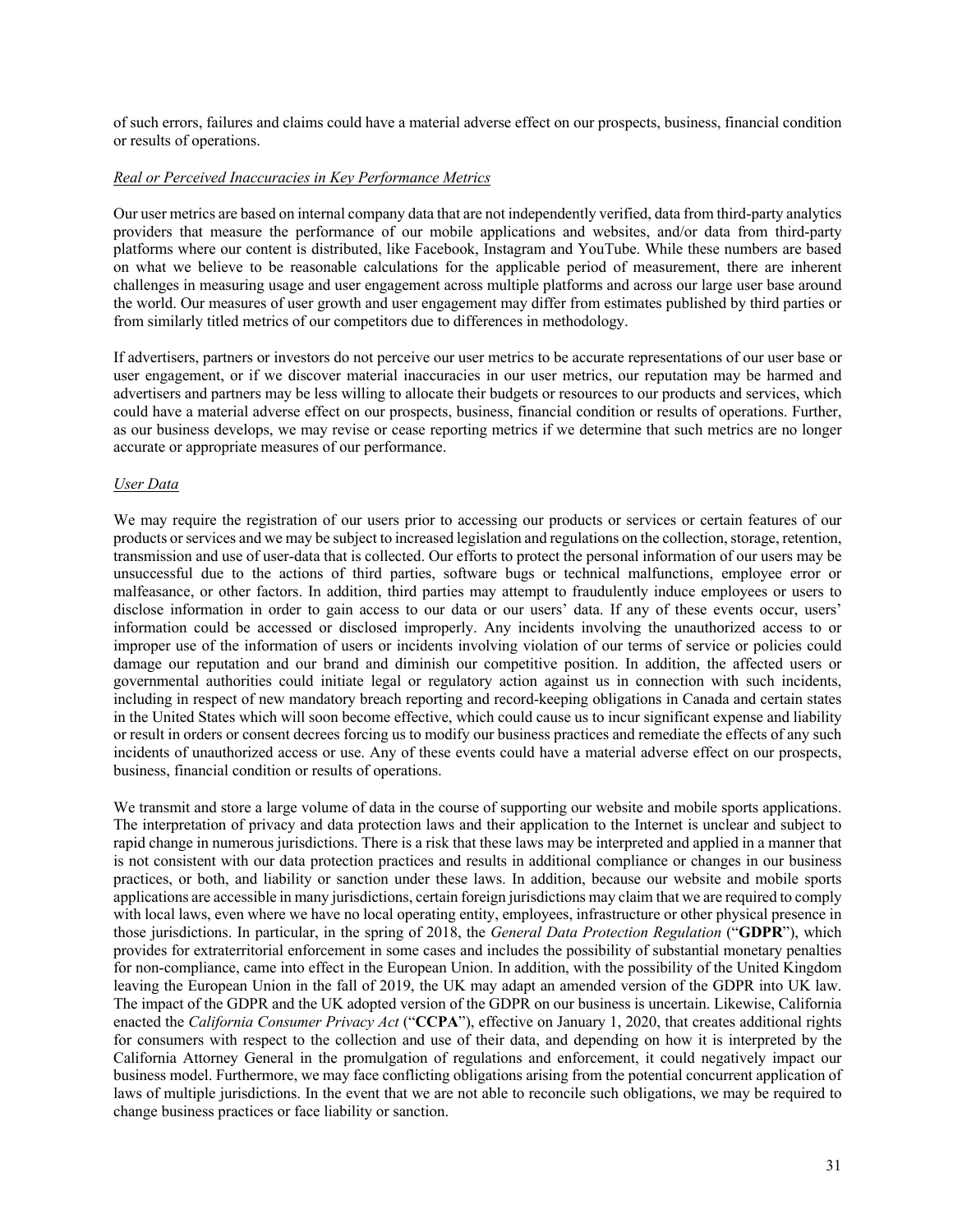of such errors, failures and claims could have a material adverse effect on our prospects, business, financial condition or results of operations.

### *Real or Perceived Inaccuracies in Key Performance Metrics*

Our user metrics are based on internal company data that are not independently verified, data from third-party analytics providers that measure the performance of our mobile applications and websites, and/or data from third-party platforms where our content is distributed, like Facebook, Instagram and YouTube. While these numbers are based on what we believe to be reasonable calculations for the applicable period of measurement, there are inherent challenges in measuring usage and user engagement across multiple platforms and across our large user base around the world. Our measures of user growth and user engagement may differ from estimates published by third parties or from similarly titled metrics of our competitors due to differences in methodology.

If advertisers, partners or investors do not perceive our user metrics to be accurate representations of our user base or user engagement, or if we discover material inaccuracies in our user metrics, our reputation may be harmed and advertisers and partners may be less willing to allocate their budgets or resources to our products and services, which could have a material adverse effect on our prospects, business, financial condition or results of operations. Further, as our business develops, we may revise or cease reporting metrics if we determine that such metrics are no longer accurate or appropriate measures of our performance.

### *User Data*

We may require the registration of our users prior to accessing our products or services or certain features of our products or services and we may be subject to increased legislation and regulations on the collection, storage, retention, transmission and use of user-data that is collected. Our efforts to protect the personal information of our users may be unsuccessful due to the actions of third parties, software bugs or technical malfunctions, employee error or malfeasance, or other factors. In addition, third parties may attempt to fraudulently induce employees or users to disclose information in order to gain access to our data or our users' data. If any of these events occur, users' information could be accessed or disclosed improperly. Any incidents involving the unauthorized access to or improper use of the information of users or incidents involving violation of our terms of service or policies could damage our reputation and our brand and diminish our competitive position. In addition, the affected users or governmental authorities could initiate legal or regulatory action against us in connection with such incidents, including in respect of new mandatory breach reporting and record-keeping obligations in Canada and certain states in the United States which will soon become effective, which could cause us to incur significant expense and liability or result in orders or consent decrees forcing us to modify our business practices and remediate the effects of any such incidents of unauthorized access or use. Any of these events could have a material adverse effect on our prospects, business, financial condition or results of operations.

We transmit and store a large volume of data in the course of supporting our website and mobile sports applications. The interpretation of privacy and data protection laws and their application to the Internet is unclear and subject to rapid change in numerous jurisdictions. There is a risk that these laws may be interpreted and applied in a manner that is not consistent with our data protection practices and results in additional compliance or changes in our business practices, or both, and liability or sanction under these laws. In addition, because our website and mobile sports applications are accessible in many jurisdictions, certain foreign jurisdictions may claim that we are required to comply with local laws, even where we have no local operating entity, employees, infrastructure or other physical presence in those jurisdictions. In particular, in the spring of 2018, the *General Data Protection Regulation* ("**GDPR**"), which provides for extraterritorial enforcement in some cases and includes the possibility of substantial monetary penalties for non-compliance, came into effect in the European Union. In addition, with the possibility of the United Kingdom leaving the European Union in the fall of 2019, the UK may adapt an amended version of the GDPR into UK law. The impact of the GDPR and the UK adopted version of the GDPR on our business is uncertain. Likewise, California enacted the *California Consumer Privacy Act* ("**CCPA**"), effective on January 1, 2020, that creates additional rights for consumers with respect to the collection and use of their data, and depending on how it is interpreted by the California Attorney General in the promulgation of regulations and enforcement, it could negatively impact our business model. Furthermore, we may face conflicting obligations arising from the potential concurrent application of laws of multiple jurisdictions. In the event that we are not able to reconcile such obligations, we may be required to change business practices or face liability or sanction.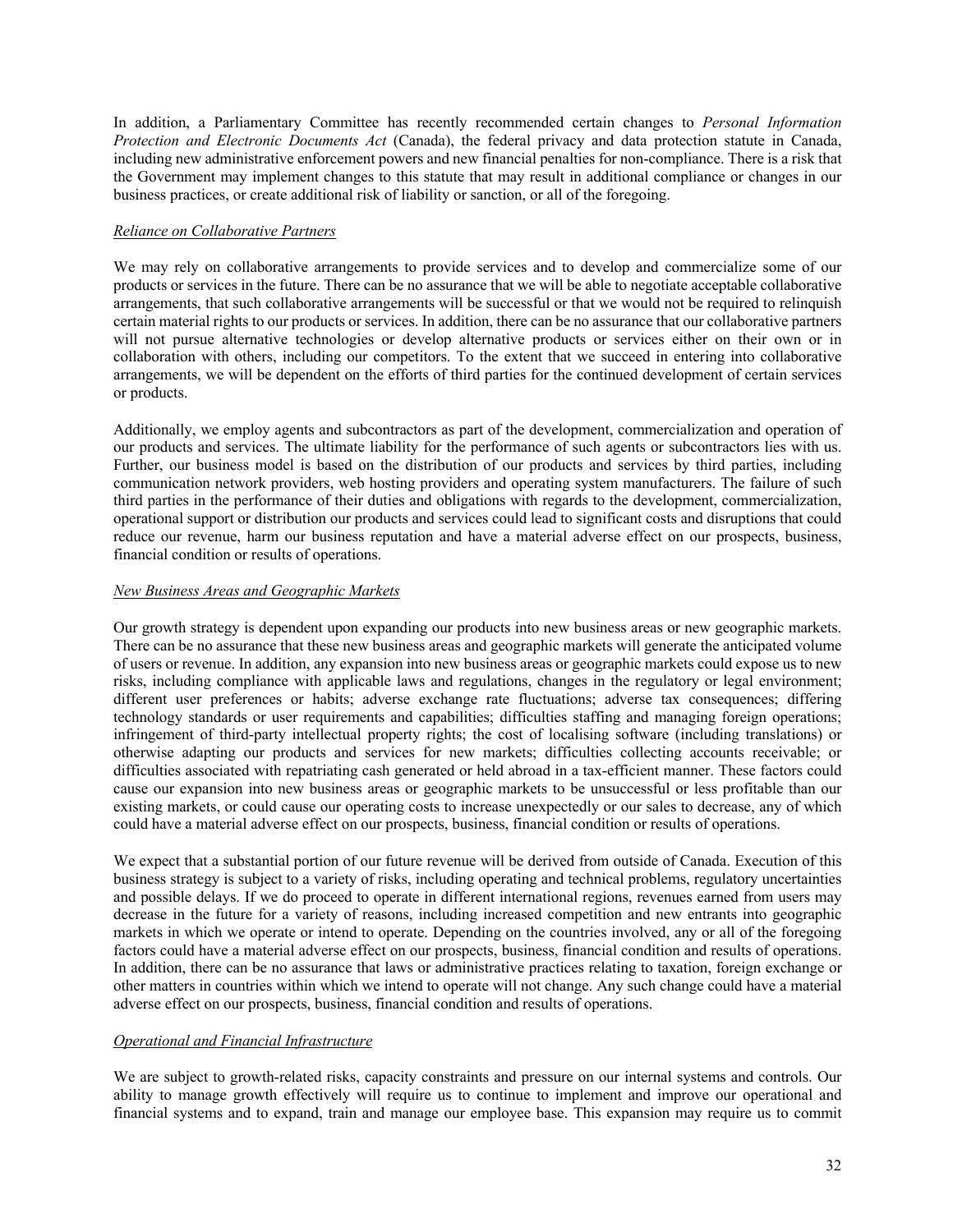In addition, a Parliamentary Committee has recently recommended certain changes to *Personal Information Protection and Electronic Documents Act* (Canada), the federal privacy and data protection statute in Canada, including new administrative enforcement powers and new financial penalties for non-compliance. There is a risk that the Government may implement changes to this statute that may result in additional compliance or changes in our business practices, or create additional risk of liability or sanction, or all of the foregoing.

# *Reliance on Collaborative Partners*

We may rely on collaborative arrangements to provide services and to develop and commercialize some of our products or services in the future. There can be no assurance that we will be able to negotiate acceptable collaborative arrangements, that such collaborative arrangements will be successful or that we would not be required to relinquish certain material rights to our products or services. In addition, there can be no assurance that our collaborative partners will not pursue alternative technologies or develop alternative products or services either on their own or in collaboration with others, including our competitors. To the extent that we succeed in entering into collaborative arrangements, we will be dependent on the efforts of third parties for the continued development of certain services or products.

Additionally, we employ agents and subcontractors as part of the development, commercialization and operation of our products and services. The ultimate liability for the performance of such agents or subcontractors lies with us. Further, our business model is based on the distribution of our products and services by third parties, including communication network providers, web hosting providers and operating system manufacturers. The failure of such third parties in the performance of their duties and obligations with regards to the development, commercialization, operational support or distribution our products and services could lead to significant costs and disruptions that could reduce our revenue, harm our business reputation and have a material adverse effect on our prospects, business, financial condition or results of operations.

# *New Business Areas and Geographic Markets*

Our growth strategy is dependent upon expanding our products into new business areas or new geographic markets. There can be no assurance that these new business areas and geographic markets will generate the anticipated volume of users or revenue. In addition, any expansion into new business areas or geographic markets could expose us to new risks, including compliance with applicable laws and regulations, changes in the regulatory or legal environment; different user preferences or habits; adverse exchange rate fluctuations; adverse tax consequences; differing technology standards or user requirements and capabilities; difficulties staffing and managing foreign operations; infringement of third-party intellectual property rights; the cost of localising software (including translations) or otherwise adapting our products and services for new markets; difficulties collecting accounts receivable; or difficulties associated with repatriating cash generated or held abroad in a tax-efficient manner. These factors could cause our expansion into new business areas or geographic markets to be unsuccessful or less profitable than our existing markets, or could cause our operating costs to increase unexpectedly or our sales to decrease, any of which could have a material adverse effect on our prospects, business, financial condition or results of operations.

We expect that a substantial portion of our future revenue will be derived from outside of Canada. Execution of this business strategy is subject to a variety of risks, including operating and technical problems, regulatory uncertainties and possible delays. If we do proceed to operate in different international regions, revenues earned from users may decrease in the future for a variety of reasons, including increased competition and new entrants into geographic markets in which we operate or intend to operate. Depending on the countries involved, any or all of the foregoing factors could have a material adverse effect on our prospects, business, financial condition and results of operations. In addition, there can be no assurance that laws or administrative practices relating to taxation, foreign exchange or other matters in countries within which we intend to operate will not change. Any such change could have a material adverse effect on our prospects, business, financial condition and results of operations.

## *Operational and Financial Infrastructure*

We are subject to growth-related risks, capacity constraints and pressure on our internal systems and controls. Our ability to manage growth effectively will require us to continue to implement and improve our operational and financial systems and to expand, train and manage our employee base. This expansion may require us to commit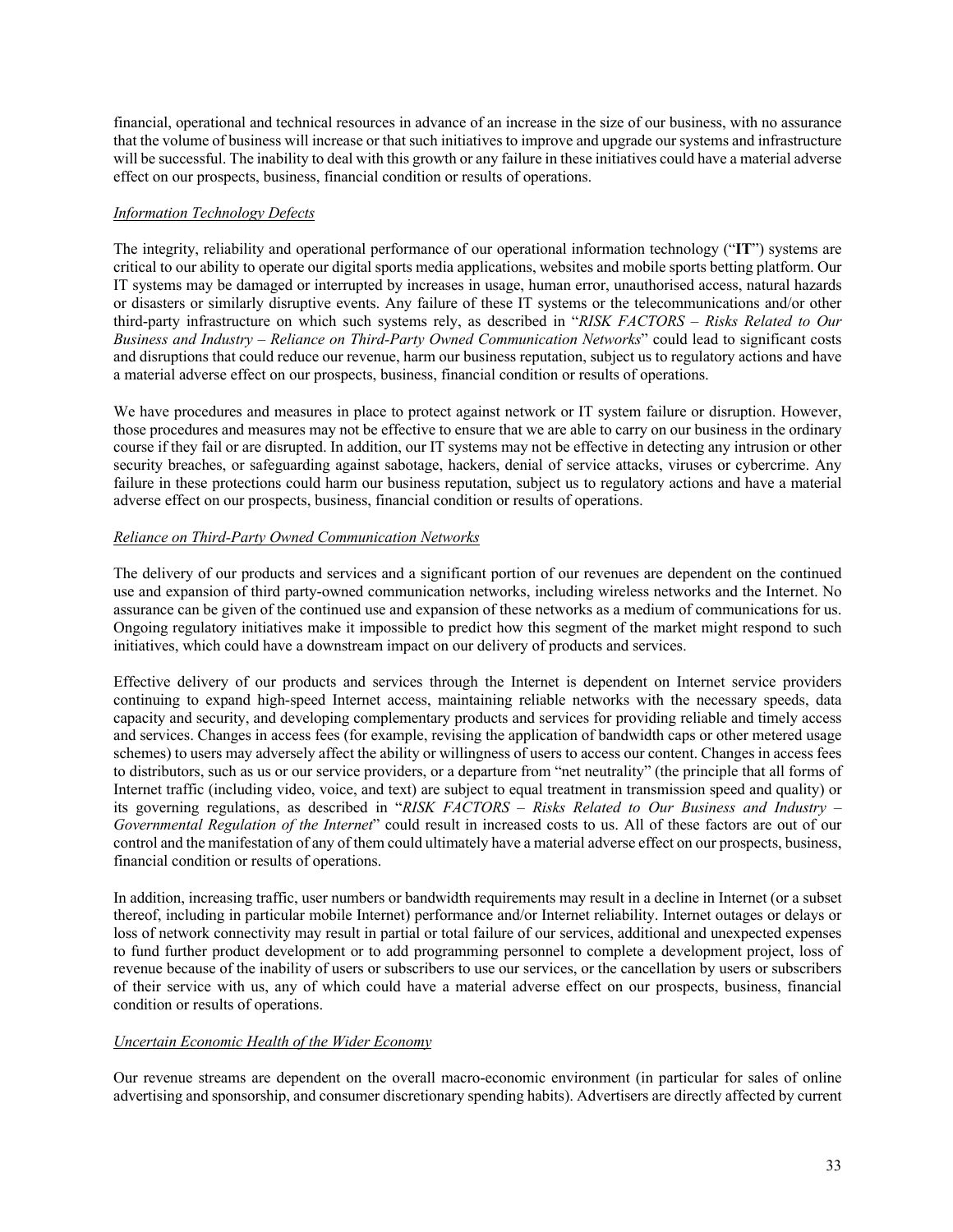financial, operational and technical resources in advance of an increase in the size of our business, with no assurance that the volume of business will increase or that such initiatives to improve and upgrade our systems and infrastructure will be successful. The inability to deal with this growth or any failure in these initiatives could have a material adverse effect on our prospects, business, financial condition or results of operations.

### *Information Technology Defects*

The integrity, reliability and operational performance of our operational information technology ("**IT**") systems are critical to our ability to operate our digital sports media applications, websites and mobile sports betting platform. Our IT systems may be damaged or interrupted by increases in usage, human error, unauthorised access, natural hazards or disasters or similarly disruptive events. Any failure of these IT systems or the telecommunications and/or other third-party infrastructure on which such systems rely, as described in "*RISK FACTORS – Risks Related to Our Business and Industry* – *Reliance on Third-Party Owned Communication Networks*" could lead to significant costs and disruptions that could reduce our revenue, harm our business reputation, subject us to regulatory actions and have a material adverse effect on our prospects, business, financial condition or results of operations.

We have procedures and measures in place to protect against network or IT system failure or disruption. However, those procedures and measures may not be effective to ensure that we are able to carry on our business in the ordinary course if they fail or are disrupted. In addition, our IT systems may not be effective in detecting any intrusion or other security breaches, or safeguarding against sabotage, hackers, denial of service attacks, viruses or cybercrime. Any failure in these protections could harm our business reputation, subject us to regulatory actions and have a material adverse effect on our prospects, business, financial condition or results of operations.

## *Reliance on Third-Party Owned Communication Networks*

The delivery of our products and services and a significant portion of our revenues are dependent on the continued use and expansion of third party-owned communication networks, including wireless networks and the Internet. No assurance can be given of the continued use and expansion of these networks as a medium of communications for us. Ongoing regulatory initiatives make it impossible to predict how this segment of the market might respond to such initiatives, which could have a downstream impact on our delivery of products and services.

Effective delivery of our products and services through the Internet is dependent on Internet service providers continuing to expand high-speed Internet access, maintaining reliable networks with the necessary speeds, data capacity and security, and developing complementary products and services for providing reliable and timely access and services. Changes in access fees (for example, revising the application of bandwidth caps or other metered usage schemes) to users may adversely affect the ability or willingness of users to access our content. Changes in access fees to distributors, such as us or our service providers, or a departure from "net neutrality" (the principle that all forms of Internet traffic (including video, voice, and text) are subject to equal treatment in transmission speed and quality) or its governing regulations, as described in "*RISK FACTORS – Risks Related to Our Business and Industry* – *Governmental Regulation of the Internet*" could result in increased costs to us. All of these factors are out of our control and the manifestation of any of them could ultimately have a material adverse effect on our prospects, business, financial condition or results of operations.

In addition, increasing traffic, user numbers or bandwidth requirements may result in a decline in Internet (or a subset thereof, including in particular mobile Internet) performance and/or Internet reliability. Internet outages or delays or loss of network connectivity may result in partial or total failure of our services, additional and unexpected expenses to fund further product development or to add programming personnel to complete a development project, loss of revenue because of the inability of users or subscribers to use our services, or the cancellation by users or subscribers of their service with us, any of which could have a material adverse effect on our prospects, business, financial condition or results of operations.

## *Uncertain Economic Health of the Wider Economy*

Our revenue streams are dependent on the overall macro-economic environment (in particular for sales of online advertising and sponsorship, and consumer discretionary spending habits). Advertisers are directly affected by current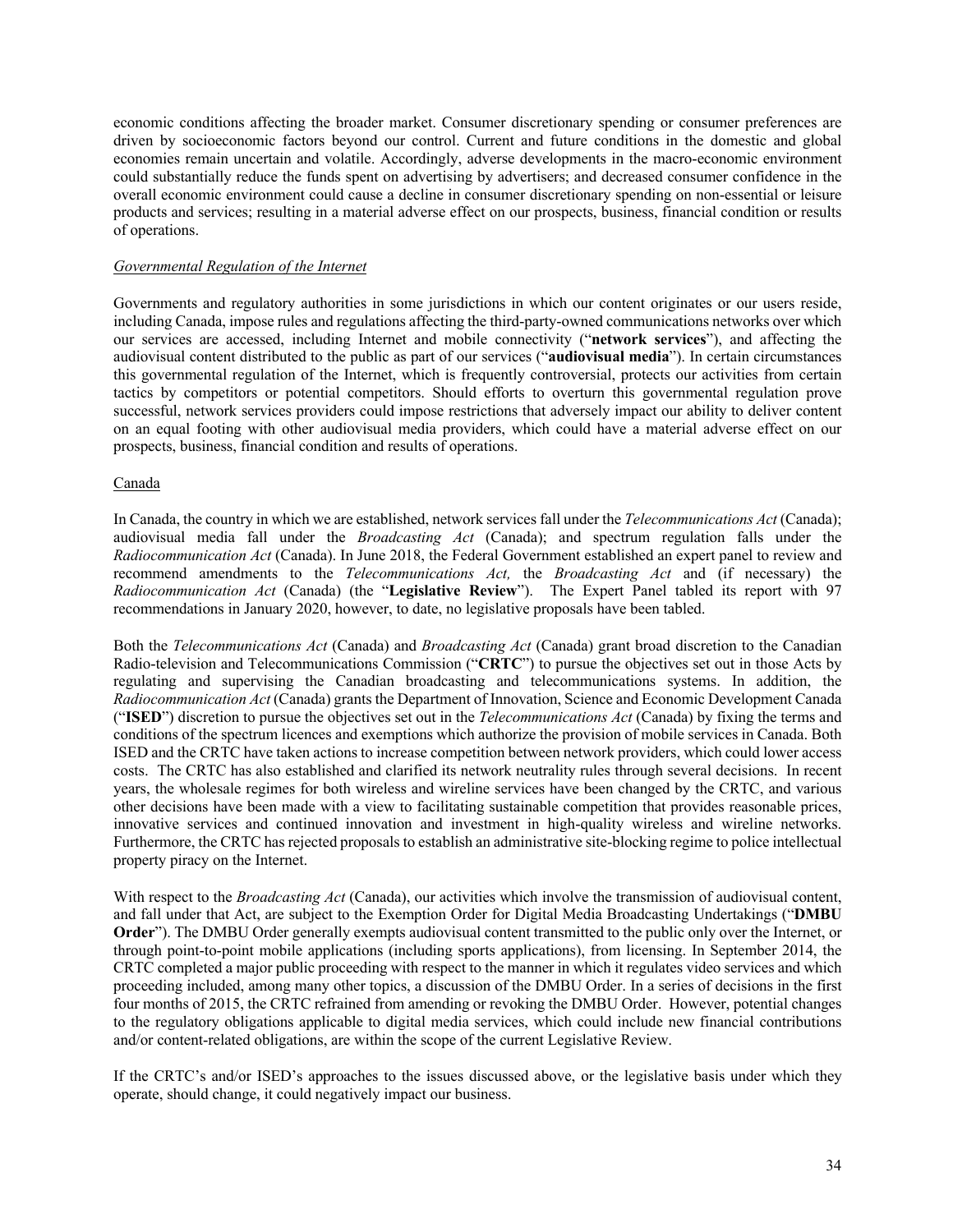economic conditions affecting the broader market. Consumer discretionary spending or consumer preferences are driven by socioeconomic factors beyond our control. Current and future conditions in the domestic and global economies remain uncertain and volatile. Accordingly, adverse developments in the macro-economic environment could substantially reduce the funds spent on advertising by advertisers; and decreased consumer confidence in the overall economic environment could cause a decline in consumer discretionary spending on non-essential or leisure products and services; resulting in a material adverse effect on our prospects, business, financial condition or results of operations.

#### *Governmental Regulation of the Internet*

Governments and regulatory authorities in some jurisdictions in which our content originates or our users reside, including Canada, impose rules and regulations affecting the third-party-owned communications networks over which our services are accessed, including Internet and mobile connectivity ("**network services**"), and affecting the audiovisual content distributed to the public as part of our services ("**audiovisual media**"). In certain circumstances this governmental regulation of the Internet, which is frequently controversial, protects our activities from certain tactics by competitors or potential competitors. Should efforts to overturn this governmental regulation prove successful, network services providers could impose restrictions that adversely impact our ability to deliver content on an equal footing with other audiovisual media providers, which could have a material adverse effect on our prospects, business, financial condition and results of operations.

### Canada

In Canada, the country in which we are established, network services fall under the *Telecommunications Act* (Canada); audiovisual media fall under the *Broadcasting Act* (Canada); and spectrum regulation falls under the *Radiocommunication Act* (Canada). In June 2018, the Federal Government established an expert panel to review and recommend amendments to the *Telecommunications Act,* the *Broadcasting Act* and (if necessary) the *Radiocommunication Act* (Canada) (the "**Legislative Review**"). The Expert Panel tabled its report with 97 recommendations in January 2020, however, to date, no legislative proposals have been tabled.

Both the *Telecommunications Act* (Canada) and *Broadcasting Act* (Canada) grant broad discretion to the Canadian Radio-television and Telecommunications Commission ("**CRTC**") to pursue the objectives set out in those Acts by regulating and supervising the Canadian broadcasting and telecommunications systems. In addition, the *Radiocommunication Act* (Canada) grants the Department of Innovation, Science and Economic Development Canada ("**ISED**") discretion to pursue the objectives set out in the *Telecommunications Act* (Canada) by fixing the terms and conditions of the spectrum licences and exemptions which authorize the provision of mobile services in Canada. Both ISED and the CRTC have taken actions to increase competition between network providers, which could lower access costs. The CRTC has also established and clarified its network neutrality rules through several decisions. In recent years, the wholesale regimes for both wireless and wireline services have been changed by the CRTC, and various other decisions have been made with a view to facilitating sustainable competition that provides reasonable prices, innovative services and continued innovation and investment in high-quality wireless and wireline networks. Furthermore, the CRTC has rejected proposals to establish an administrative site-blocking regime to police intellectual property piracy on the Internet.

With respect to the *Broadcasting Act* (Canada), our activities which involve the transmission of audiovisual content, and fall under that Act, are subject to the Exemption Order for Digital Media Broadcasting Undertakings ("**DMBU Order**"). The DMBU Order generally exempts audiovisual content transmitted to the public only over the Internet, or through point-to-point mobile applications (including sports applications), from licensing. In September 2014, the CRTC completed a major public proceeding with respect to the manner in which it regulates video services and which proceeding included, among many other topics, a discussion of the DMBU Order. In a series of decisions in the first four months of 2015, the CRTC refrained from amending or revoking the DMBU Order. However, potential changes to the regulatory obligations applicable to digital media services, which could include new financial contributions and/or content-related obligations, are within the scope of the current Legislative Review.

If the CRTC's and/or ISED's approaches to the issues discussed above, or the legislative basis under which they operate, should change, it could negatively impact our business.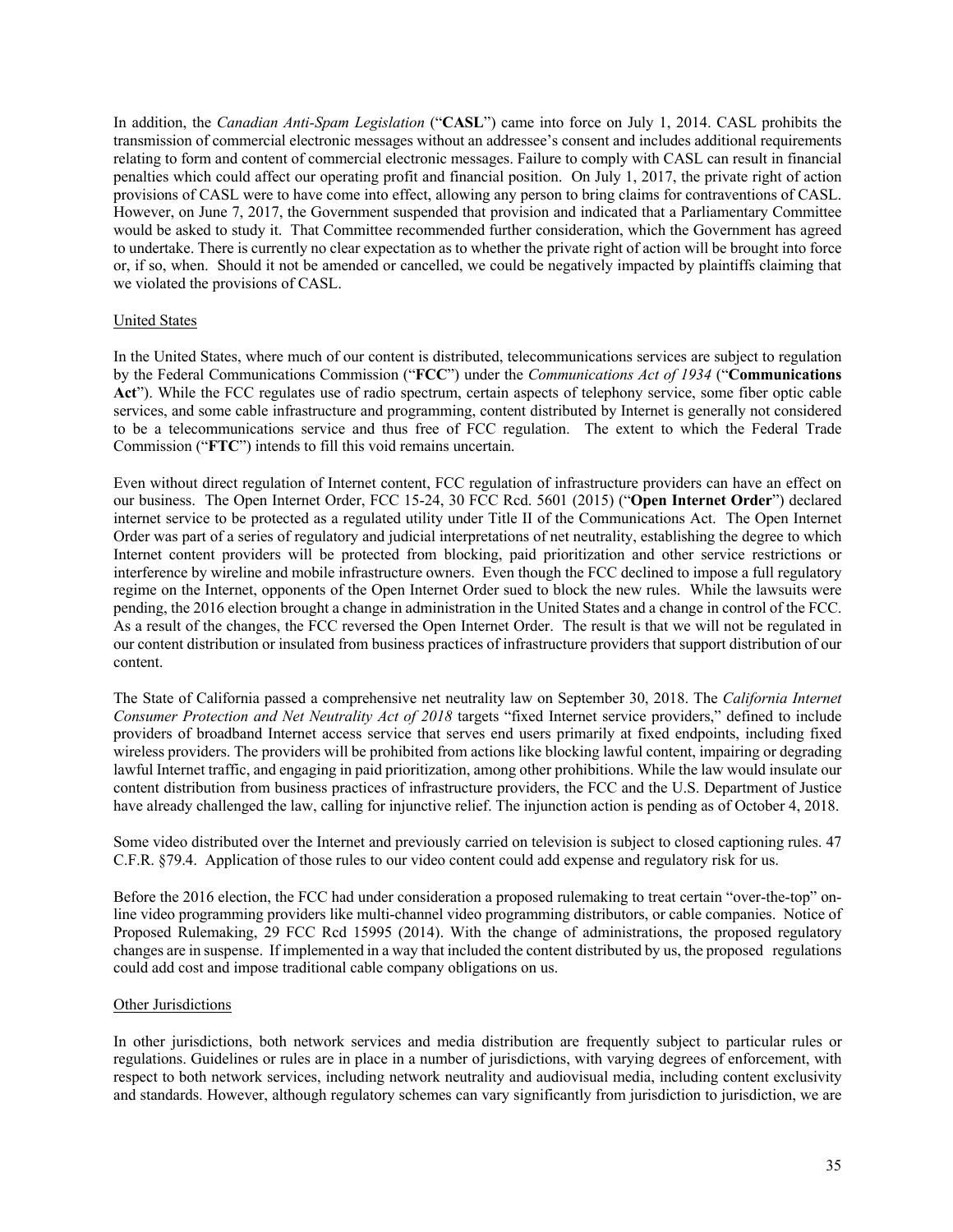In addition, the *Canadian Anti-Spam Legislation* ("**CASL**") came into force on July 1, 2014. CASL prohibits the transmission of commercial electronic messages without an addressee's consent and includes additional requirements relating to form and content of commercial electronic messages. Failure to comply with CASL can result in financial penalties which could affect our operating profit and financial position. On July 1, 2017, the private right of action provisions of CASL were to have come into effect, allowing any person to bring claims for contraventions of CASL. However, on June 7, 2017, the Government suspended that provision and indicated that a Parliamentary Committee would be asked to study it. That Committee recommended further consideration, which the Government has agreed to undertake. There is currently no clear expectation as to whether the private right of action will be brought into force or, if so, when. Should it not be amended or cancelled, we could be negatively impacted by plaintiffs claiming that we violated the provisions of CASL.

### United States

In the United States, where much of our content is distributed, telecommunications services are subject to regulation by the Federal Communications Commission ("**FCC**") under the *Communications Act of 1934* ("**Communications Act**"). While the FCC regulates use of radio spectrum, certain aspects of telephony service, some fiber optic cable services, and some cable infrastructure and programming, content distributed by Internet is generally not considered to be a telecommunications service and thus free of FCC regulation. The extent to which the Federal Trade Commission ("**FTC**") intends to fill this void remains uncertain.

Even without direct regulation of Internet content, FCC regulation of infrastructure providers can have an effect on our business. The Open Internet Order, FCC 15-24, 30 FCC Rcd. 5601 (2015) ("**Open Internet Order**") declared internet service to be protected as a regulated utility under Title II of the Communications Act. The Open Internet Order was part of a series of regulatory and judicial interpretations of net neutrality, establishing the degree to which Internet content providers will be protected from blocking, paid prioritization and other service restrictions or interference by wireline and mobile infrastructure owners. Even though the FCC declined to impose a full regulatory regime on the Internet, opponents of the Open Internet Order sued to block the new rules. While the lawsuits were pending, the 2016 election brought a change in administration in the United States and a change in control of the FCC. As a result of the changes, the FCC reversed the Open Internet Order. The result is that we will not be regulated in our content distribution or insulated from business practices of infrastructure providers that support distribution of our content.

The State of California passed a comprehensive net neutrality law on September 30, 2018. The *California Internet Consumer Protection and Net Neutrality Act of 2018* targets "fixed Internet service providers," defined to include providers of broadband Internet access service that serves end users primarily at fixed endpoints, including fixed wireless providers. The providers will be prohibited from actions like blocking lawful content, impairing or degrading lawful Internet traffic, and engaging in paid prioritization, among other prohibitions. While the law would insulate our content distribution from business practices of infrastructure providers, the FCC and the U.S. Department of Justice have already challenged the law, calling for injunctive relief. The injunction action is pending as of October 4, 2018.

Some video distributed over the Internet and previously carried on television is subject to closed captioning rules. 47 C.F.R. §79.4. Application of those rules to our video content could add expense and regulatory risk for us.

Before the 2016 election, the FCC had under consideration a proposed rulemaking to treat certain "over-the-top" online video programming providers like multi-channel video programming distributors, or cable companies. Notice of Proposed Rulemaking, 29 FCC Rcd 15995 (2014). With the change of administrations, the proposed regulatory changes are in suspense. If implemented in a way that included the content distributed by us, the proposed regulations could add cost and impose traditional cable company obligations on us.

#### Other Jurisdictions

In other jurisdictions, both network services and media distribution are frequently subject to particular rules or regulations. Guidelines or rules are in place in a number of jurisdictions, with varying degrees of enforcement, with respect to both network services, including network neutrality and audiovisual media, including content exclusivity and standards. However, although regulatory schemes can vary significantly from jurisdiction to jurisdiction, we are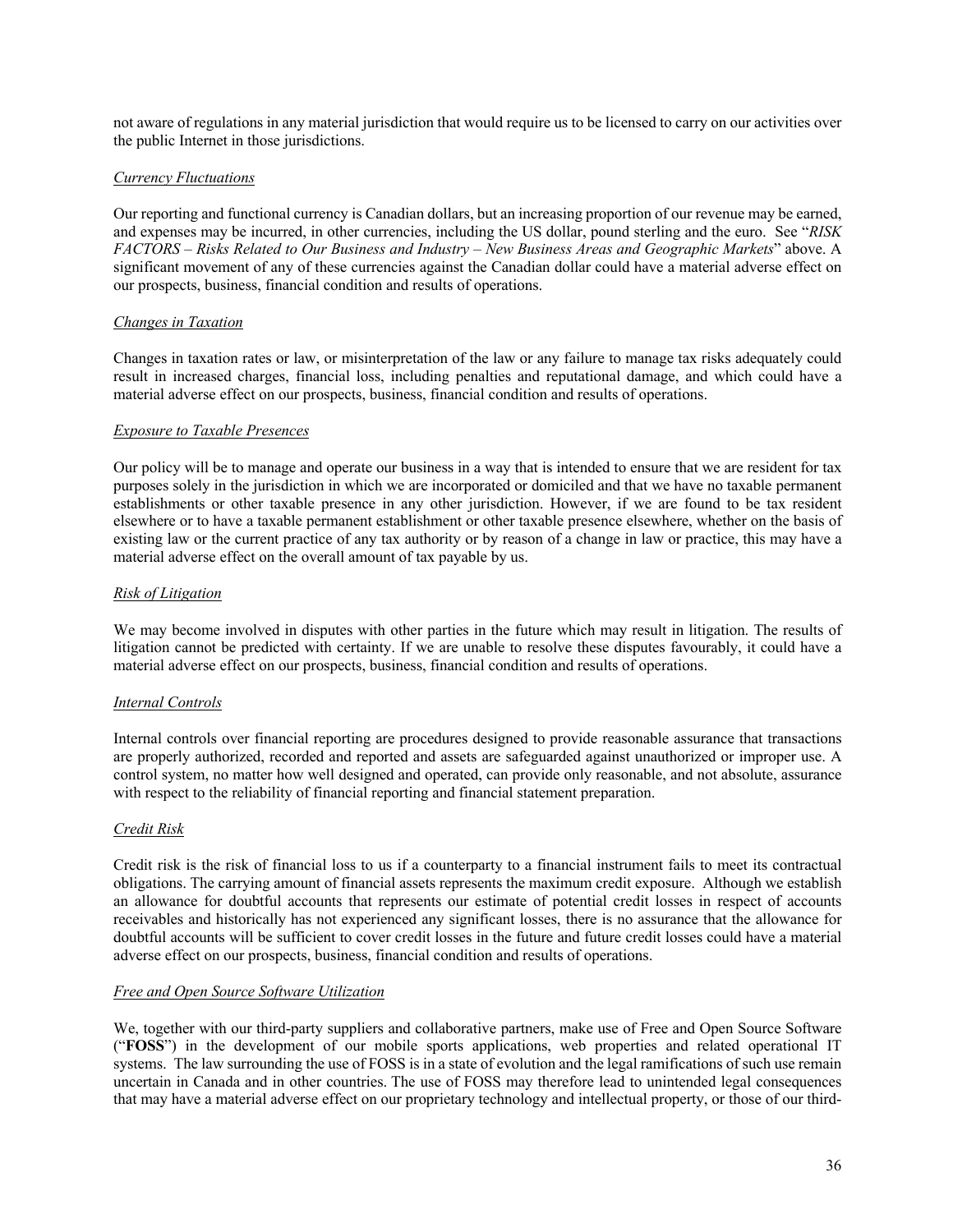not aware of regulations in any material jurisdiction that would require us to be licensed to carry on our activities over the public Internet in those jurisdictions.

### *Currency Fluctuations*

Our reporting and functional currency is Canadian dollars, but an increasing proportion of our revenue may be earned, and expenses may be incurred, in other currencies, including the US dollar, pound sterling and the euro. See "*RISK FACTORS – Risks Related to Our Business and Industry* – *New Business Areas and Geographic Markets*" above. A significant movement of any of these currencies against the Canadian dollar could have a material adverse effect on our prospects, business, financial condition and results of operations.

### *Changes in Taxation*

Changes in taxation rates or law, or misinterpretation of the law or any failure to manage tax risks adequately could result in increased charges, financial loss, including penalties and reputational damage, and which could have a material adverse effect on our prospects, business, financial condition and results of operations.

### *Exposure to Taxable Presences*

Our policy will be to manage and operate our business in a way that is intended to ensure that we are resident for tax purposes solely in the jurisdiction in which we are incorporated or domiciled and that we have no taxable permanent establishments or other taxable presence in any other jurisdiction. However, if we are found to be tax resident elsewhere or to have a taxable permanent establishment or other taxable presence elsewhere, whether on the basis of existing law or the current practice of any tax authority or by reason of a change in law or practice, this may have a material adverse effect on the overall amount of tax payable by us.

### *Risk of Litigation*

We may become involved in disputes with other parties in the future which may result in litigation. The results of litigation cannot be predicted with certainty. If we are unable to resolve these disputes favourably, it could have a material adverse effect on our prospects, business, financial condition and results of operations.

#### *Internal Controls*

Internal controls over financial reporting are procedures designed to provide reasonable assurance that transactions are properly authorized, recorded and reported and assets are safeguarded against unauthorized or improper use. A control system, no matter how well designed and operated, can provide only reasonable, and not absolute, assurance with respect to the reliability of financial reporting and financial statement preparation.

#### *Credit Risk*

Credit risk is the risk of financial loss to us if a counterparty to a financial instrument fails to meet its contractual obligations. The carrying amount of financial assets represents the maximum credit exposure. Although we establish an allowance for doubtful accounts that represents our estimate of potential credit losses in respect of accounts receivables and historically has not experienced any significant losses, there is no assurance that the allowance for doubtful accounts will be sufficient to cover credit losses in the future and future credit losses could have a material adverse effect on our prospects, business, financial condition and results of operations.

### *Free and Open Source Software Utilization*

We, together with our third-party suppliers and collaborative partners, make use of Free and Open Source Software ("**FOSS**") in the development of our mobile sports applications, web properties and related operational IT systems. The law surrounding the use of FOSS is in a state of evolution and the legal ramifications of such use remain uncertain in Canada and in other countries. The use of FOSS may therefore lead to unintended legal consequences that may have a material adverse effect on our proprietary technology and intellectual property, or those of our third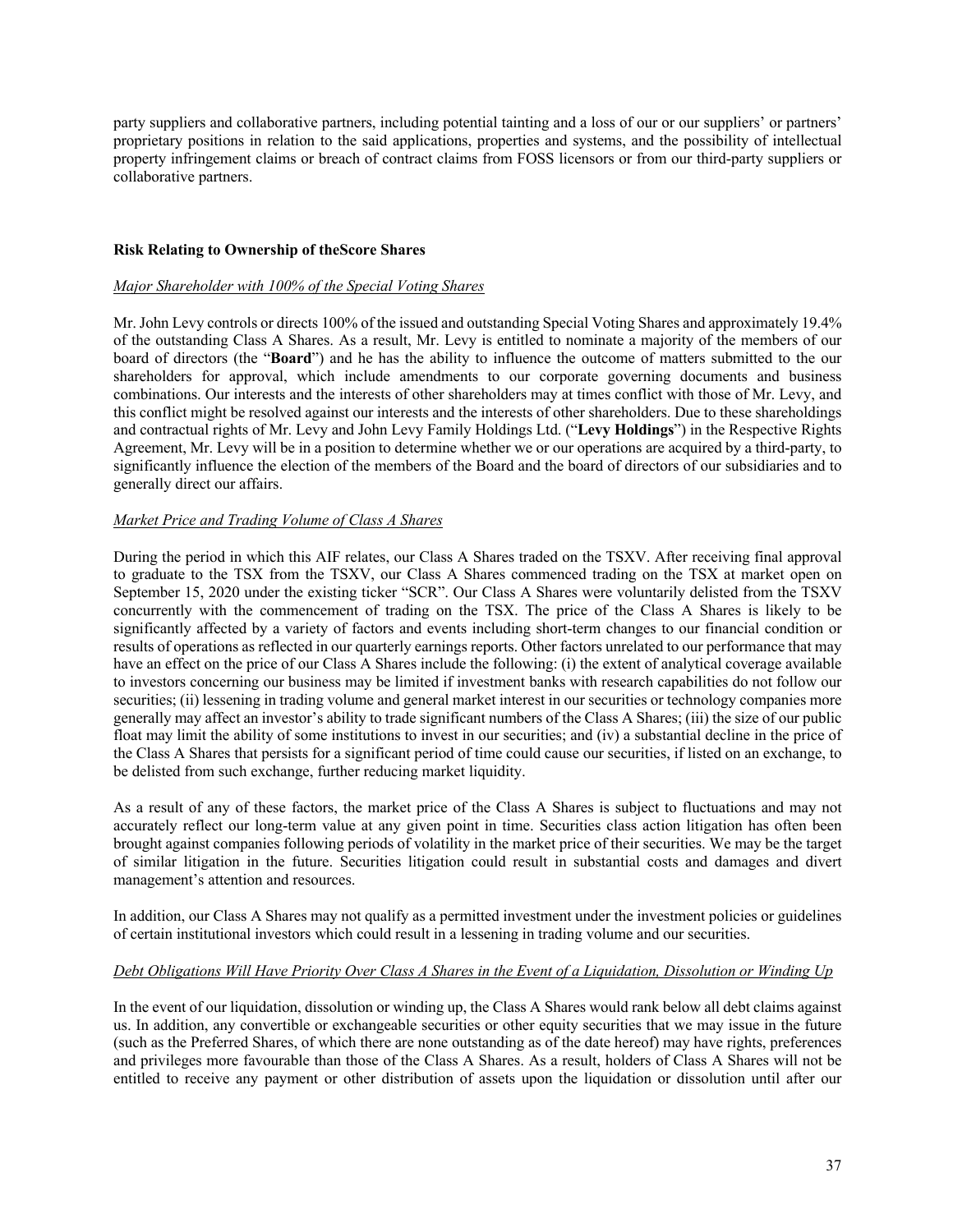party suppliers and collaborative partners, including potential tainting and a loss of our or our suppliers' or partners' proprietary positions in relation to the said applications, properties and systems, and the possibility of intellectual property infringement claims or breach of contract claims from FOSS licensors or from our third-party suppliers or collaborative partners.

### **Risk Relating to Ownership of theScore Shares**

### *Major Shareholder with 100% of the Special Voting Shares*

Mr. John Levy controls or directs 100% of the issued and outstanding Special Voting Shares and approximately 19.4% of the outstanding Class A Shares. As a result, Mr. Levy is entitled to nominate a majority of the members of our board of directors (the "**Board**") and he has the ability to influence the outcome of matters submitted to the our shareholders for approval, which include amendments to our corporate governing documents and business combinations. Our interests and the interests of other shareholders may at times conflict with those of Mr. Levy, and this conflict might be resolved against our interests and the interests of other shareholders. Due to these shareholdings and contractual rights of Mr. Levy and John Levy Family Holdings Ltd. ("**Levy Holdings**") in the Respective Rights Agreement, Mr. Levy will be in a position to determine whether we or our operations are acquired by a third-party, to significantly influence the election of the members of the Board and the board of directors of our subsidiaries and to generally direct our affairs.

## *Market Price and Trading Volume of Class A Shares*

During the period in which this AIF relates, our Class A Shares traded on the TSXV. After receiving final approval to graduate to the TSX from the TSXV, our Class A Shares commenced trading on the TSX at market open on September 15, 2020 under the existing ticker "SCR". Our Class A Shares were voluntarily delisted from the TSXV concurrently with the commencement of trading on the TSX. The price of the Class A Shares is likely to be significantly affected by a variety of factors and events including short-term changes to our financial condition or results of operations as reflected in our quarterly earnings reports. Other factors unrelated to our performance that may have an effect on the price of our Class A Shares include the following: (i) the extent of analytical coverage available to investors concerning our business may be limited if investment banks with research capabilities do not follow our securities; (ii) lessening in trading volume and general market interest in our securities or technology companies more generally may affect an investor's ability to trade significant numbers of the Class A Shares; (iii) the size of our public float may limit the ability of some institutions to invest in our securities; and (iv) a substantial decline in the price of the Class A Shares that persists for a significant period of time could cause our securities, if listed on an exchange, to be delisted from such exchange, further reducing market liquidity.

As a result of any of these factors, the market price of the Class A Shares is subject to fluctuations and may not accurately reflect our long-term value at any given point in time. Securities class action litigation has often been brought against companies following periods of volatility in the market price of their securities. We may be the target of similar litigation in the future. Securities litigation could result in substantial costs and damages and divert management's attention and resources.

In addition, our Class A Shares may not qualify as a permitted investment under the investment policies or guidelines of certain institutional investors which could result in a lessening in trading volume and our securities.

## *Debt Obligations Will Have Priority Over Class A Shares in the Event of a Liquidation, Dissolution or Winding Up*

In the event of our liquidation, dissolution or winding up, the Class A Shares would rank below all debt claims against us. In addition, any convertible or exchangeable securities or other equity securities that we may issue in the future (such as the Preferred Shares, of which there are none outstanding as of the date hereof) may have rights, preferences and privileges more favourable than those of the Class A Shares. As a result, holders of Class A Shares will not be entitled to receive any payment or other distribution of assets upon the liquidation or dissolution until after our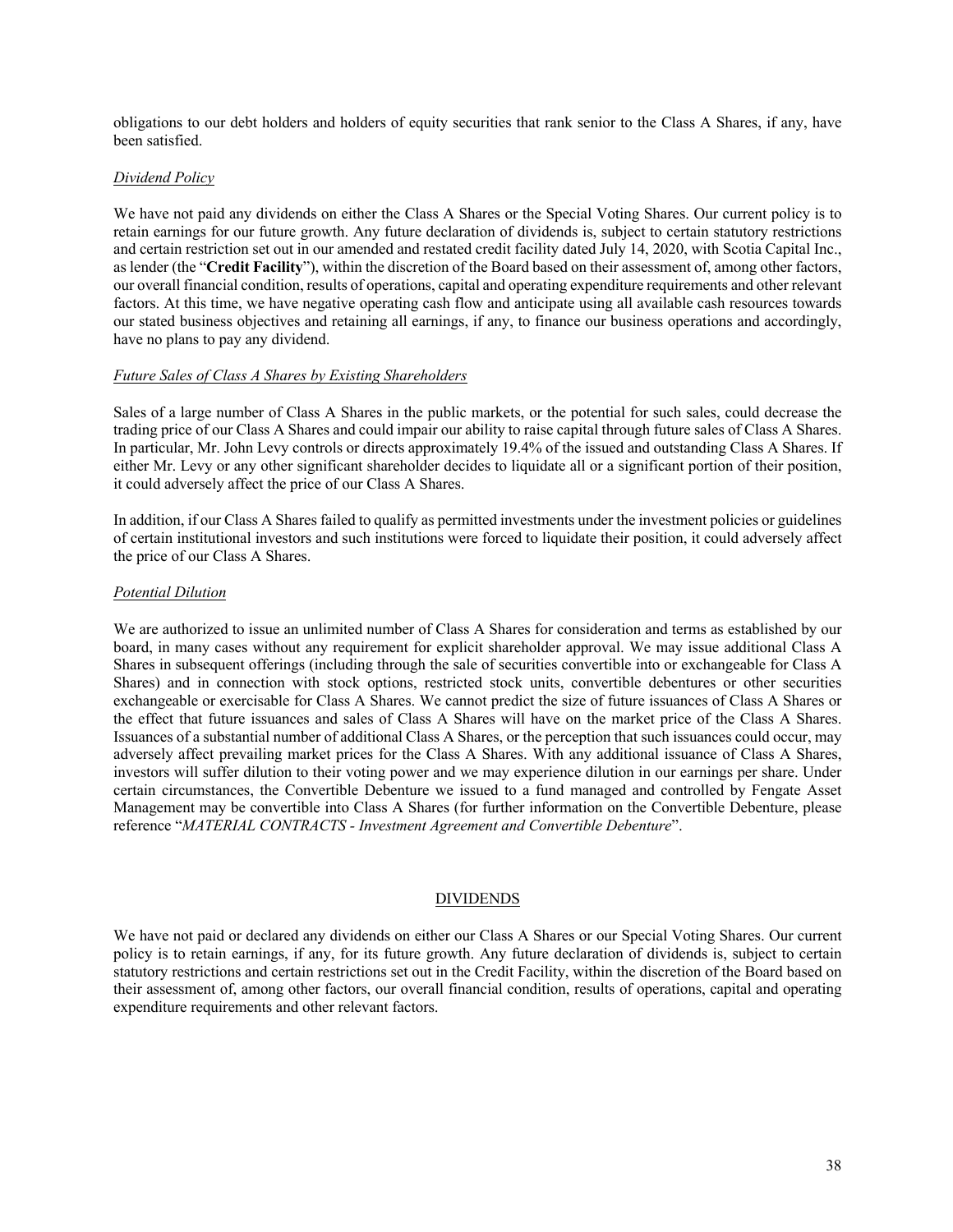obligations to our debt holders and holders of equity securities that rank senior to the Class A Shares, if any, have been satisfied.

### *Dividend Policy*

We have not paid any dividends on either the Class A Shares or the Special Voting Shares. Our current policy is to retain earnings for our future growth. Any future declaration of dividends is, subject to certain statutory restrictions and certain restriction set out in our amended and restated credit facility dated July 14, 2020, with Scotia Capital Inc., as lender (the "**Credit Facility**"), within the discretion of the Board based on their assessment of, among other factors, our overall financial condition, results of operations, capital and operating expenditure requirements and other relevant factors. At this time, we have negative operating cash flow and anticipate using all available cash resources towards our stated business objectives and retaining all earnings, if any, to finance our business operations and accordingly, have no plans to pay any dividend.

### *Future Sales of Class A Shares by Existing Shareholders*

Sales of a large number of Class A Shares in the public markets, or the potential for such sales, could decrease the trading price of our Class A Shares and could impair our ability to raise capital through future sales of Class A Shares. In particular, Mr. John Levy controls or directs approximately 19.4% of the issued and outstanding Class A Shares. If either Mr. Levy or any other significant shareholder decides to liquidate all or a significant portion of their position, it could adversely affect the price of our Class A Shares.

In addition, if our Class A Shares failed to qualify as permitted investments under the investment policies or guidelines of certain institutional investors and such institutions were forced to liquidate their position, it could adversely affect the price of our Class A Shares.

### *Potential Dilution*

We are authorized to issue an unlimited number of Class A Shares for consideration and terms as established by our board, in many cases without any requirement for explicit shareholder approval. We may issue additional Class A Shares in subsequent offerings (including through the sale of securities convertible into or exchangeable for Class A Shares) and in connection with stock options, restricted stock units, convertible debentures or other securities exchangeable or exercisable for Class A Shares. We cannot predict the size of future issuances of Class A Shares or the effect that future issuances and sales of Class A Shares will have on the market price of the Class A Shares. Issuances of a substantial number of additional Class A Shares, or the perception that such issuances could occur, may adversely affect prevailing market prices for the Class A Shares. With any additional issuance of Class A Shares, investors will suffer dilution to their voting power and we may experience dilution in our earnings per share. Under certain circumstances, the Convertible Debenture we issued to a fund managed and controlled by Fengate Asset Management may be convertible into Class A Shares (for further information on the Convertible Debenture, please reference "*MATERIAL CONTRACTS - Investment Agreement and Convertible Debenture*".

### DIVIDENDS

We have not paid or declared any dividends on either our Class A Shares or our Special Voting Shares. Our current policy is to retain earnings, if any, for its future growth. Any future declaration of dividends is, subject to certain statutory restrictions and certain restrictions set out in the Credit Facility, within the discretion of the Board based on their assessment of, among other factors, our overall financial condition, results of operations, capital and operating expenditure requirements and other relevant factors.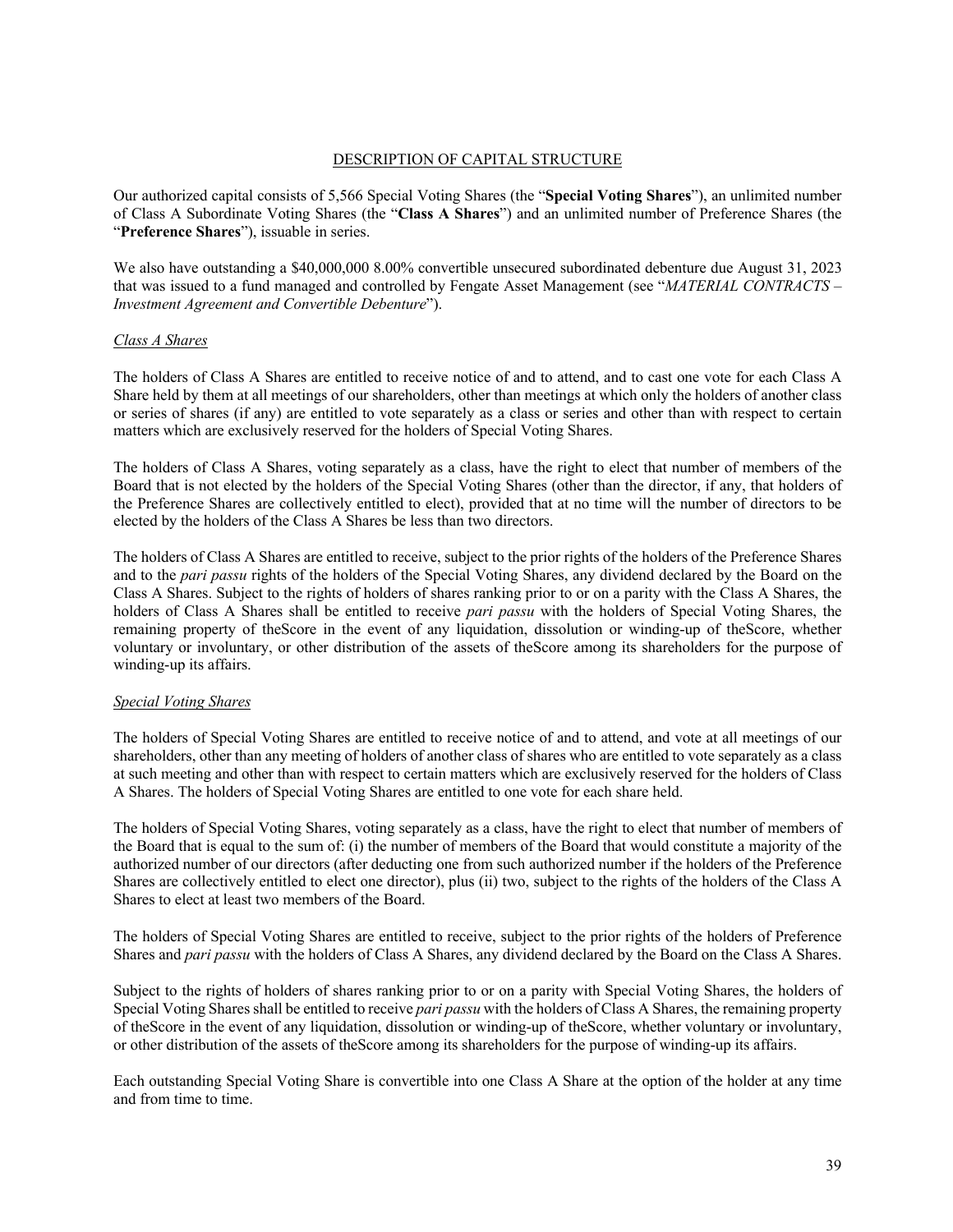## DESCRIPTION OF CAPITAL STRUCTURE

Our authorized capital consists of 5,566 Special Voting Shares (the "**Special Voting Shares**"), an unlimited number of Class A Subordinate Voting Shares (the "**Class A Shares**") and an unlimited number of Preference Shares (the "**Preference Shares**"), issuable in series.

We also have outstanding a \$40,000,000 8.00% convertible unsecured subordinated debenture due August 31, 2023 that was issued to a fund managed and controlled by Fengate Asset Management (see "*MATERIAL CONTRACTS – Investment Agreement and Convertible Debenture*").

### *Class A Shares*

The holders of Class A Shares are entitled to receive notice of and to attend, and to cast one vote for each Class A Share held by them at all meetings of our shareholders, other than meetings at which only the holders of another class or series of shares (if any) are entitled to vote separately as a class or series and other than with respect to certain matters which are exclusively reserved for the holders of Special Voting Shares.

The holders of Class A Shares, voting separately as a class, have the right to elect that number of members of the Board that is not elected by the holders of the Special Voting Shares (other than the director, if any, that holders of the Preference Shares are collectively entitled to elect), provided that at no time will the number of directors to be elected by the holders of the Class A Shares be less than two directors.

The holders of Class A Shares are entitled to receive, subject to the prior rights of the holders of the Preference Shares and to the *pari passu* rights of the holders of the Special Voting Shares, any dividend declared by the Board on the Class A Shares. Subject to the rights of holders of shares ranking prior to or on a parity with the Class A Shares, the holders of Class A Shares shall be entitled to receive *pari passu* with the holders of Special Voting Shares, the remaining property of theScore in the event of any liquidation, dissolution or winding-up of theScore, whether voluntary or involuntary, or other distribution of the assets of theScore among its shareholders for the purpose of winding-up its affairs.

## *Special Voting Shares*

The holders of Special Voting Shares are entitled to receive notice of and to attend, and vote at all meetings of our shareholders, other than any meeting of holders of another class of shares who are entitled to vote separately as a class at such meeting and other than with respect to certain matters which are exclusively reserved for the holders of Class A Shares. The holders of Special Voting Shares are entitled to one vote for each share held.

The holders of Special Voting Shares, voting separately as a class, have the right to elect that number of members of the Board that is equal to the sum of: (i) the number of members of the Board that would constitute a majority of the authorized number of our directors (after deducting one from such authorized number if the holders of the Preference Shares are collectively entitled to elect one director), plus (ii) two, subject to the rights of the holders of the Class A Shares to elect at least two members of the Board.

The holders of Special Voting Shares are entitled to receive, subject to the prior rights of the holders of Preference Shares and *pari passu* with the holders of Class A Shares, any dividend declared by the Board on the Class A Shares.

Subject to the rights of holders of shares ranking prior to or on a parity with Special Voting Shares, the holders of Special Voting Shares shall be entitled to receive *pari passu* with the holders of Class A Shares, the remaining property of theScore in the event of any liquidation, dissolution or winding-up of theScore, whether voluntary or involuntary, or other distribution of the assets of theScore among its shareholders for the purpose of winding-up its affairs.

Each outstanding Special Voting Share is convertible into one Class A Share at the option of the holder at any time and from time to time.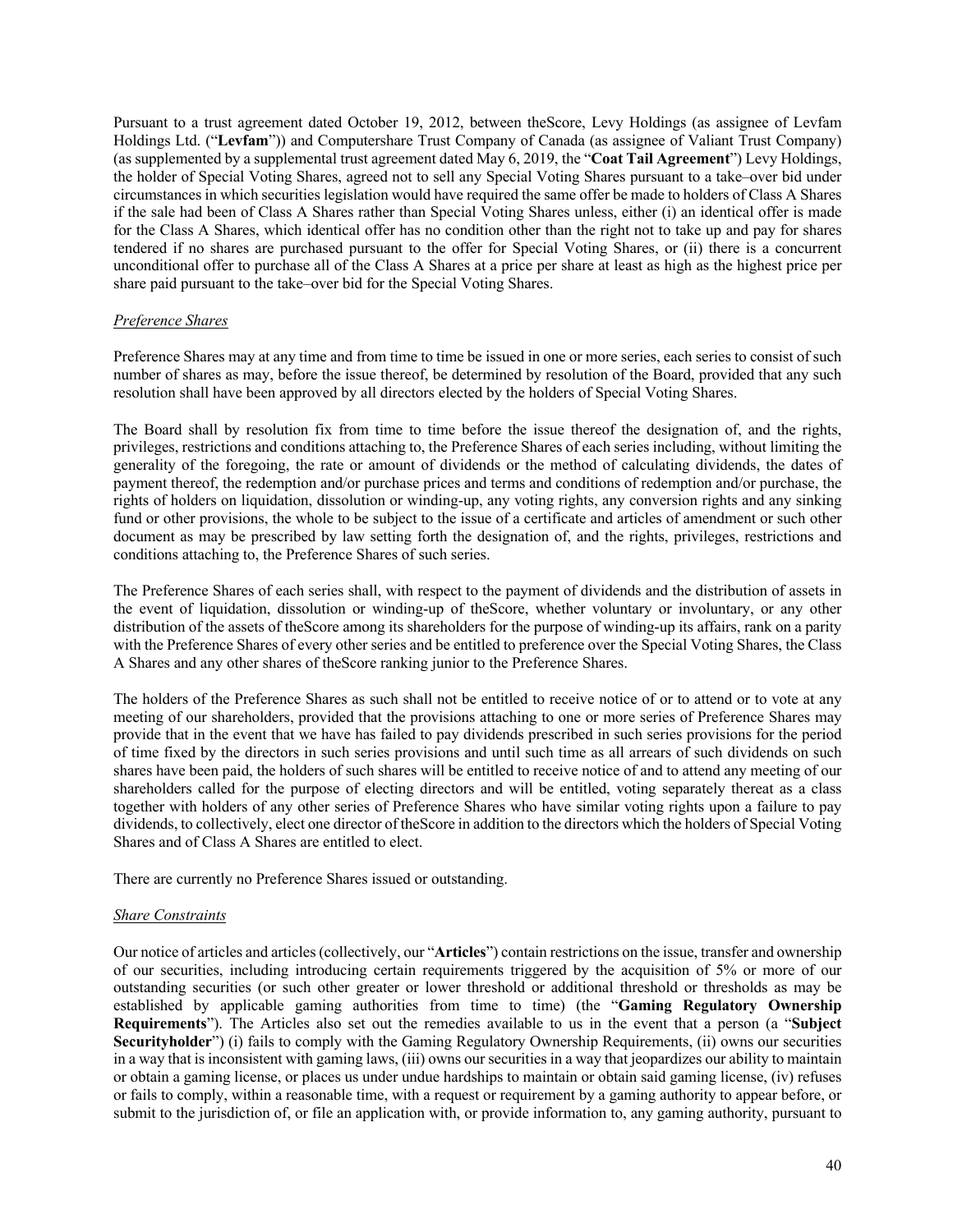Pursuant to a trust agreement dated October 19, 2012, between theScore, Levy Holdings (as assignee of Levfam Holdings Ltd. ("**Levfam**")) and Computershare Trust Company of Canada (as assignee of Valiant Trust Company) (as supplemented by a supplemental trust agreement dated May 6, 2019, the "**Coat Tail Agreement**") Levy Holdings, the holder of Special Voting Shares, agreed not to sell any Special Voting Shares pursuant to a take–over bid under circumstances in which securities legislation would have required the same offer be made to holders of Class A Shares if the sale had been of Class A Shares rather than Special Voting Shares unless, either (i) an identical offer is made for the Class A Shares, which identical offer has no condition other than the right not to take up and pay for shares tendered if no shares are purchased pursuant to the offer for Special Voting Shares, or (ii) there is a concurrent unconditional offer to purchase all of the Class A Shares at a price per share at least as high as the highest price per share paid pursuant to the take–over bid for the Special Voting Shares.

#### *Preference Shares*

Preference Shares may at any time and from time to time be issued in one or more series, each series to consist of such number of shares as may, before the issue thereof, be determined by resolution of the Board, provided that any such resolution shall have been approved by all directors elected by the holders of Special Voting Shares.

The Board shall by resolution fix from time to time before the issue thereof the designation of, and the rights, privileges, restrictions and conditions attaching to, the Preference Shares of each series including, without limiting the generality of the foregoing, the rate or amount of dividends or the method of calculating dividends, the dates of payment thereof, the redemption and/or purchase prices and terms and conditions of redemption and/or purchase, the rights of holders on liquidation, dissolution or winding-up, any voting rights, any conversion rights and any sinking fund or other provisions, the whole to be subject to the issue of a certificate and articles of amendment or such other document as may be prescribed by law setting forth the designation of, and the rights, privileges, restrictions and conditions attaching to, the Preference Shares of such series.

The Preference Shares of each series shall, with respect to the payment of dividends and the distribution of assets in the event of liquidation, dissolution or winding-up of theScore, whether voluntary or involuntary, or any other distribution of the assets of theScore among its shareholders for the purpose of winding-up its affairs, rank on a parity with the Preference Shares of every other series and be entitled to preference over the Special Voting Shares, the Class A Shares and any other shares of theScore ranking junior to the Preference Shares.

The holders of the Preference Shares as such shall not be entitled to receive notice of or to attend or to vote at any meeting of our shareholders, provided that the provisions attaching to one or more series of Preference Shares may provide that in the event that we have has failed to pay dividends prescribed in such series provisions for the period of time fixed by the directors in such series provisions and until such time as all arrears of such dividends on such shares have been paid, the holders of such shares will be entitled to receive notice of and to attend any meeting of our shareholders called for the purpose of electing directors and will be entitled, voting separately thereat as a class together with holders of any other series of Preference Shares who have similar voting rights upon a failure to pay dividends, to collectively, elect one director of theScore in addition to the directors which the holders of Special Voting Shares and of Class A Shares are entitled to elect.

There are currently no Preference Shares issued or outstanding.

## *Share Constraints*

Our notice of articles and articles (collectively, our "**Articles**") contain restrictions on the issue, transfer and ownership of our securities, including introducing certain requirements triggered by the acquisition of 5% or more of our outstanding securities (or such other greater or lower threshold or additional threshold or thresholds as may be established by applicable gaming authorities from time to time) (the "**Gaming Regulatory Ownership Requirements**"). The Articles also set out the remedies available to us in the event that a person (a "**Subject Securityholder**") (i) fails to comply with the Gaming Regulatory Ownership Requirements, (ii) owns our securities in a way that is inconsistent with gaming laws, (iii) owns our securities in a way that jeopardizes our ability to maintain or obtain a gaming license, or places us under undue hardships to maintain or obtain said gaming license, (iv) refuses or fails to comply, within a reasonable time, with a request or requirement by a gaming authority to appear before, or submit to the jurisdiction of, or file an application with, or provide information to, any gaming authority, pursuant to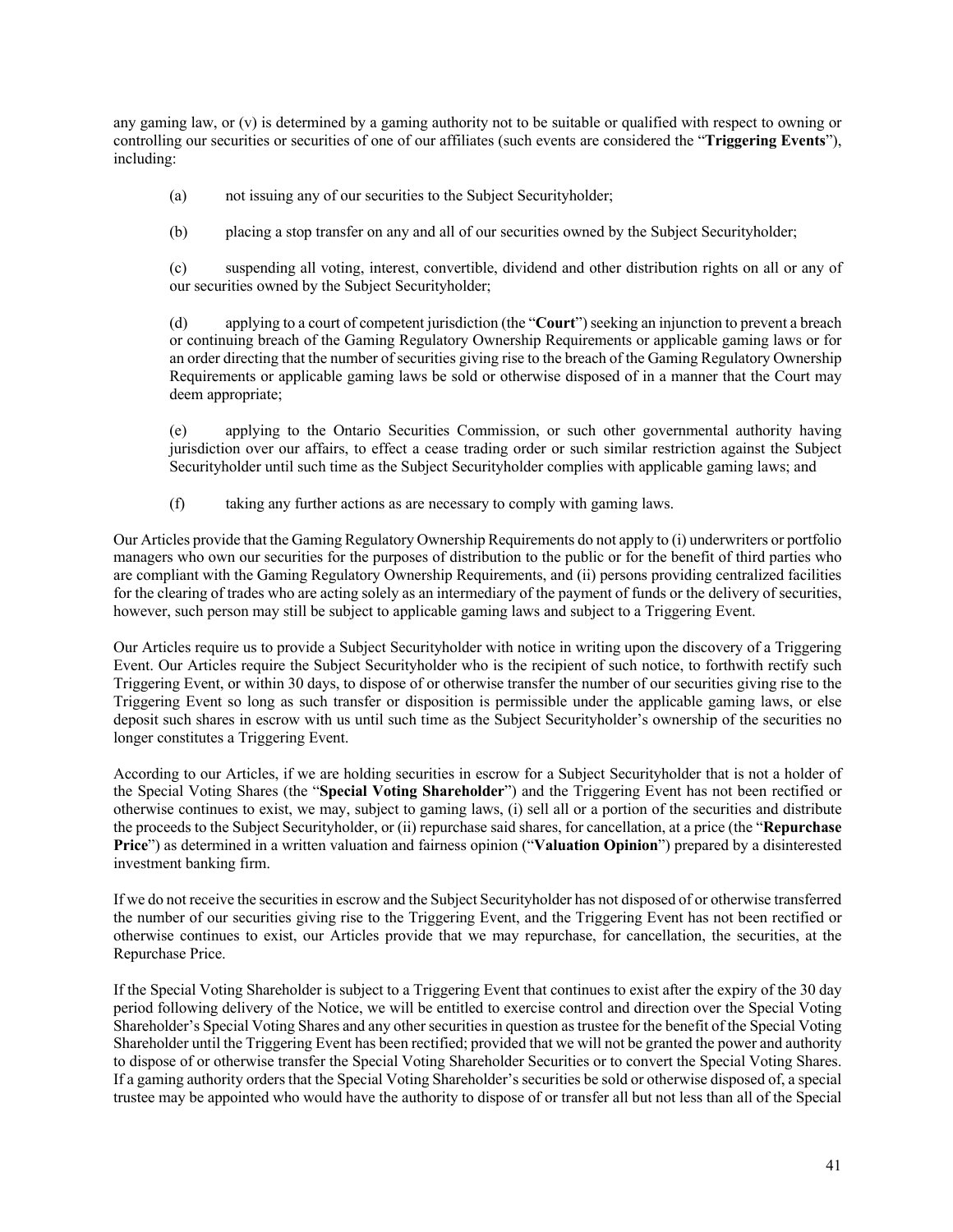any gaming law, or (v) is determined by a gaming authority not to be suitable or qualified with respect to owning or controlling our securities or securities of one of our affiliates (such events are considered the "**Triggering Events**"), including:

(a) not issuing any of our securities to the Subject Securityholder;

(b) placing a stop transfer on any and all of our securities owned by the Subject Securityholder;

(c) suspending all voting, interest, convertible, dividend and other distribution rights on all or any of our securities owned by the Subject Securityholder;

(d) applying to a court of competent jurisdiction (the "**Court**") seeking an injunction to prevent a breach or continuing breach of the Gaming Regulatory Ownership Requirements or applicable gaming laws or for an order directing that the number of securities giving rise to the breach of the Gaming Regulatory Ownership Requirements or applicable gaming laws be sold or otherwise disposed of in a manner that the Court may deem appropriate;

(e) applying to the Ontario Securities Commission, or such other governmental authority having jurisdiction over our affairs, to effect a cease trading order or such similar restriction against the Subject Securityholder until such time as the Subject Securityholder complies with applicable gaming laws; and

(f) taking any further actions as are necessary to comply with gaming laws.

Our Articles provide that the Gaming Regulatory Ownership Requirements do not apply to (i) underwriters or portfolio managers who own our securities for the purposes of distribution to the public or for the benefit of third parties who are compliant with the Gaming Regulatory Ownership Requirements, and (ii) persons providing centralized facilities for the clearing of trades who are acting solely as an intermediary of the payment of funds or the delivery of securities, however, such person may still be subject to applicable gaming laws and subject to a Triggering Event.

Our Articles require us to provide a Subject Securityholder with notice in writing upon the discovery of a Triggering Event. Our Articles require the Subject Securityholder who is the recipient of such notice, to forthwith rectify such Triggering Event, or within 30 days, to dispose of or otherwise transfer the number of our securities giving rise to the Triggering Event so long as such transfer or disposition is permissible under the applicable gaming laws, or else deposit such shares in escrow with us until such time as the Subject Securityholder's ownership of the securities no longer constitutes a Triggering Event.

According to our Articles, if we are holding securities in escrow for a Subject Securityholder that is not a holder of the Special Voting Shares (the "**Special Voting Shareholder**") and the Triggering Event has not been rectified or otherwise continues to exist, we may, subject to gaming laws, (i) sell all or a portion of the securities and distribute the proceeds to the Subject Securityholder, or (ii) repurchase said shares, for cancellation, at a price (the "**Repurchase Price**") as determined in a written valuation and fairness opinion ("**Valuation Opinion**") prepared by a disinterested investment banking firm.

If we do not receive the securities in escrow and the Subject Securityholder has not disposed of or otherwise transferred the number of our securities giving rise to the Triggering Event, and the Triggering Event has not been rectified or otherwise continues to exist, our Articles provide that we may repurchase, for cancellation, the securities, at the Repurchase Price.

If the Special Voting Shareholder is subject to a Triggering Event that continues to exist after the expiry of the 30 day period following delivery of the Notice, we will be entitled to exercise control and direction over the Special Voting Shareholder's Special Voting Shares and any other securities in question as trustee for the benefit of the Special Voting Shareholder until the Triggering Event has been rectified; provided that we will not be granted the power and authority to dispose of or otherwise transfer the Special Voting Shareholder Securities or to convert the Special Voting Shares. If a gaming authority orders that the Special Voting Shareholder's securities be sold or otherwise disposed of, a special trustee may be appointed who would have the authority to dispose of or transfer all but not less than all of the Special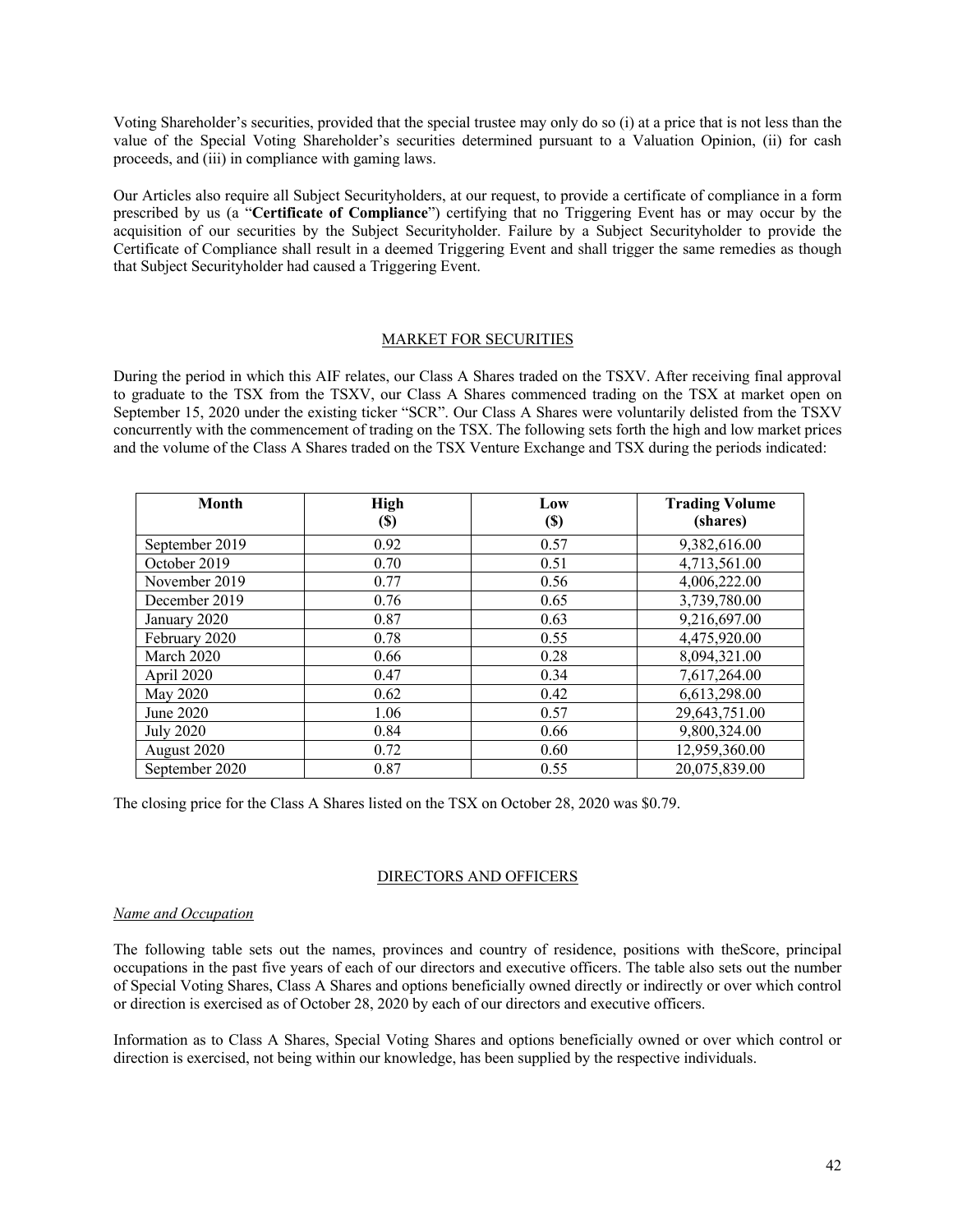Voting Shareholder's securities, provided that the special trustee may only do so (i) at a price that is not less than the value of the Special Voting Shareholder's securities determined pursuant to a Valuation Opinion, (ii) for cash proceeds, and (iii) in compliance with gaming laws.

Our Articles also require all Subject Securityholders, at our request, to provide a certificate of compliance in a form prescribed by us (a "**Certificate of Compliance**") certifying that no Triggering Event has or may occur by the acquisition of our securities by the Subject Securityholder. Failure by a Subject Securityholder to provide the Certificate of Compliance shall result in a deemed Triggering Event and shall trigger the same remedies as though that Subject Securityholder had caused a Triggering Event.

#### MARKET FOR SECURITIES

During the period in which this AIF relates, our Class A Shares traded on the TSXV. After receiving final approval to graduate to the TSX from the TSXV, our Class A Shares commenced trading on the TSX at market open on September 15, 2020 under the existing ticker "SCR". Our Class A Shares were voluntarily delisted from the TSXV concurrently with the commencement of trading on the TSX. The following sets forth the high and low market prices and the volume of the Class A Shares traded on the TSX Venture Exchange and TSX during the periods indicated:

| <b>Month</b>     | <b>High</b><br><b>(\$)</b> | Low<br>$\left( \mathbb{S}\right)$ | <b>Trading Volume</b><br>(shares) |
|------------------|----------------------------|-----------------------------------|-----------------------------------|
| September 2019   | 0.92                       | 0.57                              | 9,382,616.00                      |
| October 2019     | 0.70                       | 0.51                              | 4,713,561.00                      |
| November 2019    | 0.77                       | 0.56                              | 4,006,222.00                      |
| December 2019    | 0.76                       | 0.65                              | 3,739,780.00                      |
| January 2020     | 0.87                       | 0.63                              | 9,216,697.00                      |
| February 2020    | 0.78                       | 0.55                              | 4,475,920.00                      |
| March 2020       | 0.66                       | 0.28                              | 8,094,321.00                      |
| April 2020       | 0.47                       | 0.34                              | 7,617,264.00                      |
| May 2020         | 0.62                       | 0.42                              | 6,613,298.00                      |
| June 2020        | 1.06                       | 0.57                              | 29,643,751.00                     |
| <b>July 2020</b> | 0.84                       | 0.66                              | 9,800,324.00                      |
| August 2020      | 0.72                       | 0.60                              | 12,959,360.00                     |
| September 2020   | 0.87                       | 0.55                              | 20,075,839.00                     |

The closing price for the Class A Shares listed on the TSX on October 28, 2020 was \$0.79.

## DIRECTORS AND OFFICERS

#### *Name and Occupation*

The following table sets out the names, provinces and country of residence, positions with theScore, principal occupations in the past five years of each of our directors and executive officers. The table also sets out the number of Special Voting Shares, Class A Shares and options beneficially owned directly or indirectly or over which control or direction is exercised as of October 28, 2020 by each of our directors and executive officers.

Information as to Class A Shares, Special Voting Shares and options beneficially owned or over which control or direction is exercised, not being within our knowledge, has been supplied by the respective individuals.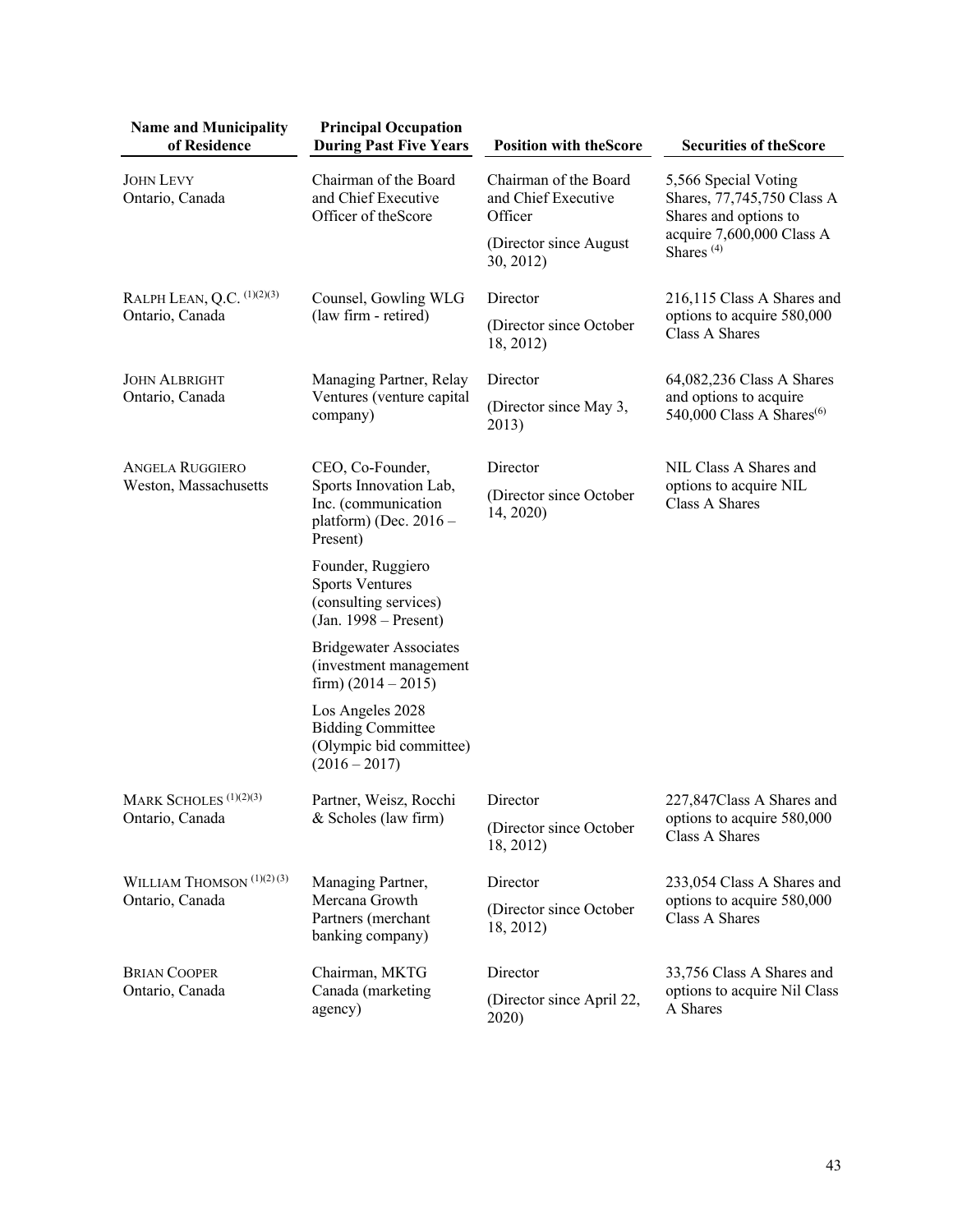| <b>Name and Municipality</b><br>of Residence            | <b>Principal Occupation</b><br><b>During Past Five Years</b>                                              | <b>Position with the Score</b>                          | <b>Securities of the Score</b>                                              |
|---------------------------------------------------------|-----------------------------------------------------------------------------------------------------------|---------------------------------------------------------|-----------------------------------------------------------------------------|
| <b>JOHN LEVY</b><br>Ontario, Canada                     | Chairman of the Board<br>and Chief Executive<br>Officer of the Score                                      | Chairman of the Board<br>and Chief Executive<br>Officer | 5,566 Special Voting<br>Shares, 77,745,750 Class A<br>Shares and options to |
|                                                         |                                                                                                           | (Director since August)<br>30, 2012)                    | acquire 7,600,000 Class A<br>Shares <sup>(4)</sup>                          |
| RALPH LEAN, Q.C. (1)(2)(3)                              | Counsel, Gowling WLG                                                                                      | Director                                                | 216,115 Class A Shares and                                                  |
| Ontario, Canada                                         | (law firm - retired)                                                                                      | (Director since October<br>18, 2012)                    | options to acquire 580,000<br>Class A Shares                                |
| <b>JOHN ALBRIGHT</b>                                    | Managing Partner, Relay                                                                                   | Director                                                | 64,082,236 Class A Shares                                                   |
| Ontario, Canada                                         | Ventures (venture capital<br>company)                                                                     | (Director since May 3,<br>2013)                         | and options to acquire<br>540,000 Class A Shares <sup>(6)</sup>             |
| <b>ANGELA RUGGIERO</b>                                  | CEO, Co-Founder,<br>Sports Innovation Lab,<br>Inc. (communication<br>platform) (Dec. $2016 -$<br>Present) | Director                                                | NIL Class A Shares and                                                      |
| Weston, Massachusetts                                   |                                                                                                           | (Director since October<br>14, 2020)                    | options to acquire NIL<br>Class A Shares                                    |
|                                                         | Founder, Ruggiero<br><b>Sports Ventures</b><br>(consulting services)<br>$(Jan. 1998 - Present)$           |                                                         |                                                                             |
|                                                         | <b>Bridgewater Associates</b><br>(investment management<br>firm) $(2014 - 2015)$                          |                                                         |                                                                             |
|                                                         | Los Angeles 2028<br><b>Bidding Committee</b><br>(Olympic bid committee)<br>$(2016 - 2017)$                |                                                         |                                                                             |
| MARK SCHOLES <sup>(1)(2)(3)</sup>                       | Partner, Weisz, Rocchi<br>& Scholes (law firm)                                                            | Director                                                | 227,847Class A Shares and                                                   |
| Ontario, Canada                                         |                                                                                                           | (Director since October<br>18, 2012)                    | options to acquire 580,000<br>Class A Shares                                |
| WILLIAM THOMSON <sup>(1)(2)(3)</sup><br>Ontario, Canada | Managing Partner,<br>Mercana Growth<br>Partners (merchant<br>banking company)                             | Director                                                | 233,054 Class A Shares and                                                  |
|                                                         |                                                                                                           | (Director since October<br>18, 2012)                    | options to acquire 580,000<br>Class A Shares                                |
| <b>BRIAN COOPER</b>                                     | Chairman, MKTG                                                                                            | Director                                                | 33,756 Class A Shares and                                                   |
| Ontario, Canada                                         | Canada (marketing<br>agency)                                                                              | (Director since April 22,<br>2020)                      | options to acquire Nil Class<br>A Shares                                    |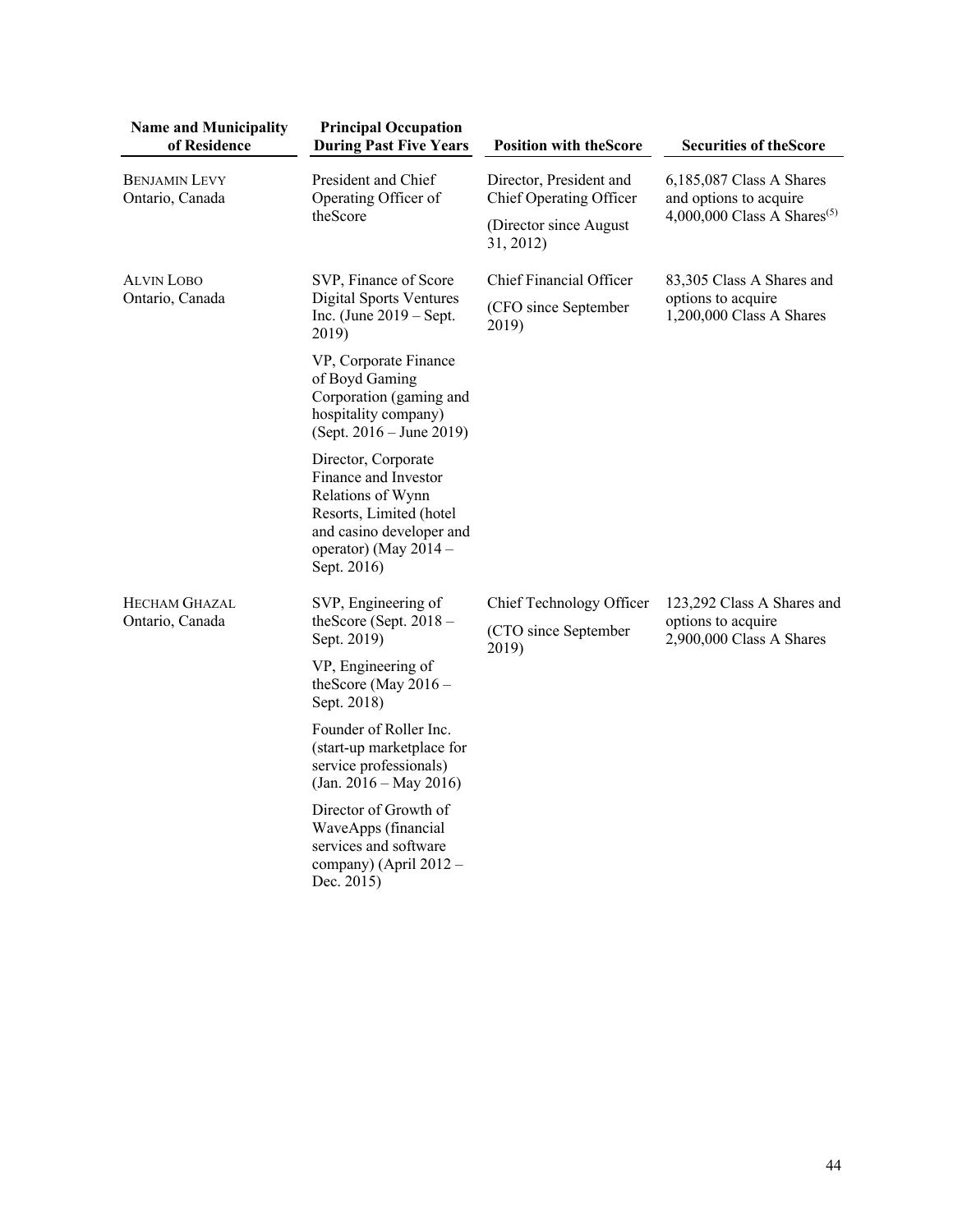| <b>Name and Municipality</b><br>of Residence | <b>Principal Occupation</b><br><b>During Past Five Years</b>                                                                                                    | <b>Position with the Score</b>                            | <b>Securities of the Score</b>                                                                |
|----------------------------------------------|-----------------------------------------------------------------------------------------------------------------------------------------------------------------|-----------------------------------------------------------|-----------------------------------------------------------------------------------------------|
| <b>BENJAMIN LEVY</b><br>Ontario, Canada      | President and Chief<br>Operating Officer of<br>theScore                                                                                                         | Director, President and<br>Chief Operating Officer        | 6,185,087 Class A Shares<br>and options to acquire<br>4,000,000 Class A Shares <sup>(5)</sup> |
|                                              |                                                                                                                                                                 | (Director since August)<br>31, 2012)                      |                                                                                               |
| <b>ALVIN LOBO</b><br>Ontario, Canada         | SVP, Finance of Score<br>Digital Sports Ventures<br>Inc. (June $2019 - Sept.$<br>2019)                                                                          | Chief Financial Officer                                   | 83,305 Class A Shares and<br>options to acquire<br>1,200,000 Class A Shares                   |
|                                              |                                                                                                                                                                 | (CFO since September<br>2019)                             |                                                                                               |
|                                              | VP, Corporate Finance<br>of Boyd Gaming<br>Corporation (gaming and<br>hospitality company)<br>(Sept. $2016 -$ June 2019)                                        |                                                           |                                                                                               |
|                                              | Director, Corporate<br>Finance and Investor<br>Relations of Wynn<br>Resorts, Limited (hotel<br>and casino developer and<br>operator) (May 2014 -<br>Sept. 2016) |                                                           |                                                                                               |
| <b>HECHAM GHAZAL</b><br>Ontario, Canada      | SVP, Engineering of<br>theScore (Sept. 2018 -<br>Sept. 2019)                                                                                                    | Chief Technology Officer<br>(CTO since September<br>2019) | 123,292 Class A Shares and<br>options to acquire<br>2,900,000 Class A Shares                  |
|                                              | VP, Engineering of<br>the Score (May $2016 -$<br>Sept. 2018)                                                                                                    |                                                           |                                                                                               |
|                                              | Founder of Roller Inc.<br>(start-up marketplace for<br>service professionals)<br>$(Jan. 2016 - May 2016)$                                                       |                                                           |                                                                                               |
|                                              | Director of Growth of<br>WaveApps (financial<br>services and software<br>company) (April 2012 -<br>Dec. 2015)                                                   |                                                           |                                                                                               |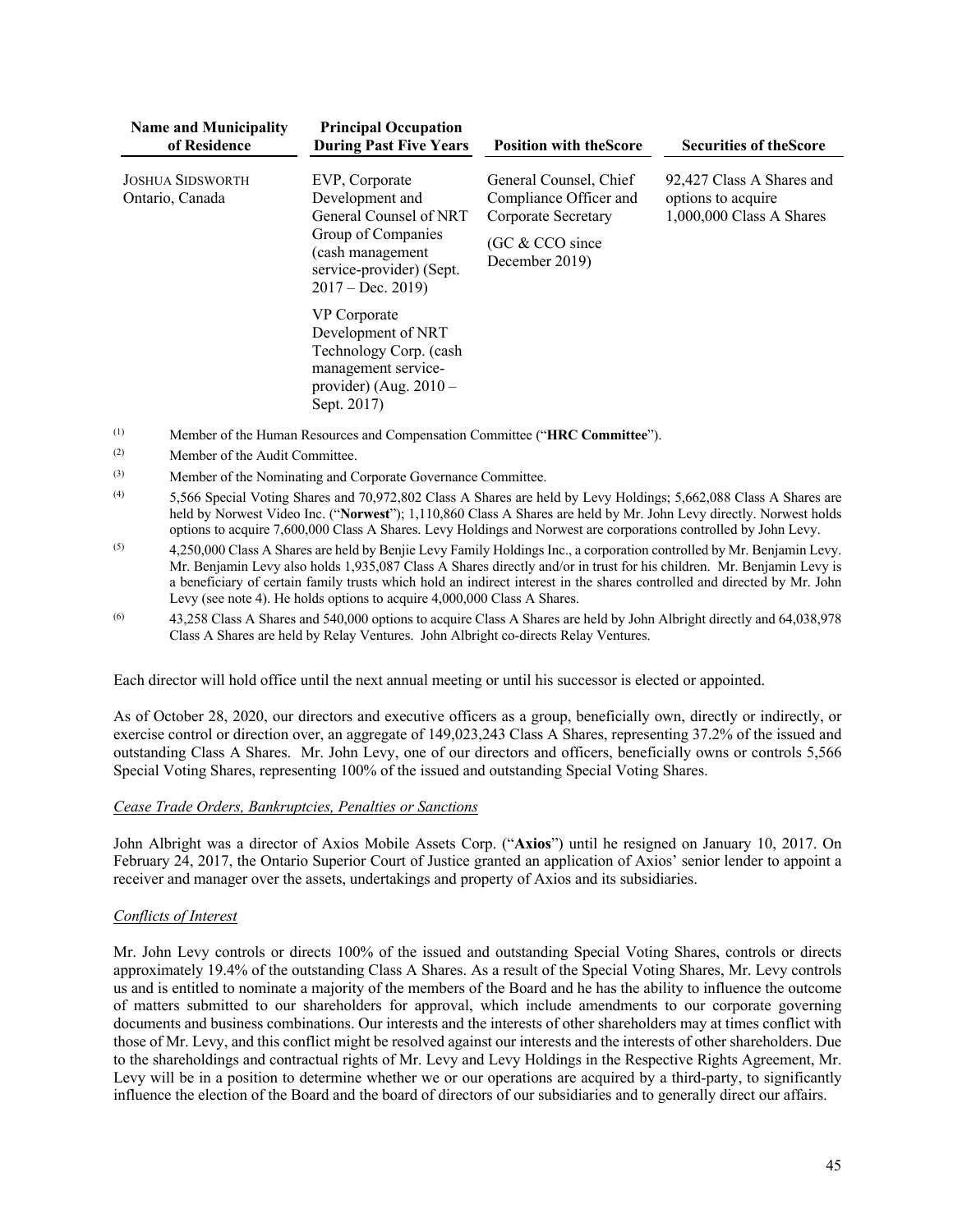| <b>Name and Municipality</b><br>of Residence | <b>Principal Occupation</b><br><b>During Past Five Years</b>                                                                                            | <b>Position with the Score</b>                                                                               | <b>Securities of the Score</b>                                                |
|----------------------------------------------|---------------------------------------------------------------------------------------------------------------------------------------------------------|--------------------------------------------------------------------------------------------------------------|-------------------------------------------------------------------------------|
| <b>JOSHUA SIDSWORTH</b><br>Ontario, Canada   | EVP, Corporate<br>Development and<br>General Counsel of NRT<br>Group of Companies<br>(cash management<br>service-provider) (Sept.<br>$2017 - Dec. 2019$ | General Counsel, Chief<br>Compliance Officer and<br>Corporate Secretary<br>(GC & CCO since<br>December 2019) | 92,427 Class A Shares and<br>options to acquire<br>$1,000,000$ Class A Shares |
|                                              | VP Corporate<br>Development of NRT<br>Technology Corp. (cash<br>management service-<br>provider) (Aug. $2010 -$<br>Sept. 2017)                          |                                                                                                              |                                                                               |

- (1) Member of the Human Resources and Compensation Committee ("**HRC Committee**").
- (2) Member of the Audit Committee.
- (3) Member of the Nominating and Corporate Governance Committee.
- (4) 5,566 Special Voting Shares and 70,972,802 Class A Shares are held by Levy Holdings; 5,662,088 Class A Shares are held by Norwest Video Inc. ("**Norwest**"); 1,110,860 Class A Shares are held by Mr. John Levy directly. Norwest holds options to acquire 7,600,000 Class A Shares. Levy Holdings and Norwest are corporations controlled by John Levy.
- $(5)$  4,250,000 Class A Shares are held by Benjie Levy Family Holdings Inc., a corporation controlled by Mr. Benjamin Levy. Mr. Benjamin Levy also holds 1,935,087 Class A Shares directly and/or in trust for his children.Mr. Benjamin Levy is a beneficiary of certain family trusts which hold an indirect interest in the shares controlled and directed by Mr. John Levy (see note 4). He holds options to acquire 4,000,000 Class A Shares.
- (6) 43,258 Class A Shares and 540,000 options to acquire Class A Shares are held by John Albright directly and 64,038,978 Class A Shares are held by Relay Ventures. John Albright co-directs Relay Ventures.

Each director will hold office until the next annual meeting or until his successor is elected or appointed.

As of October 28, 2020, our directors and executive officers as a group, beneficially own, directly or indirectly, or exercise control or direction over, an aggregate of 149,023,243 Class A Shares, representing 37.2% of the issued and outstanding Class A Shares. Mr. John Levy, one of our directors and officers, beneficially owns or controls 5,566 Special Voting Shares, representing 100% of the issued and outstanding Special Voting Shares.

## *Cease Trade Orders, Bankruptcies, Penalties or Sanctions*

John Albright was a director of Axios Mobile Assets Corp. ("**Axios**") until he resigned on January 10, 2017. On February 24, 2017, the Ontario Superior Court of Justice granted an application of Axios' senior lender to appoint a receiver and manager over the assets, undertakings and property of Axios and its subsidiaries.

## *Conflicts of Interest*

Mr. John Levy controls or directs 100% of the issued and outstanding Special Voting Shares, controls or directs approximately 19.4% of the outstanding Class A Shares. As a result of the Special Voting Shares, Mr. Levy controls us and is entitled to nominate a majority of the members of the Board and he has the ability to influence the outcome of matters submitted to our shareholders for approval, which include amendments to our corporate governing documents and business combinations. Our interests and the interests of other shareholders may at times conflict with those of Mr. Levy, and this conflict might be resolved against our interests and the interests of other shareholders. Due to the shareholdings and contractual rights of Mr. Levy and Levy Holdings in the Respective Rights Agreement, Mr. Levy will be in a position to determine whether we or our operations are acquired by a third-party, to significantly influence the election of the Board and the board of directors of our subsidiaries and to generally direct our affairs.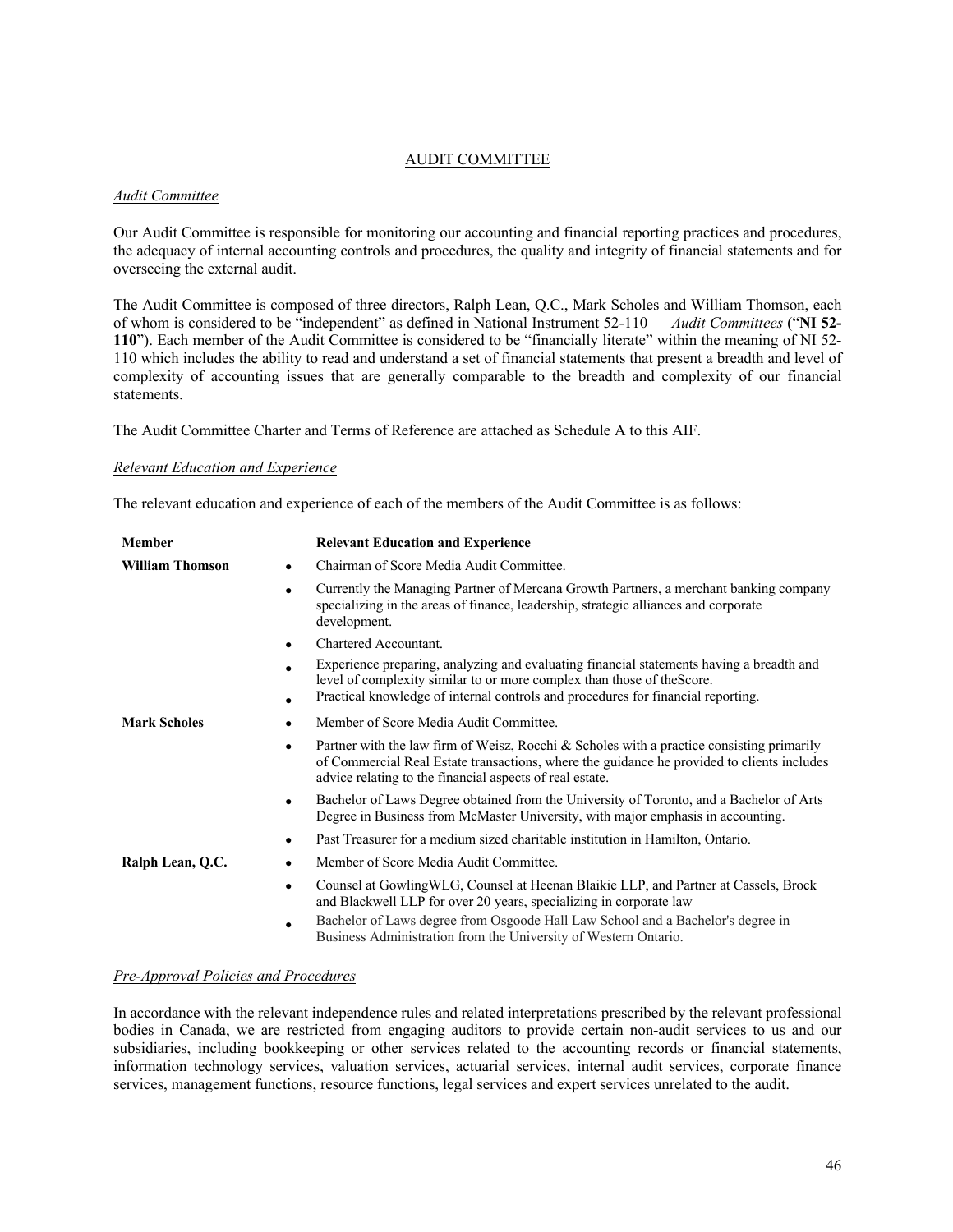## AUDIT COMMITTEE

## *Audit Committee*

Our Audit Committee is responsible for monitoring our accounting and financial reporting practices and procedures, the adequacy of internal accounting controls and procedures, the quality and integrity of financial statements and for overseeing the external audit.

The Audit Committee is composed of three directors, Ralph Lean, Q.C., Mark Scholes and William Thomson, each of whom is considered to be "independent" as defined in National Instrument 52-110 — *Audit Committees* ("**NI 52- 110**"). Each member of the Audit Committee is considered to be "financially literate" within the meaning of NI 52- 110 which includes the ability to read and understand a set of financial statements that present a breadth and level of complexity of accounting issues that are generally comparable to the breadth and complexity of our financial statements.

The Audit Committee Charter and Terms of Reference are attached as Schedule A to this AIF.

### *Relevant Education and Experience*

The relevant education and experience of each of the members of the Audit Committee is as follows:

| <b>Member</b>          | <b>Relevant Education and Experience</b>                                                                                                                                                                                                                         |
|------------------------|------------------------------------------------------------------------------------------------------------------------------------------------------------------------------------------------------------------------------------------------------------------|
| <b>William Thomson</b> | Chairman of Score Media Audit Committee.                                                                                                                                                                                                                         |
|                        | Currently the Managing Partner of Mercana Growth Partners, a merchant banking company<br>specializing in the areas of finance, leadership, strategic alliances and corporate<br>development.                                                                     |
|                        | Chartered Accountant.                                                                                                                                                                                                                                            |
|                        | Experience preparing, analyzing and evaluating financial statements having a breadth and<br>level of complexity similar to or more complex than those of the Score.<br>Practical knowledge of internal controls and procedures for financial reporting.          |
| <b>Mark Scholes</b>    | Member of Score Media Audit Committee.                                                                                                                                                                                                                           |
|                        | Partner with the law firm of Weisz, Rocchi & Scholes with a practice consisting primarily<br>$\bullet$<br>of Commercial Real Estate transactions, where the guidance he provided to clients includes<br>advice relating to the financial aspects of real estate. |
|                        | Bachelor of Laws Degree obtained from the University of Toronto, and a Bachelor of Arts<br>٠<br>Degree in Business from McMaster University, with major emphasis in accounting.                                                                                  |
|                        | Past Treasurer for a medium sized charitable institution in Hamilton, Ontario.                                                                                                                                                                                   |
| Ralph Lean, Q.C.       | Member of Score Media Audit Committee.                                                                                                                                                                                                                           |
|                        | Counsel at Gowling WLG, Counsel at Heenan Blaikie LLP, and Partner at Cassels, Brock<br>٠<br>and Blackwell LLP for over 20 years, specializing in corporate law                                                                                                  |
|                        | Bachelor of Laws degree from Osgoode Hall Law School and a Bachelor's degree in<br>Business Administration from the University of Western Ontario.                                                                                                               |

## *Pre-Approval Policies and Procedures*

In accordance with the relevant independence rules and related interpretations prescribed by the relevant professional bodies in Canada, we are restricted from engaging auditors to provide certain non-audit services to us and our subsidiaries, including bookkeeping or other services related to the accounting records or financial statements, information technology services, valuation services, actuarial services, internal audit services, corporate finance services, management functions, resource functions, legal services and expert services unrelated to the audit.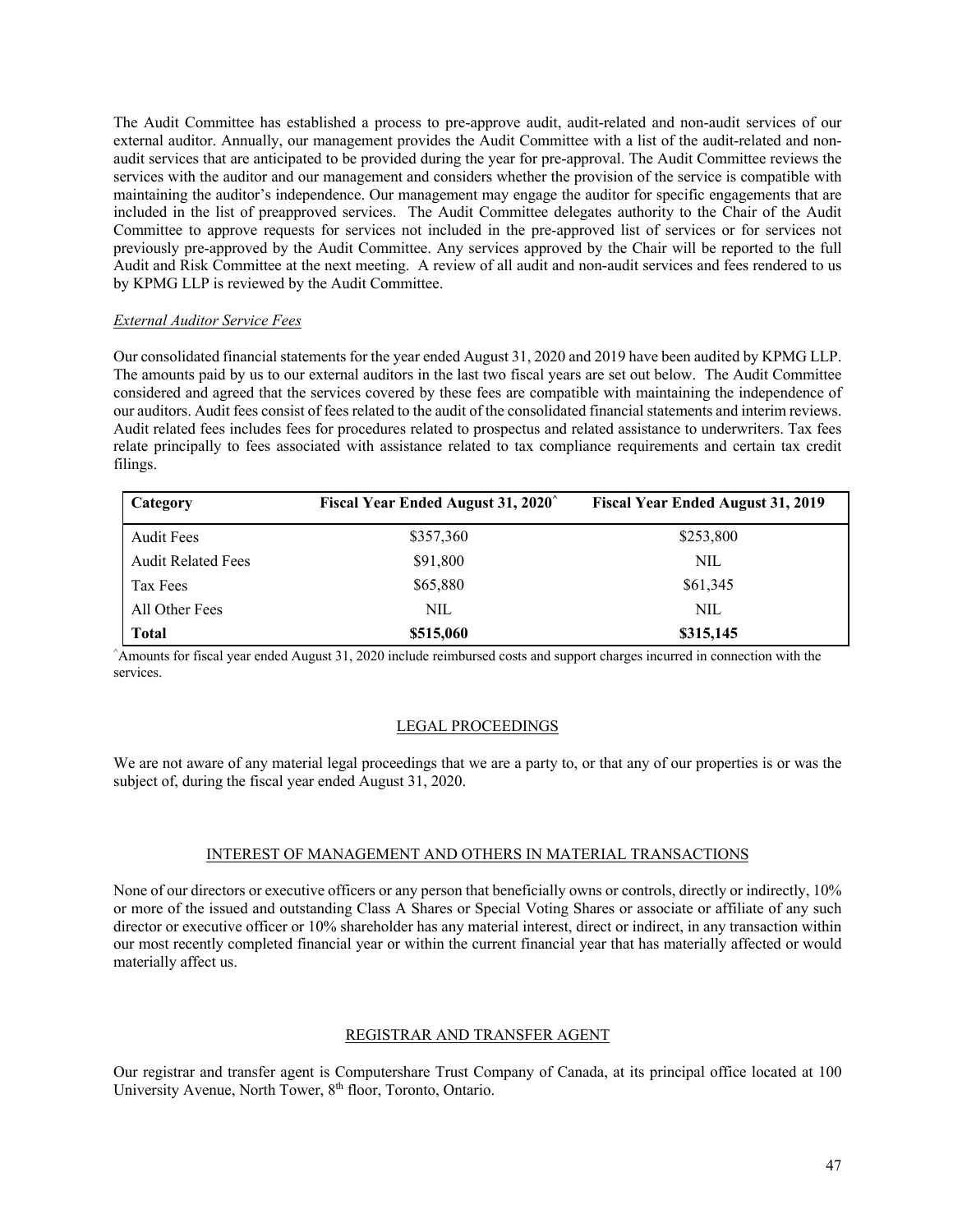The Audit Committee has established a process to pre-approve audit, audit-related and non-audit services of our external auditor. Annually, our management provides the Audit Committee with a list of the audit-related and nonaudit services that are anticipated to be provided during the year for pre-approval. The Audit Committee reviews the services with the auditor and our management and considers whether the provision of the service is compatible with maintaining the auditor's independence. Our management may engage the auditor for specific engagements that are included in the list of preapproved services. The Audit Committee delegates authority to the Chair of the Audit Committee to approve requests for services not included in the pre-approved list of services or for services not previously pre-approved by the Audit Committee. Any services approved by the Chair will be reported to the full Audit and Risk Committee at the next meeting. A review of all audit and non-audit services and fees rendered to us by KPMG LLP is reviewed by the Audit Committee.

### *External Auditor Service Fees*

Our consolidated financial statements for the year ended August 31, 2020 and 2019 have been audited by KPMG LLP. The amounts paid by us to our external auditors in the last two fiscal years are set out below. The Audit Committee considered and agreed that the services covered by these fees are compatible with maintaining the independence of our auditors. Audit fees consist of fees related to the audit of the consolidated financial statements and interim reviews. Audit related fees includes fees for procedures related to prospectus and related assistance to underwriters. Tax fees relate principally to fees associated with assistance related to tax compliance requirements and certain tax credit filings.

| Category                  | Fiscal Year Ended August 31, 2020 | <b>Fiscal Year Ended August 31, 2019</b> |
|---------------------------|-----------------------------------|------------------------------------------|
| <b>Audit Fees</b>         | \$357,360                         | \$253,800                                |
| <b>Audit Related Fees</b> | \$91,800                          | NIL                                      |
| Tax Fees                  | \$65,880                          | \$61,345                                 |
| All Other Fees            | NIL                               | NIL                                      |
| <b>Total</b>              | \$515,060                         | \$315,145                                |

^ Amounts for fiscal year ended August 31, 2020 include reimbursed costs and support charges incurred in connection with the services.

#### LEGAL PROCEEDINGS

We are not aware of any material legal proceedings that we are a party to, or that any of our properties is or was the subject of, during the fiscal year ended August 31, 2020.

#### INTEREST OF MANAGEMENT AND OTHERS IN MATERIAL TRANSACTIONS

None of our directors or executive officers or any person that beneficially owns or controls, directly or indirectly, 10% or more of the issued and outstanding Class A Shares or Special Voting Shares or associate or affiliate of any such director or executive officer or 10% shareholder has any material interest, direct or indirect, in any transaction within our most recently completed financial year or within the current financial year that has materially affected or would materially affect us.

### REGISTRAR AND TRANSFER AGENT

Our registrar and transfer agent is Computershare Trust Company of Canada, at its principal office located at 100 University Avenue, North Tower, 8<sup>th</sup> floor, Toronto, Ontario.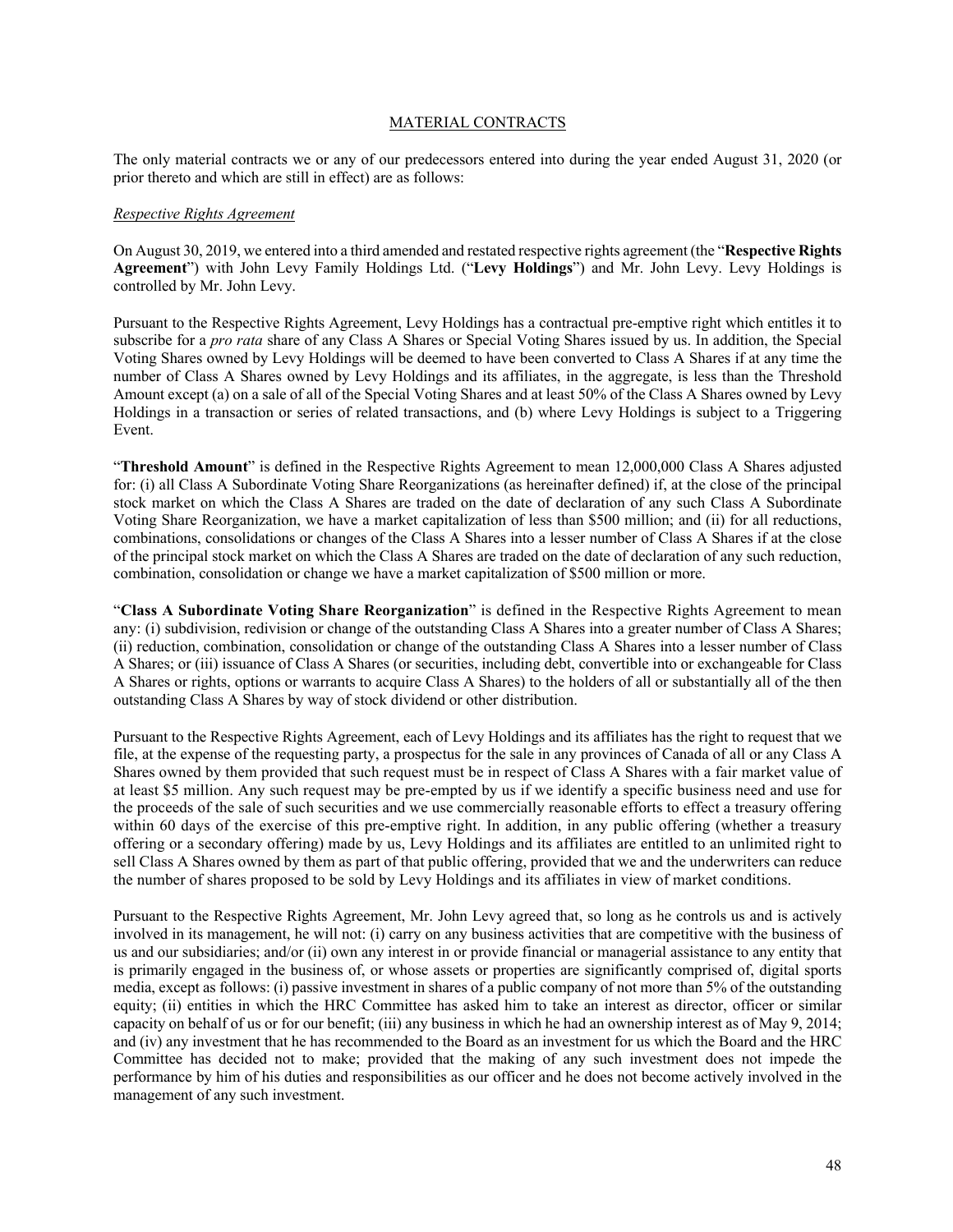### MATERIAL CONTRACTS

The only material contracts we or any of our predecessors entered into during the year ended August 31, 2020 (or prior thereto and which are still in effect) are as follows:

### *Respective Rights Agreement*

On August 30, 2019, we entered into a third amended and restated respective rights agreement (the "**Respective Rights Agreement**") with John Levy Family Holdings Ltd. ("**Levy Holdings**") and Mr. John Levy. Levy Holdings is controlled by Mr. John Levy.

Pursuant to the Respective Rights Agreement, Levy Holdings has a contractual pre-emptive right which entitles it to subscribe for a *pro rata* share of any Class A Shares or Special Voting Shares issued by us. In addition, the Special Voting Shares owned by Levy Holdings will be deemed to have been converted to Class A Shares if at any time the number of Class A Shares owned by Levy Holdings and its affiliates, in the aggregate, is less than the Threshold Amount except (a) on a sale of all of the Special Voting Shares and at least 50% of the Class A Shares owned by Levy Holdings in a transaction or series of related transactions, and (b) where Levy Holdings is subject to a Triggering Event.

"**Threshold Amount**" is defined in the Respective Rights Agreement to mean 12,000,000 Class A Shares adjusted for: (i) all Class A Subordinate Voting Share Reorganizations (as hereinafter defined) if, at the close of the principal stock market on which the Class A Shares are traded on the date of declaration of any such Class A Subordinate Voting Share Reorganization, we have a market capitalization of less than \$500 million; and (ii) for all reductions, combinations, consolidations or changes of the Class A Shares into a lesser number of Class A Shares if at the close of the principal stock market on which the Class A Shares are traded on the date of declaration of any such reduction, combination, consolidation or change we have a market capitalization of \$500 million or more.

"**Class A Subordinate Voting Share Reorganization**" is defined in the Respective Rights Agreement to mean any: (i) subdivision, redivision or change of the outstanding Class A Shares into a greater number of Class A Shares; (ii) reduction, combination, consolidation or change of the outstanding Class A Shares into a lesser number of Class A Shares; or (iii) issuance of Class A Shares (or securities, including debt, convertible into or exchangeable for Class A Shares or rights, options or warrants to acquire Class A Shares) to the holders of all or substantially all of the then outstanding Class A Shares by way of stock dividend or other distribution.

Pursuant to the Respective Rights Agreement, each of Levy Holdings and its affiliates has the right to request that we file, at the expense of the requesting party, a prospectus for the sale in any provinces of Canada of all or any Class A Shares owned by them provided that such request must be in respect of Class A Shares with a fair market value of at least \$5 million. Any such request may be pre-empted by us if we identify a specific business need and use for the proceeds of the sale of such securities and we use commercially reasonable efforts to effect a treasury offering within 60 days of the exercise of this pre-emptive right. In addition, in any public offering (whether a treasury offering or a secondary offering) made by us, Levy Holdings and its affiliates are entitled to an unlimited right to sell Class A Shares owned by them as part of that public offering, provided that we and the underwriters can reduce the number of shares proposed to be sold by Levy Holdings and its affiliates in view of market conditions.

Pursuant to the Respective Rights Agreement, Mr. John Levy agreed that, so long as he controls us and is actively involved in its management, he will not: (i) carry on any business activities that are competitive with the business of us and our subsidiaries; and/or (ii) own any interest in or provide financial or managerial assistance to any entity that is primarily engaged in the business of, or whose assets or properties are significantly comprised of, digital sports media, except as follows: (i) passive investment in shares of a public company of not more than 5% of the outstanding equity; (ii) entities in which the HRC Committee has asked him to take an interest as director, officer or similar capacity on behalf of us or for our benefit; (iii) any business in which he had an ownership interest as of May 9, 2014; and (iv) any investment that he has recommended to the Board as an investment for us which the Board and the HRC Committee has decided not to make; provided that the making of any such investment does not impede the performance by him of his duties and responsibilities as our officer and he does not become actively involved in the management of any such investment.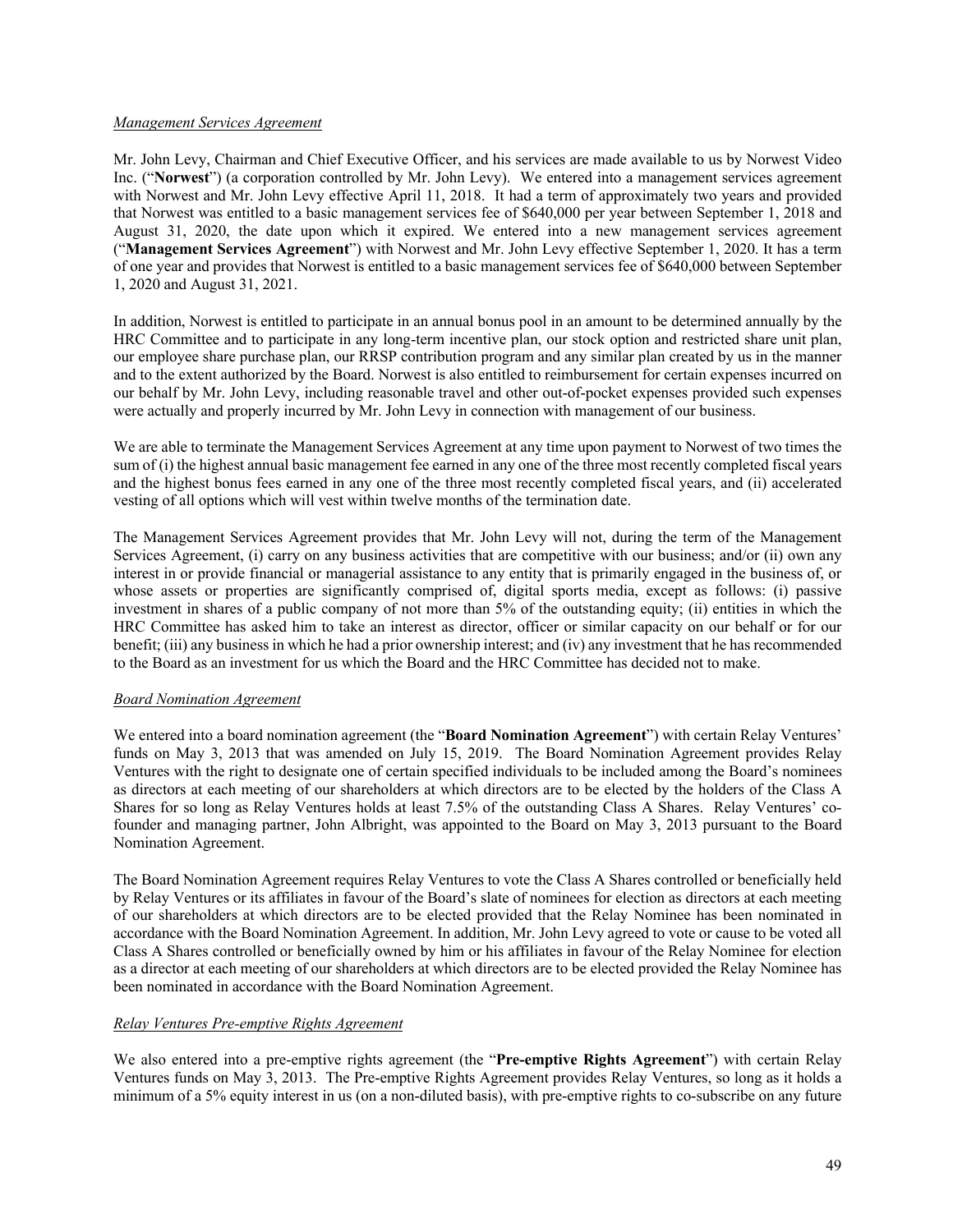### *Management Services Agreement*

Mr. John Levy, Chairman and Chief Executive Officer, and his services are made available to us by Norwest Video Inc. ("**Norwest**") (a corporation controlled by Mr. John Levy). We entered into a management services agreement with Norwest and Mr. John Levy effective April 11, 2018. It had a term of approximately two years and provided that Norwest was entitled to a basic management services fee of \$640,000 per year between September 1, 2018 and August 31, 2020, the date upon which it expired. We entered into a new management services agreement ("**Management Services Agreement**") with Norwest and Mr. John Levy effective September 1, 2020. It has a term of one year and provides that Norwest is entitled to a basic management services fee of \$640,000 between September 1, 2020 and August 31, 2021.

In addition, Norwest is entitled to participate in an annual bonus pool in an amount to be determined annually by the HRC Committee and to participate in any long-term incentive plan, our stock option and restricted share unit plan, our employee share purchase plan, our RRSP contribution program and any similar plan created by us in the manner and to the extent authorized by the Board. Norwest is also entitled to reimbursement for certain expenses incurred on our behalf by Mr. John Levy, including reasonable travel and other out-of-pocket expenses provided such expenses were actually and properly incurred by Mr. John Levy in connection with management of our business.

We are able to terminate the Management Services Agreement at any time upon payment to Norwest of two times the sum of (i) the highest annual basic management fee earned in any one of the three most recently completed fiscal years and the highest bonus fees earned in any one of the three most recently completed fiscal years, and (ii) accelerated vesting of all options which will vest within twelve months of the termination date.

The Management Services Agreement provides that Mr. John Levy will not, during the term of the Management Services Agreement, (i) carry on any business activities that are competitive with our business; and/or (ii) own any interest in or provide financial or managerial assistance to any entity that is primarily engaged in the business of, or whose assets or properties are significantly comprised of, digital sports media, except as follows: (i) passive investment in shares of a public company of not more than 5% of the outstanding equity; (ii) entities in which the HRC Committee has asked him to take an interest as director, officer or similar capacity on our behalf or for our benefit; (iii) any business in which he had a prior ownership interest; and (iv) any investment that he has recommended to the Board as an investment for us which the Board and the HRC Committee has decided not to make.

## *Board Nomination Agreement*

We entered into a board nomination agreement (the "**Board Nomination Agreement**") with certain Relay Ventures' funds on May 3, 2013 that was amended on July 15, 2019. The Board Nomination Agreement provides Relay Ventures with the right to designate one of certain specified individuals to be included among the Board's nominees as directors at each meeting of our shareholders at which directors are to be elected by the holders of the Class A Shares for so long as Relay Ventures holds at least 7.5% of the outstanding Class A Shares. Relay Ventures' cofounder and managing partner, John Albright, was appointed to the Board on May 3, 2013 pursuant to the Board Nomination Agreement.

The Board Nomination Agreement requires Relay Ventures to vote the Class A Shares controlled or beneficially held by Relay Ventures or its affiliates in favour of the Board's slate of nominees for election as directors at each meeting of our shareholders at which directors are to be elected provided that the Relay Nominee has been nominated in accordance with the Board Nomination Agreement. In addition, Mr. John Levy agreed to vote or cause to be voted all Class A Shares controlled or beneficially owned by him or his affiliates in favour of the Relay Nominee for election as a director at each meeting of our shareholders at which directors are to be elected provided the Relay Nominee has been nominated in accordance with the Board Nomination Agreement.

## *Relay Ventures Pre-emptive Rights Agreement*

We also entered into a pre-emptive rights agreement (the "**Pre-emptive Rights Agreement**") with certain Relay Ventures funds on May 3, 2013. The Pre-emptive Rights Agreement provides Relay Ventures, so long as it holds a minimum of a 5% equity interest in us (on a non-diluted basis), with pre-emptive rights to co-subscribe on any future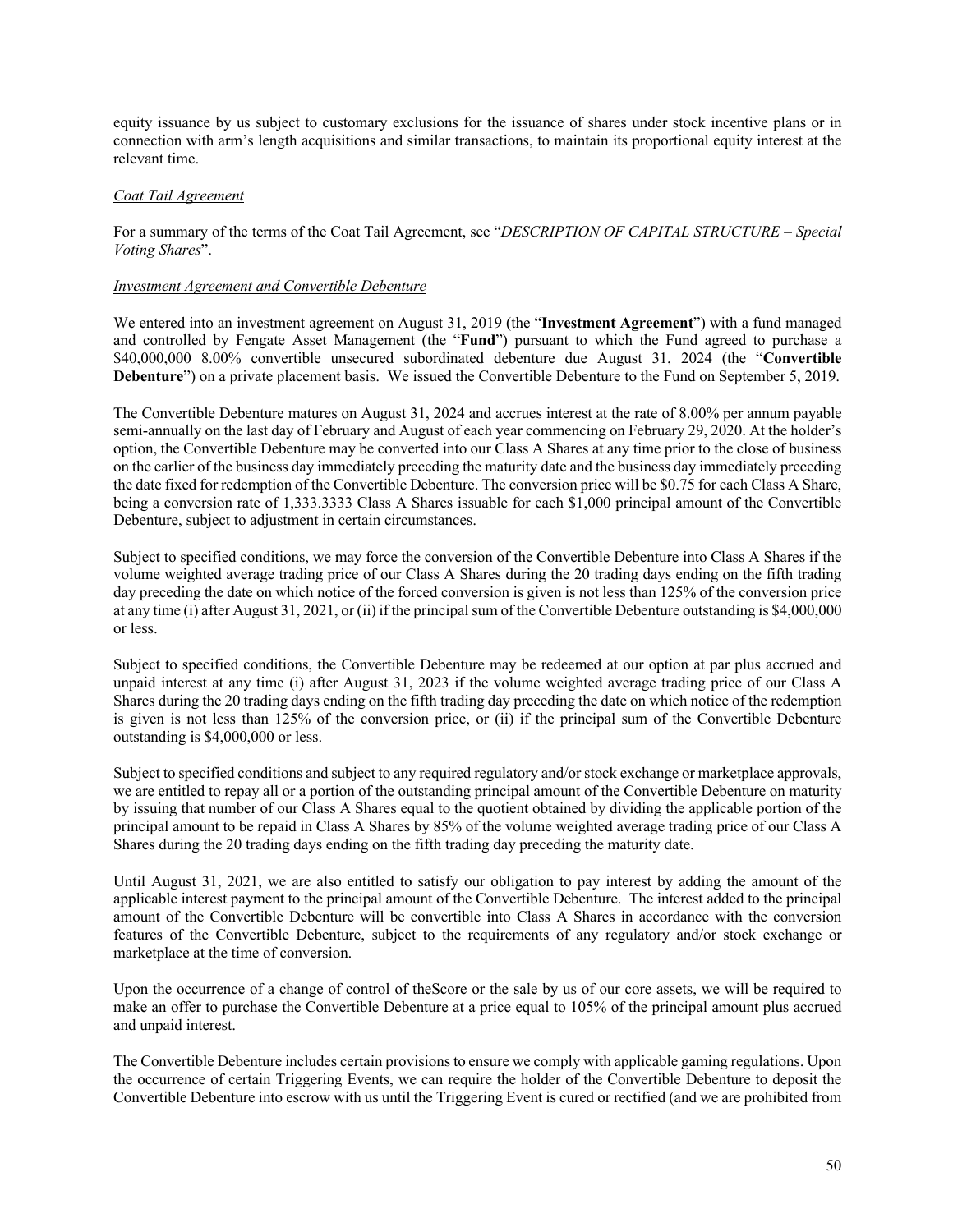equity issuance by us subject to customary exclusions for the issuance of shares under stock incentive plans or in connection with arm's length acquisitions and similar transactions, to maintain its proportional equity interest at the relevant time.

### *Coat Tail Agreement*

For a summary of the terms of the Coat Tail Agreement, see "*DESCRIPTION OF CAPITAL STRUCTURE – Special Voting Shares*".

### *Investment Agreement and Convertible Debenture*

We entered into an investment agreement on August 31, 2019 (the "**Investment Agreement**") with a fund managed and controlled by Fengate Asset Management (the "**Fund**") pursuant to which the Fund agreed to purchase a \$40,000,000 8.00% convertible unsecured subordinated debenture due August 31, 2024 (the "**Convertible Debenture**") on a private placement basis. We issued the Convertible Debenture to the Fund on September 5, 2019.

The Convertible Debenture matures on August 31, 2024 and accrues interest at the rate of 8.00% per annum payable semi-annually on the last day of February and August of each year commencing on February 29, 2020. At the holder's option, the Convertible Debenture may be converted into our Class A Shares at any time prior to the close of business on the earlier of the business day immediately preceding the maturity date and the business day immediately preceding the date fixed for redemption of the Convertible Debenture. The conversion price will be \$0.75 for each Class A Share, being a conversion rate of 1,333.3333 Class A Shares issuable for each \$1,000 principal amount of the Convertible Debenture, subject to adjustment in certain circumstances.

Subject to specified conditions, we may force the conversion of the Convertible Debenture into Class A Shares if the volume weighted average trading price of our Class A Shares during the 20 trading days ending on the fifth trading day preceding the date on which notice of the forced conversion is given is not less than 125% of the conversion price at any time (i) after August 31, 2021, or (ii) if the principal sum of the Convertible Debenture outstanding is \$4,000,000 or less.

Subject to specified conditions, the Convertible Debenture may be redeemed at our option at par plus accrued and unpaid interest at any time (i) after August 31, 2023 if the volume weighted average trading price of our Class A Shares during the 20 trading days ending on the fifth trading day preceding the date on which notice of the redemption is given is not less than 125% of the conversion price, or (ii) if the principal sum of the Convertible Debenture outstanding is \$4,000,000 or less.

Subject to specified conditions and subject to any required regulatory and/or stock exchange or marketplace approvals, we are entitled to repay all or a portion of the outstanding principal amount of the Convertible Debenture on maturity by issuing that number of our Class A Shares equal to the quotient obtained by dividing the applicable portion of the principal amount to be repaid in Class A Shares by 85% of the volume weighted average trading price of our Class A Shares during the 20 trading days ending on the fifth trading day preceding the maturity date.

Until August 31, 2021, we are also entitled to satisfy our obligation to pay interest by adding the amount of the applicable interest payment to the principal amount of the Convertible Debenture. The interest added to the principal amount of the Convertible Debenture will be convertible into Class A Shares in accordance with the conversion features of the Convertible Debenture, subject to the requirements of any regulatory and/or stock exchange or marketplace at the time of conversion.

Upon the occurrence of a change of control of theScore or the sale by us of our core assets, we will be required to make an offer to purchase the Convertible Debenture at a price equal to 105% of the principal amount plus accrued and unpaid interest.

The Convertible Debenture includes certain provisions to ensure we comply with applicable gaming regulations. Upon the occurrence of certain Triggering Events, we can require the holder of the Convertible Debenture to deposit the Convertible Debenture into escrow with us until the Triggering Event is cured or rectified (and we are prohibited from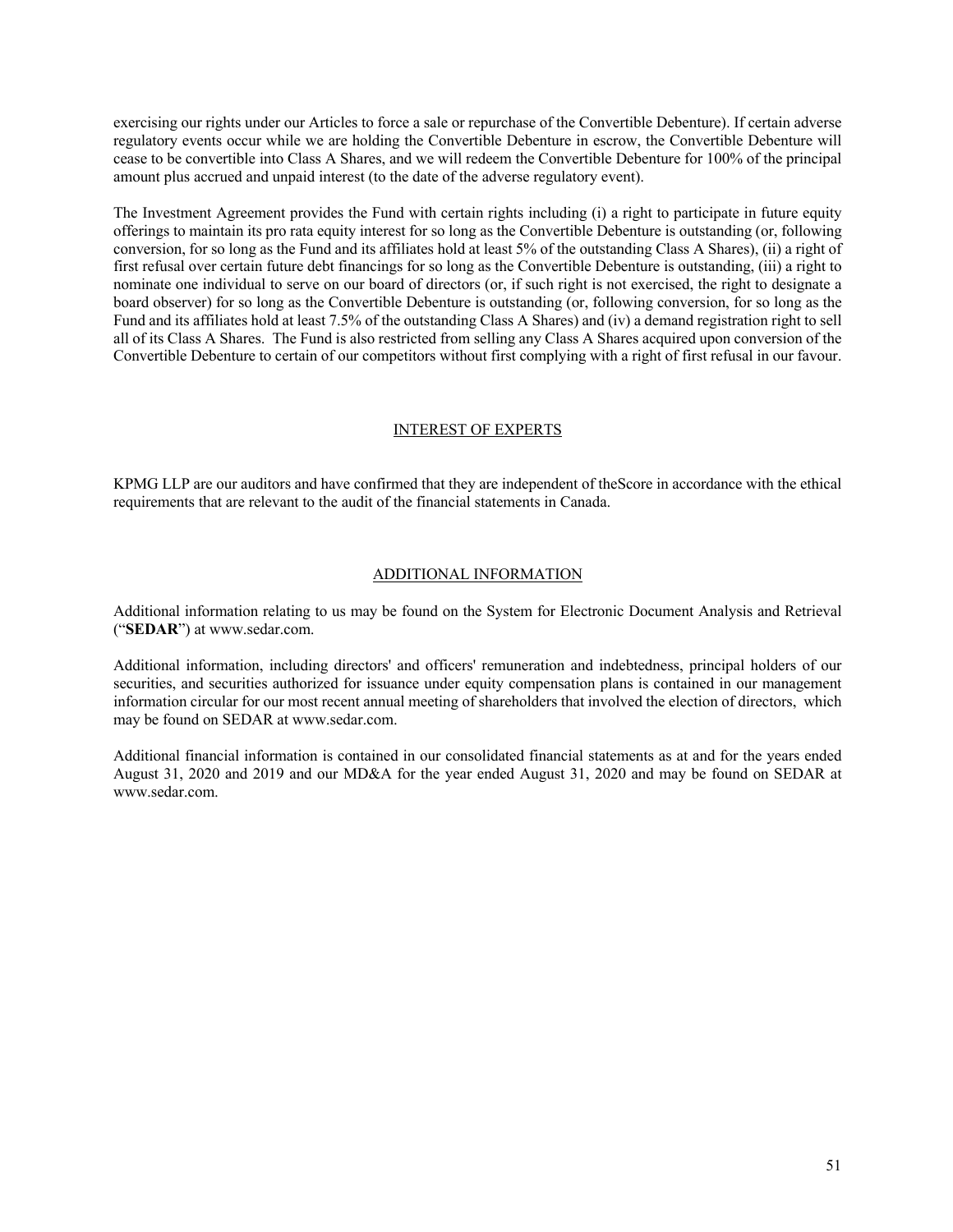exercising our rights under our Articles to force a sale or repurchase of the Convertible Debenture). If certain adverse regulatory events occur while we are holding the Convertible Debenture in escrow, the Convertible Debenture will cease to be convertible into Class A Shares, and we will redeem the Convertible Debenture for 100% of the principal amount plus accrued and unpaid interest (to the date of the adverse regulatory event).

The Investment Agreement provides the Fund with certain rights including (i) a right to participate in future equity offerings to maintain its pro rata equity interest for so long as the Convertible Debenture is outstanding (or, following conversion, for so long as the Fund and its affiliates hold at least 5% of the outstanding Class A Shares), (ii) a right of first refusal over certain future debt financings for so long as the Convertible Debenture is outstanding, (iii) a right to nominate one individual to serve on our board of directors (or, if such right is not exercised, the right to designate a board observer) for so long as the Convertible Debenture is outstanding (or, following conversion, for so long as the Fund and its affiliates hold at least 7.5% of the outstanding Class A Shares) and (iv) a demand registration right to sell all of its Class A Shares. The Fund is also restricted from selling any Class A Shares acquired upon conversion of the Convertible Debenture to certain of our competitors without first complying with a right of first refusal in our favour.

### INTEREST OF EXPERTS

KPMG LLP are our auditors and have confirmed that they are independent of theScore in accordance with the ethical requirements that are relevant to the audit of the financial statements in Canada.

#### ADDITIONAL INFORMATION

Additional information relating to us may be found on the System for Electronic Document Analysis and Retrieval ("**SEDAR**") at www.sedar.com.

Additional information, including directors' and officers' remuneration and indebtedness, principal holders of our securities, and securities authorized for issuance under equity compensation plans is contained in our management information circular for our most recent annual meeting of shareholders that involved the election of directors, which may be found on SEDAR at www.sedar.com.

Additional financial information is contained in our consolidated financial statements as at and for the years ended August 31, 2020 and 2019 and our MD&A for the year ended August 31, 2020 and may be found on SEDAR at www.sedar.com.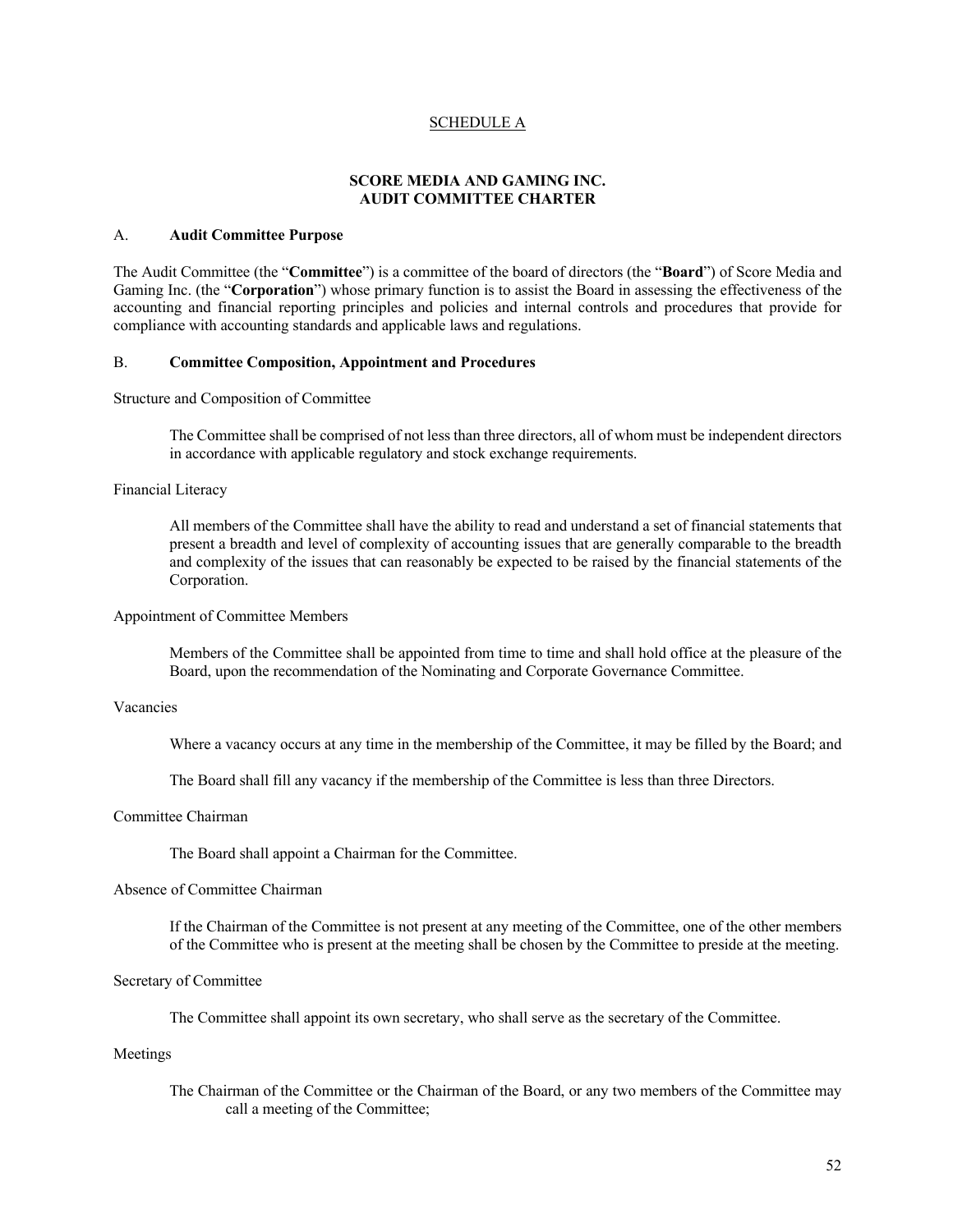### SCHEDULE A

# **SCORE MEDIA AND GAMING INC. AUDIT COMMITTEE CHARTER**

#### A. **Audit Committee Purpose**

The Audit Committee (the "**Committee**") is a committee of the board of directors (the "**Board**") of Score Media and Gaming Inc. (the "**Corporation**") whose primary function is to assist the Board in assessing the effectiveness of the accounting and financial reporting principles and policies and internal controls and procedures that provide for compliance with accounting standards and applicable laws and regulations.

### B. **Committee Composition, Appointment and Procedures**

Structure and Composition of Committee

The Committee shall be comprised of not less than three directors, all of whom must be independent directors in accordance with applicable regulatory and stock exchange requirements.

#### Financial Literacy

All members of the Committee shall have the ability to read and understand a set of financial statements that present a breadth and level of complexity of accounting issues that are generally comparable to the breadth and complexity of the issues that can reasonably be expected to be raised by the financial statements of the Corporation.

### Appointment of Committee Members

Members of the Committee shall be appointed from time to time and shall hold office at the pleasure of the Board, upon the recommendation of the Nominating and Corporate Governance Committee.

#### Vacancies

Where a vacancy occurs at any time in the membership of the Committee, it may be filled by the Board; and

The Board shall fill any vacancy if the membership of the Committee is less than three Directors.

#### Committee Chairman

The Board shall appoint a Chairman for the Committee.

### Absence of Committee Chairman

If the Chairman of the Committee is not present at any meeting of the Committee, one of the other members of the Committee who is present at the meeting shall be chosen by the Committee to preside at the meeting.

#### Secretary of Committee

The Committee shall appoint its own secretary, who shall serve as the secretary of the Committee.

#### Meetings

The Chairman of the Committee or the Chairman of the Board, or any two members of the Committee may call a meeting of the Committee;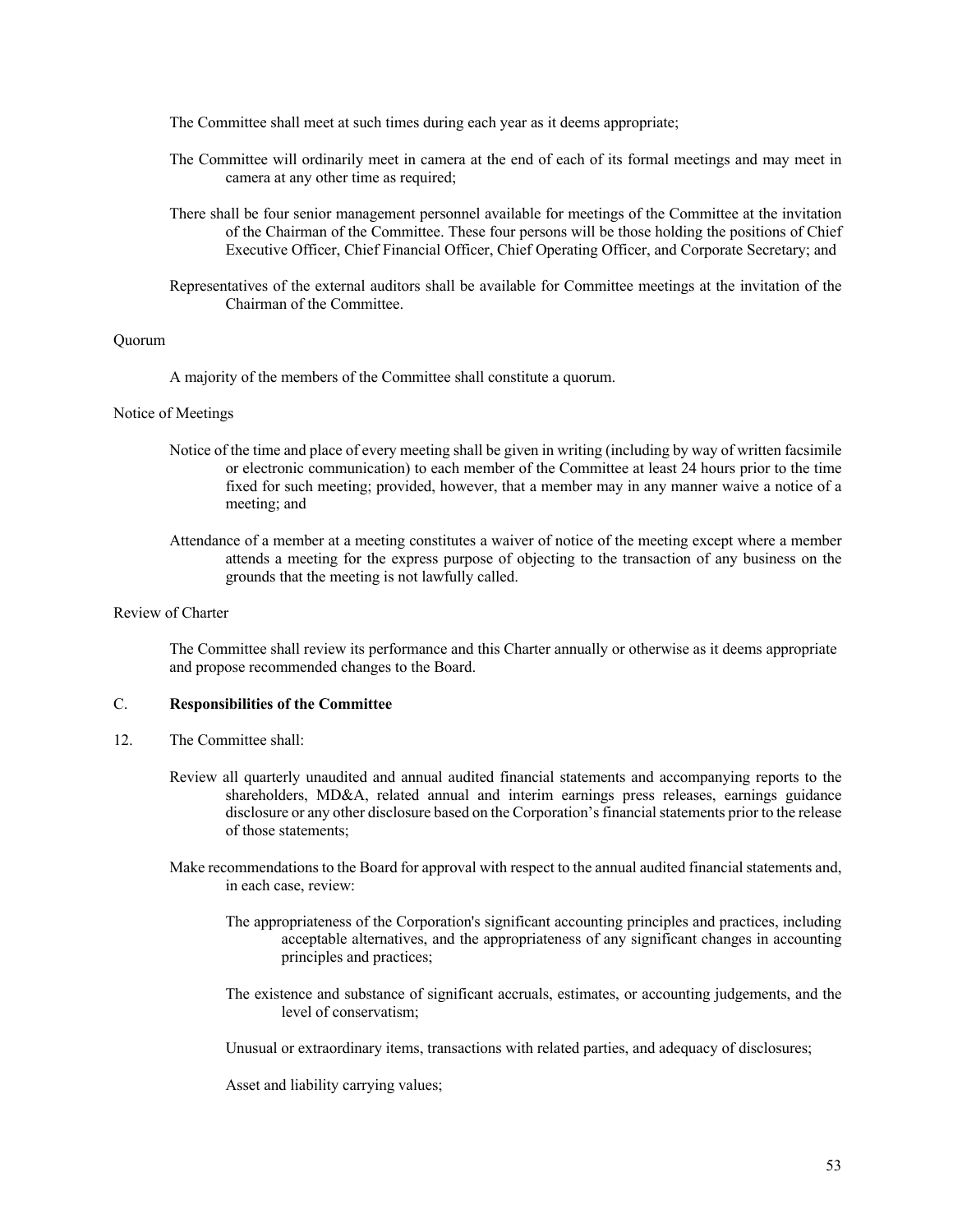The Committee shall meet at such times during each year as it deems appropriate;

- The Committee will ordinarily meet in camera at the end of each of its formal meetings and may meet in camera at any other time as required;
- There shall be four senior management personnel available for meetings of the Committee at the invitation of the Chairman of the Committee. These four persons will be those holding the positions of Chief Executive Officer, Chief Financial Officer, Chief Operating Officer, and Corporate Secretary; and
- Representatives of the external auditors shall be available for Committee meetings at the invitation of the Chairman of the Committee.

#### Quorum

A majority of the members of the Committee shall constitute a quorum.

#### Notice of Meetings

- Notice of the time and place of every meeting shall be given in writing (including by way of written facsimile or electronic communication) to each member of the Committee at least 24 hours prior to the time fixed for such meeting; provided, however, that a member may in any manner waive a notice of a meeting; and
- Attendance of a member at a meeting constitutes a waiver of notice of the meeting except where a member attends a meeting for the express purpose of objecting to the transaction of any business on the grounds that the meeting is not lawfully called.

### Review of Charter

The Committee shall review its performance and this Charter annually or otherwise as it deems appropriate and propose recommended changes to the Board.

### C. **Responsibilities of the Committee**

- 12. The Committee shall:
	- Review all quarterly unaudited and annual audited financial statements and accompanying reports to the shareholders, MD&A, related annual and interim earnings press releases, earnings guidance disclosure or any other disclosure based on the Corporation's financial statements prior to the release of those statements;
	- Make recommendations to the Board for approval with respect to the annual audited financial statements and, in each case, review:
		- The appropriateness of the Corporation's significant accounting principles and practices, including acceptable alternatives, and the appropriateness of any significant changes in accounting principles and practices;
		- The existence and substance of significant accruals, estimates, or accounting judgements, and the level of conservatism;

Unusual or extraordinary items, transactions with related parties, and adequacy of disclosures;

Asset and liability carrying values;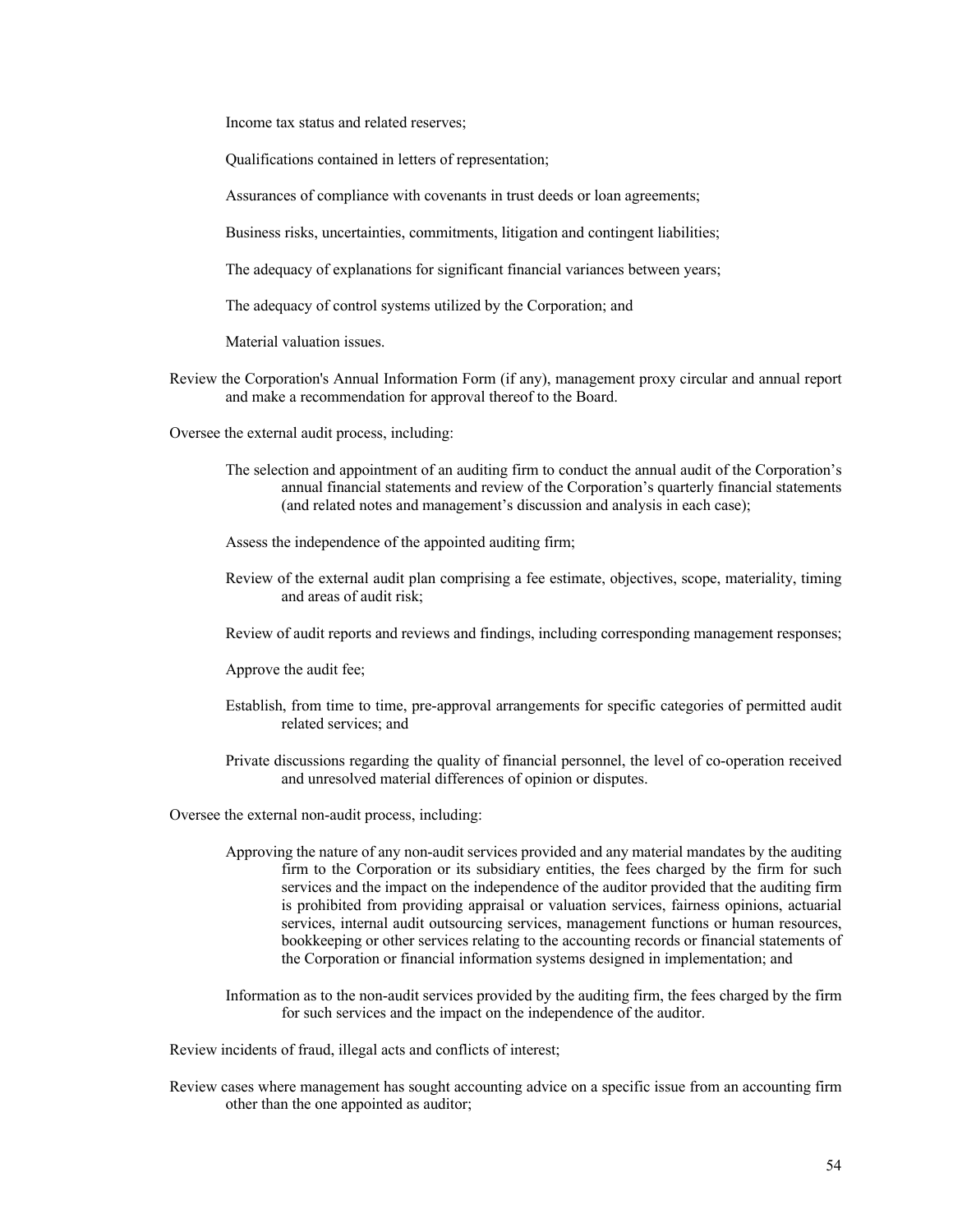Income tax status and related reserves;

Qualifications contained in letters of representation;

Assurances of compliance with covenants in trust deeds or loan agreements;

Business risks, uncertainties, commitments, litigation and contingent liabilities;

The adequacy of explanations for significant financial variances between years;

The adequacy of control systems utilized by the Corporation; and

Material valuation issues.

Review the Corporation's Annual Information Form (if any), management proxy circular and annual report and make a recommendation for approval thereof to the Board.

Oversee the external audit process, including:

- The selection and appointment of an auditing firm to conduct the annual audit of the Corporation's annual financial statements and review of the Corporation's quarterly financial statements (and related notes and management's discussion and analysis in each case);
- Assess the independence of the appointed auditing firm;
- Review of the external audit plan comprising a fee estimate, objectives, scope, materiality, timing and areas of audit risk;
- Review of audit reports and reviews and findings, including corresponding management responses;

Approve the audit fee;

- Establish, from time to time, pre-approval arrangements for specific categories of permitted audit related services; and
- Private discussions regarding the quality of financial personnel, the level of co-operation received and unresolved material differences of opinion or disputes.

Oversee the external non-audit process, including:

- Approving the nature of any non-audit services provided and any material mandates by the auditing firm to the Corporation or its subsidiary entities, the fees charged by the firm for such services and the impact on the independence of the auditor provided that the auditing firm is prohibited from providing appraisal or valuation services, fairness opinions, actuarial services, internal audit outsourcing services, management functions or human resources, bookkeeping or other services relating to the accounting records or financial statements of the Corporation or financial information systems designed in implementation; and
- Information as to the non-audit services provided by the auditing firm, the fees charged by the firm for such services and the impact on the independence of the auditor.

Review incidents of fraud, illegal acts and conflicts of interest;

Review cases where management has sought accounting advice on a specific issue from an accounting firm other than the one appointed as auditor;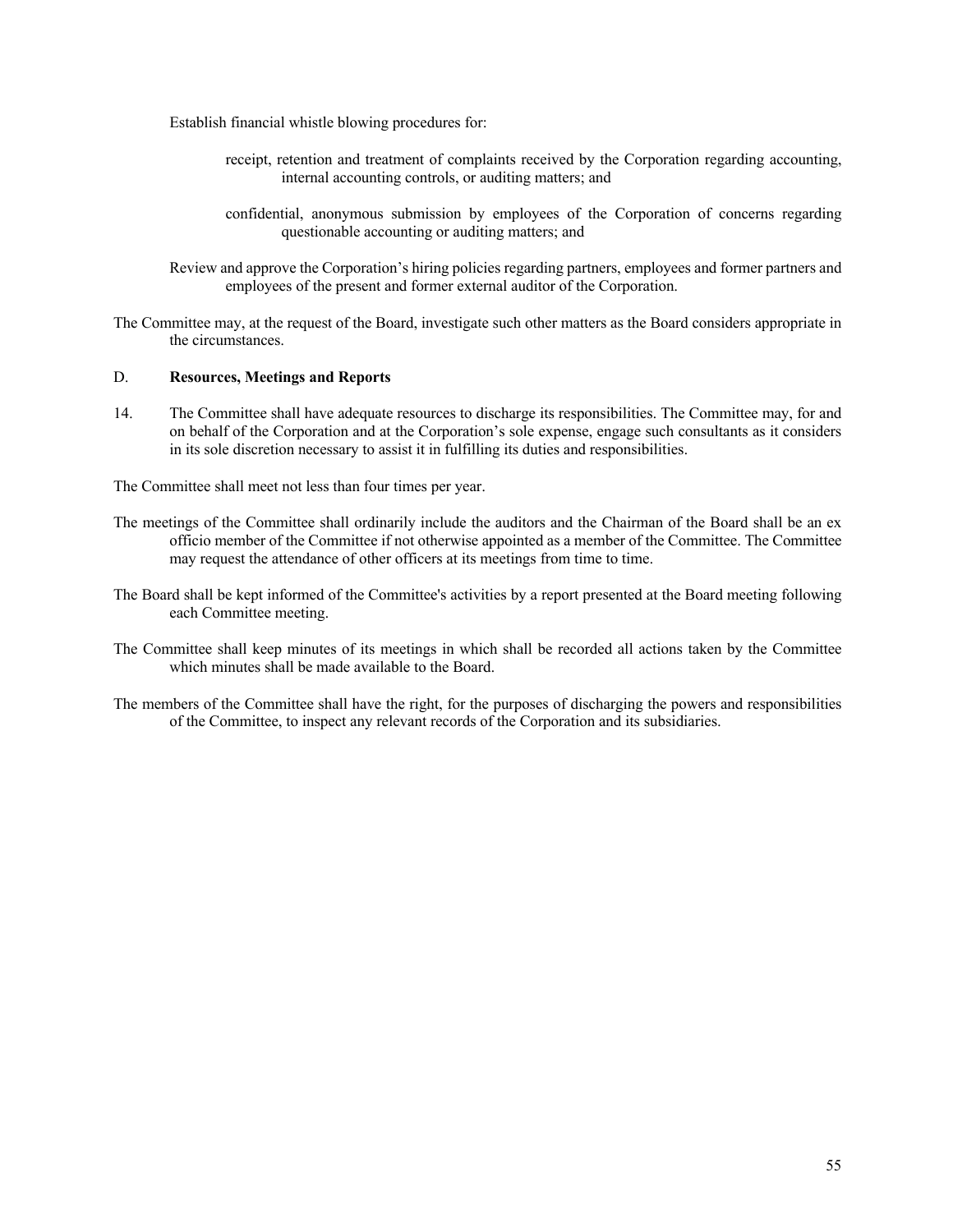Establish financial whistle blowing procedures for:

- receipt, retention and treatment of complaints received by the Corporation regarding accounting, internal accounting controls, or auditing matters; and
- confidential, anonymous submission by employees of the Corporation of concerns regarding questionable accounting or auditing matters; and
- Review and approve the Corporation's hiring policies regarding partners, employees and former partners and employees of the present and former external auditor of the Corporation.
- The Committee may, at the request of the Board, investigate such other matters as the Board considers appropriate in the circumstances.

# D. **Resources, Meetings and Reports**

14. The Committee shall have adequate resources to discharge its responsibilities. The Committee may, for and on behalf of the Corporation and at the Corporation's sole expense, engage such consultants as it considers in its sole discretion necessary to assist it in fulfilling its duties and responsibilities.

The Committee shall meet not less than four times per year.

- The meetings of the Committee shall ordinarily include the auditors and the Chairman of the Board shall be an ex officio member of the Committee if not otherwise appointed as a member of the Committee. The Committee may request the attendance of other officers at its meetings from time to time.
- The Board shall be kept informed of the Committee's activities by a report presented at the Board meeting following each Committee meeting.
- The Committee shall keep minutes of its meetings in which shall be recorded all actions taken by the Committee which minutes shall be made available to the Board.
- The members of the Committee shall have the right, for the purposes of discharging the powers and responsibilities of the Committee, to inspect any relevant records of the Corporation and its subsidiaries.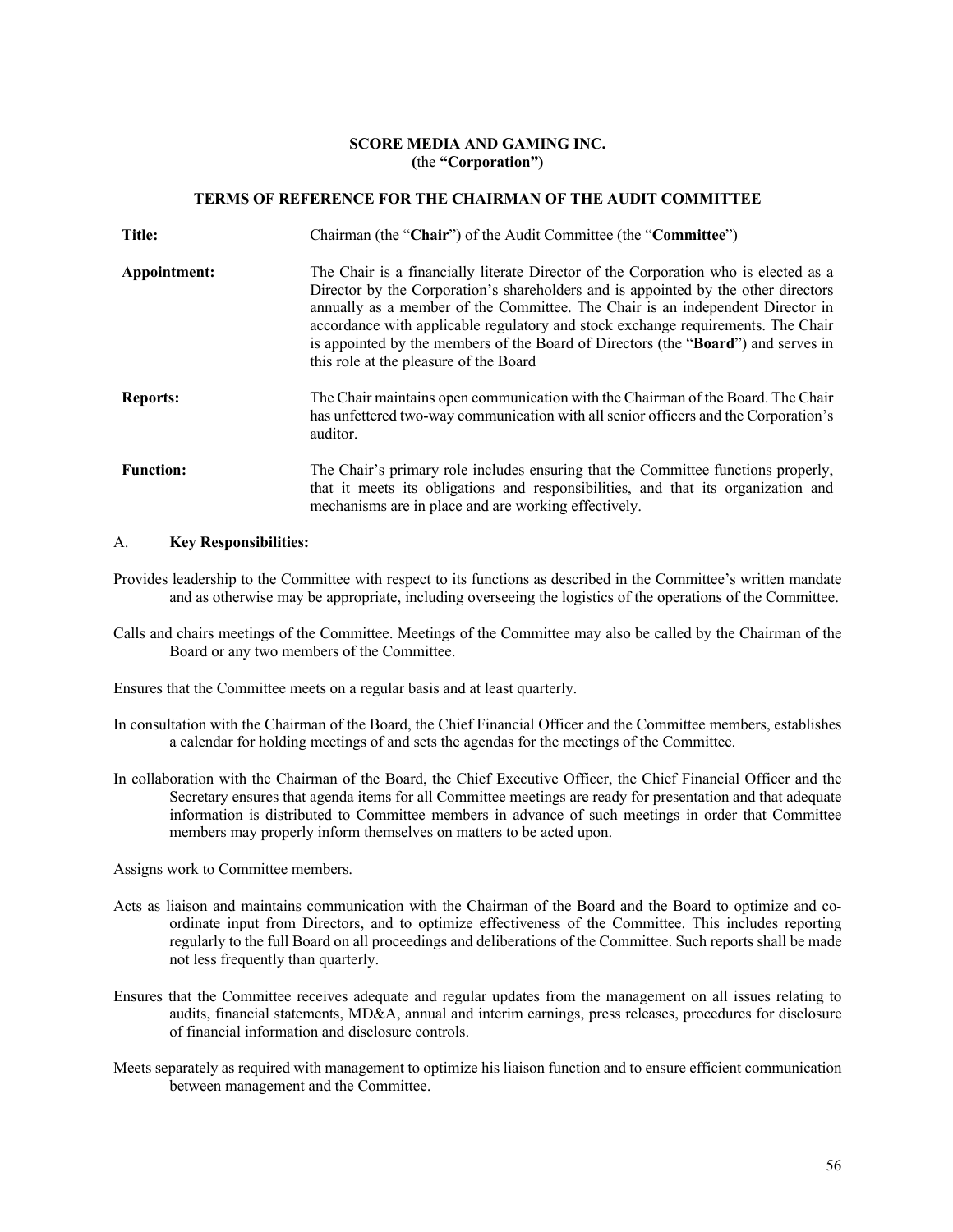### **SCORE MEDIA AND GAMING INC. (**the **"Corporation")**

### **TERMS OF REFERENCE FOR THE CHAIRMAN OF THE AUDIT COMMITTEE**

| Title:           | Chairman (the "Chair") of the Audit Committee (the "Committee")                                                                                                                                                                                                                                                                                                                                                                                                                |
|------------------|--------------------------------------------------------------------------------------------------------------------------------------------------------------------------------------------------------------------------------------------------------------------------------------------------------------------------------------------------------------------------------------------------------------------------------------------------------------------------------|
| Appointment:     | The Chair is a financially literate Director of the Corporation who is elected as a<br>Director by the Corporation's shareholders and is appointed by the other directors<br>annually as a member of the Committee. The Chair is an independent Director in<br>accordance with applicable regulatory and stock exchange requirements. The Chair<br>is appointed by the members of the Board of Directors (the "Board") and serves in<br>this role at the pleasure of the Board |
| <b>Reports:</b>  | The Chair maintains open communication with the Chairman of the Board. The Chair<br>has unfettered two-way communication with all senior officers and the Corporation's<br>auditor.                                                                                                                                                                                                                                                                                            |
| <b>Function:</b> | The Chair's primary role includes ensuring that the Committee functions properly,<br>that it meets its obligations and responsibilities, and that its organization and<br>mechanisms are in place and are working effectively.                                                                                                                                                                                                                                                 |

#### A. **Key Responsibilities:**

Provides leadership to the Committee with respect to its functions as described in the Committee's written mandate and as otherwise may be appropriate, including overseeing the logistics of the operations of the Committee.

Calls and chairs meetings of the Committee. Meetings of the Committee may also be called by the Chairman of the Board or any two members of the Committee.

Ensures that the Committee meets on a regular basis and at least quarterly.

- In consultation with the Chairman of the Board, the Chief Financial Officer and the Committee members, establishes a calendar for holding meetings of and sets the agendas for the meetings of the Committee.
- In collaboration with the Chairman of the Board, the Chief Executive Officer, the Chief Financial Officer and the Secretary ensures that agenda items for all Committee meetings are ready for presentation and that adequate information is distributed to Committee members in advance of such meetings in order that Committee members may properly inform themselves on matters to be acted upon.

Assigns work to Committee members.

- Acts as liaison and maintains communication with the Chairman of the Board and the Board to optimize and coordinate input from Directors, and to optimize effectiveness of the Committee. This includes reporting regularly to the full Board on all proceedings and deliberations of the Committee. Such reports shall be made not less frequently than quarterly.
- Ensures that the Committee receives adequate and regular updates from the management on all issues relating to audits, financial statements, MD&A, annual and interim earnings, press releases, procedures for disclosure of financial information and disclosure controls.
- Meets separately as required with management to optimize his liaison function and to ensure efficient communication between management and the Committee.